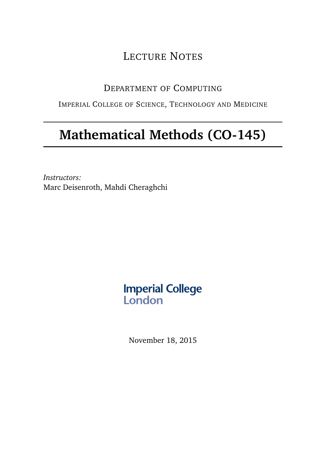## LECTURE NOTES

## DEPARTMENT OF COMPUTING

## IMPERIAL COLLEGE OF SCIENCE, TECHNOLOGY AND MEDICINE

## **Mathematical Methods (CO-145)**

*Instructors:* Marc Deisenroth, Mahdi Cheraghchi

# **Imperial College<br>London**

November 18, 2015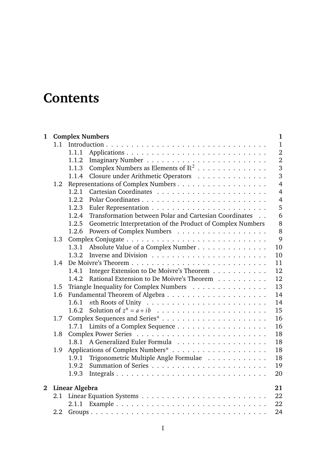## **Contents**

| $\mathbf{1}$   |                |                                         | <b>Complex Numbers</b>                                     | $\mathbf{1}$   |  |
|----------------|----------------|-----------------------------------------|------------------------------------------------------------|----------------|--|
|                | 1.1            |                                         |                                                            | $\mathbf{1}$   |  |
|                |                | 1.1.1                                   |                                                            | $\overline{2}$ |  |
|                |                | 1.1.2                                   |                                                            | $\overline{2}$ |  |
|                |                | 1.1.3                                   | Complex Numbers as Elements of $\mathbb{R}^2$              | 3              |  |
|                |                | 1.1.4                                   | Closure under Arithmetic Operators                         | 3              |  |
|                | 1.2            |                                         |                                                            | $\overline{4}$ |  |
|                |                | 1.2.1                                   |                                                            | $\overline{4}$ |  |
|                |                | 1.2.2                                   |                                                            | $\overline{4}$ |  |
|                |                | 1.2.3                                   |                                                            | 5              |  |
|                |                | 1.2.4                                   | Transformation between Polar and Cartesian Coordinates     | 6              |  |
|                |                | 1.2.5                                   | Geometric Interpretation of the Product of Complex Numbers | 8              |  |
|                |                | 1.2.6                                   |                                                            | 8              |  |
|                | 1.3            |                                         | 9                                                          |                |  |
|                |                | 1.3.1                                   | Absolute Value of a Complex Number                         | 10             |  |
|                |                | 1.3.2                                   |                                                            | 10             |  |
|                | 1.4            |                                         |                                                            | 11             |  |
|                |                | 1.4.1                                   | Integer Extension to De Moivre's Theorem                   | 12             |  |
|                |                | 1.4.2                                   | Rational Extension to De Moivre's Theorem                  | 12<br>13       |  |
|                | 1.5            | Triangle Inequality for Complex Numbers |                                                            |                |  |
|                | 1.6            |                                         |                                                            | 14             |  |
|                |                | 1.6.1                                   |                                                            | 14             |  |
|                |                | 1.6.2                                   |                                                            | 15             |  |
|                | 1.7            |                                         |                                                            | 16             |  |
|                |                | 1.7.1                                   |                                                            | 16<br>18       |  |
|                |                | 1.8                                     |                                                            |                |  |
|                |                | 1.8.1                                   |                                                            | 18             |  |
|                | 1.9            |                                         |                                                            | 18             |  |
|                |                | 1.9.1                                   | Trigonometric Multiple Angle Formulae                      | 18             |  |
|                |                | 1.9.2                                   |                                                            | 19             |  |
|                |                | 1.9.3                                   |                                                            | 20             |  |
| $\overline{2}$ | Linear Algebra |                                         |                                                            |                |  |
|                | 2.1            |                                         |                                                            | 22             |  |
|                |                |                                         |                                                            | 22             |  |
|                | 2.2            |                                         |                                                            | 24             |  |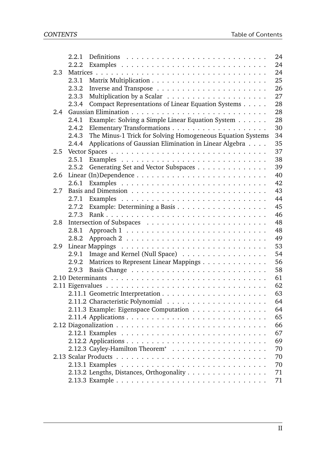|               | 2.2.1 |                                                            | 24 |  |  |
|---------------|-------|------------------------------------------------------------|----|--|--|
|               | 2.2.2 |                                                            | 24 |  |  |
| 2.3           |       |                                                            |    |  |  |
|               | 2.3.1 |                                                            | 25 |  |  |
|               | 2.3.2 |                                                            | 26 |  |  |
|               | 2.3.3 |                                                            | 27 |  |  |
|               | 2.3.4 | Compact Representations of Linear Equation Systems         | 28 |  |  |
| $2.4^{\circ}$ |       |                                                            |    |  |  |
|               | 2.4.1 | Example: Solving a Simple Linear Equation System           | 28 |  |  |
|               | 2.4.2 |                                                            | 30 |  |  |
|               | 2,4.3 | The Minus-1 Trick for Solving Homogeneous Equation Systems | 34 |  |  |
|               | 2.4.4 | Applications of Gaussian Elimination in Linear Algebra     | 35 |  |  |
| 2.5           |       |                                                            | 37 |  |  |
|               | 2.5.1 |                                                            | 38 |  |  |
|               | 2.5.2 | Generating Set and Vector Subspaces                        | 39 |  |  |
| 2.6           |       |                                                            | 40 |  |  |
|               | 2.6.1 |                                                            | 42 |  |  |
| 2.7           |       |                                                            | 43 |  |  |
|               | 2.7.1 |                                                            | 44 |  |  |
|               | 2.7.2 |                                                            | 45 |  |  |
|               | 2.7.3 |                                                            | 46 |  |  |
| 2.8           |       |                                                            | 48 |  |  |
|               | 2.8.1 |                                                            | 48 |  |  |
|               | 2.8.2 |                                                            | 49 |  |  |
| 2.9           |       |                                                            |    |  |  |
|               | 2.9.1 | Image and Kernel (Null Space)                              | 54 |  |  |
|               | 2.9.2 | Matrices to Represent Linear Mappings                      | 56 |  |  |
|               | 2.9.3 |                                                            | 58 |  |  |
|               |       |                                                            | 61 |  |  |
|               |       |                                                            | 62 |  |  |
|               |       |                                                            | 63 |  |  |
|               |       |                                                            | 64 |  |  |
|               |       | 2.11.3 Example: Eigenspace Computation                     | 64 |  |  |
|               |       |                                                            | 65 |  |  |
|               |       |                                                            | 66 |  |  |
|               |       |                                                            | 67 |  |  |
|               |       |                                                            | 69 |  |  |
|               |       |                                                            | 70 |  |  |
|               |       |                                                            | 70 |  |  |
|               |       |                                                            | 70 |  |  |
|               |       | 2.13.2 Lengths, Distances, Orthogonality                   | 71 |  |  |
|               |       |                                                            | 71 |  |  |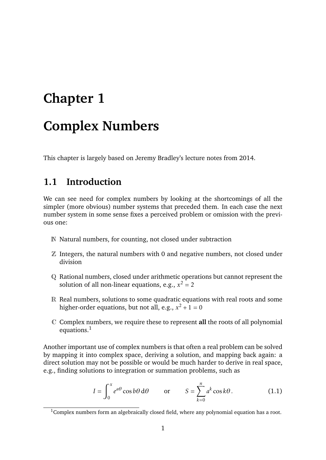## <span id="page-3-0"></span>**Chapter 1**

## **Complex Numbers**

This chapter is largely based on Jeremy Bradley's lecture notes from 2014.

## <span id="page-3-1"></span>**1.1 Introduction**

We can see need for complex numbers by looking at the shortcomings of all the simpler (more obvious) number systems that preceded them. In each case the next number system in some sense fixes a perceived problem or omission with the previous one:

- N Natural numbers, for counting, not closed under subtraction
- Z Integers, the natural numbers with 0 and negative numbers, not closed under division
- Q Rational numbers, closed under arithmetic operations but cannot represent the solution of all non-linear equations, e.g.,  $x^2 = 2$
- R Real numbers, solutions to some quadratic equations with real roots and some higher-order equations, but not all, e.g.,  $x^2 + 1 = 0$
- C Complex numbers, we require these to represent **all** the roots of all polynomial equations. $<sup>1</sup>$  $<sup>1</sup>$  $<sup>1</sup>$ </sup>

Another important use of complex numbers is that often a real problem can be solved by mapping it into complex space, deriving a solution, and mapping back again: a direct solution may not be possible or would be much harder to derive in real space, e.g., finding solutions to integration or summation problems, such as

$$
I = \int_0^x e^{a\theta} \cos b\theta \, d\theta \qquad \text{or} \qquad S = \sum_{k=0}^n a^k \cos k\theta. \tag{1.1}
$$

<span id="page-3-2"></span> $1$ Complex numbers form an algebraically closed field, where any polynomial equation has a root.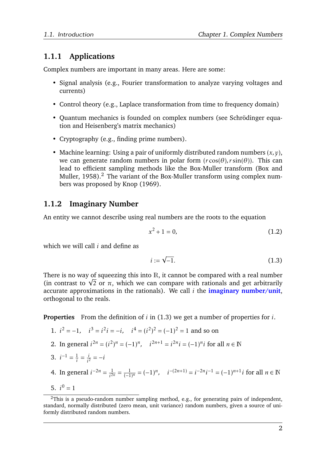## <span id="page-4-0"></span>**1.1.1 Applications**

Complex numbers are important in many areas. Here are some:

- Signal analysis (e.g., Fourier transformation to analyze varying voltages and currents)
- Control theory (e.g., Laplace transformation from time to frequency domain)
- Ouantum mechanics is founded on complex numbers (see Schrödinger equation and Heisenberg's matrix mechanics)
- Cryptography (e.g., finding prime numbers).
- Machine learning: Using a pair of uniformly distributed random numbers (*x,y*), we can generate random numbers in polar form  $(r\cos(\theta), r\sin(\theta))$ . This can lead to efficient sampling methods like the Box-Muller transform [\(Box and](#page-75-0) [Muller,](#page-75-0)  $1958$ ).<sup>[2](#page-4-2)</sup> The variant of the Box-Muller transform using complex numbers was proposed by [Knop](#page-75-1) [\(1969\)](#page-75-1).

## <span id="page-4-1"></span>**1.1.2 Imaginary Number**

An entity we cannot describe using real numbers are the roots to the equation

$$
x^2 + 1 = 0,\t(1.2)
$$

which we will call *i* and define as

<span id="page-4-3"></span>
$$
i := \sqrt{-1}.\tag{1.3}
$$

There is no way of squeezing this into  $R$ , it cannot be compared with a real number There is no way of squeezing this into  $\mathbb R$ , it cannot be compared with a real number (in contrast to  $\sqrt{2}$  or  $\pi$ , which we can compare with rationals and get arbitrarily accurate approximations in the rationals). We call *i* the **imaginary number/unit**, orthogonal to the reals.

**Properties** From the definition of *i* in [\(1.3\)](#page-4-3) we get a number of properties for *i*.

- 1.  $i^2 = -1$ ,  $i^3 = i^2i = -i$ ,  $i^4 = (i^2)^2 = (-1)^2 = 1$  and so on
- 2. In general  $i^{2n} = (i^2)^n = (-1)^n$ ,  $i^{2n+1} = i^{2n}i = (-1)^n i$  for all  $n \in \mathbb{N}$
- 3.  $i^{-1} = \frac{1}{i}$  $\frac{1}{i} = \frac{i}{i}$  $\frac{i}{i^2} = -i$
- 4. In general  $i^{-2n} = \frac{1}{i^{2n}}$  $\frac{1}{i^{2n}} = \frac{1}{(-1)^n} = (-1)^n$ ,  $i^{-(2n+1)} = i^{-2n}i^{-1} = (-1)^{n+1}i$  for all  $n \in \mathbb{N}$
- 5.  $i^0 = 1$

<span id="page-4-2"></span> $2$ This is a pseudo-random number sampling method, e.g., for generating pairs of independent, standard, normally distributed (zero mean, unit variance) random numbers, given a source of uniformly distributed random numbers.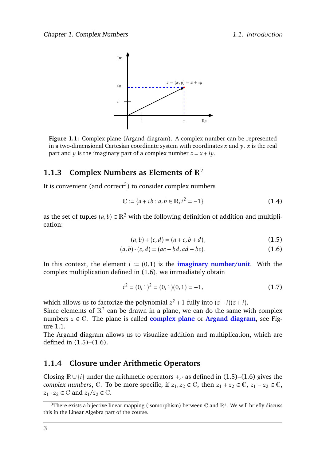<span id="page-5-4"></span>

**Figure 1.1:** Complex plane (Argand diagram). A complex number can be represented in a two-dimensional Cartesian coordinate system with coordinates *x* and *y*. *x* is the real part and *v* is the imaginary part of a complex number  $z = x + iv$ .

## <span id="page-5-0"></span>**1.1.3 Complex Numbers as Elements of** R<sup>2</sup>

It is convenient (and correct<sup>[3](#page-5-2)</sup>) to consider complex numbers

$$
\mathbb{C} := \{a + ib : a, b \in \mathbb{R}, i^2 = -1\}
$$
 (1.4)

as the set of tuples  $(a, b) \in \mathbb{R}^2$  with the following definition of addition and multiplication:

<span id="page-5-5"></span><span id="page-5-3"></span>
$$
(a,b) + (c,d) = (a+c, b+d),
$$
\n(1.5)

$$
(a, b) \cdot (c, d) = (ac - bd, ad + bc).
$$
 (1.6)

In this context, the element  $i := (0,1)$  is the **imaginary number/unit**. With the complex multiplication defined in [\(1.6\)](#page-5-3), we immediately obtain

$$
i^2 = (0,1)^2 = (0,1)(0,1) = -1,
$$
\n(1.7)

which allows us to factorize the polynomial  $z^2 + 1$  fully into  $(z - i)(z + i)$ .

Since elements of  $\mathbb{R}^2$  can be drawn in a plane, we can do the same with complex numbers  $z \in \mathbb{C}$ . The plane is called **complex plane** or **Argand diagram**, see Figure [1.1.](#page-5-4)

The Argand diagram allows us to visualize addition and multiplication, which are defined in [\(1.5\)](#page-5-5)–[\(1.6\)](#page-5-3).

## <span id="page-5-1"></span>**1.1.4 Closure under Arithmetic Operators**

Closing R∪ {*i*} under the arithmetic operators +*,*· as defined in [\(1.5\)](#page-5-5)–[\(1.6\)](#page-5-3) gives the *complex numbers*,  $\mathbb{C}$ . To be more specific, if  $z_1, z_2 \in \mathbb{C}$ , then  $z_1 + z_2 \in \mathbb{C}$ ,  $z_1 - z_2 \in \mathbb{C}$ ,  $z_1 \cdot z_2 \in \mathbb{C}$  and  $z_1/z_2 \in \mathbb{C}$ .

<span id="page-5-2"></span><sup>&</sup>lt;sup>3</sup>There exists a bijective linear mapping (isomorphism) between C and  $\mathbb{R}^2$ . We will briefly discuss this in the Linear Algebra part of the course.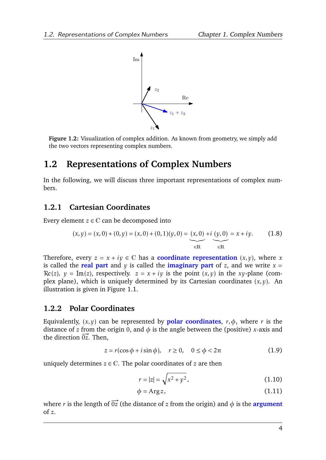

**Figure 1.2:** Visualization of complex addition. As known from geometry, we simply add the two vectors representing complex numbers.

## <span id="page-6-0"></span>**1.2 Representations of Complex Numbers**

In the following, we will discuss three important representations of complex numbers.

## <span id="page-6-1"></span>**1.2.1 Cartesian Coordinates**

Every element  $z \in \mathbb{C}$  can be decomposed into

$$
(x, y) = (x, 0) + (0, y) = (x, 0) + (0, 1)(y, 0) = (x, 0) + i (y, 0) = x + iy.
$$
 (1.8)

Therefore, every  $z = x + iy \in \mathbb{C}$  has a **coordinate representation**  $(x, y)$ , where *x* is called the **real part** and  $y$  is called the **imaginary part** of *z*, and we write  $x =$  $\Re(z)$ ,  $y = \text{Im}(z)$ , respectively.  $z = x + iy$  is the point  $(x, y)$  in the *xy*-plane (complex plane), which is uniquely determined by its Cartesian coordinates (*x,y*). An illustration is given in Figure [1.1.](#page-5-4)

### <span id="page-6-2"></span>**1.2.2 Polar Coordinates**

Equivalently,  $(x, y)$  can be represented by **polar coordinates**,  $r, \phi$ , where *r* is the distance of *z* from the origin 0, and  $\phi$  is the angle between the (positive) *x*-axis and the direction  $\overrightarrow{0z}$ . Then,

$$
z = r(\cos\phi + i\sin\phi), \quad r \ge 0, \quad 0 \le \phi < 2\pi \tag{1.9}
$$

uniquely determines  $z \in \mathbb{C}$ . The polar coordinates of *z* are then

$$
r = |z| = \sqrt{x^2 + y^2},\tag{1.10}
$$

$$
\phi = \text{Arg}\, z,\tag{1.11}
$$

where *r* is the length of  $\overrightarrow{0z}$  (the distance of *z* from the origin) and  $\phi$  is the **argument** of *z*.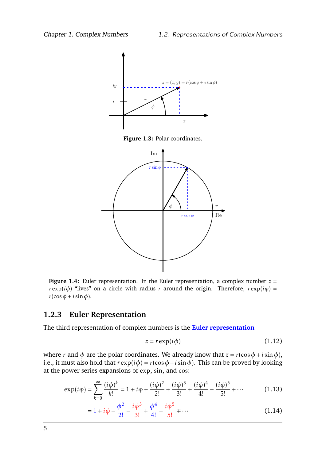

**Figure 1.3:** Polar coordinates.



**Figure 1.4:** Euler representation. In the Euler representation, a complex number  $z =$ *r* exp( $i\phi$ ) "lives" on a circle with radius *r* around the origin. Therefore,  $r \exp(i\phi) =$  $r(\cos \phi + i \sin \phi)$ .

## <span id="page-7-0"></span>**1.2.3 Euler Representation**

The third representation of complex numbers is the **Euler representation**

<span id="page-7-1"></span>
$$
z = r \exp(i\phi) \tag{1.12}
$$

where *r* and  $\phi$  are the polar coordinates. We already know that  $z = r(\cos \phi + i \sin \phi)$ , i.e., it must also hold that  $r \exp(i\phi) = r(\cos \phi + i \sin \phi)$ . This can be proved by looking at the power series expansions of exp, sin, and cos:

$$
\exp(i\phi) = \sum_{k=0}^{\infty} \frac{(i\phi)^k}{k!} = 1 + i\phi + \frac{(i\phi)^2}{2!} + \frac{(i\phi)^3}{3!} + \frac{(i\phi)^4}{4!} + \frac{(i\phi)^5}{5!} + \cdots
$$
 (1.13)

$$
= 1 + i\phi - \frac{\phi^2}{2!} - \frac{i\phi^3}{3!} + \frac{\phi^4}{4!} + \frac{i\phi^5}{5!} + \dots
$$
 (1.14)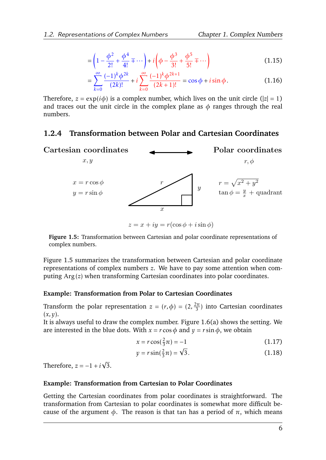$$
= \left(1 - \frac{\phi^2}{2!} + \frac{\phi^4}{4!} \mp \cdots \right) + i \left(\phi - \frac{\phi^3}{3!} + \frac{\phi^5}{5!} \mp \cdots \right)
$$
 (1.15)

$$
= \sum_{k=0}^{\infty} \frac{(-1)^k \phi^{2k}}{(2k)!} + i \sum_{k=0}^{\infty} \frac{(-1)^k \phi^{2k+1}}{(2k+1)!} = \cos \phi + i \sin \phi.
$$
 (1.16)

Therefore,  $z = \exp(i\phi)$  is a complex number, which lives on the unit circle ( $|z| = 1$ ) and traces out the unit circle in the complex plane as  $\phi$  ranges through the real numbers.

## <span id="page-8-0"></span>**1.2.4 Transformation between Polar and Cartesian Coordinates**

<span id="page-8-1"></span>

**Figure 1.5:** Transformation between Cartesian and polar coordinate representations of complex numbers.

Figure [1.5](#page-8-1) summarizes the transformation between Cartesian and polar coordinate representations of complex numbers *z*. We have to pay some attention when computing Arg (*z*) when transforming Cartesian coordinates into polar coordinates.

#### **Example: Transformation from Polar to Cartesian Coordinates**

Transform the polar representation  $z = (r, \phi) = (2, \frac{2\pi}{3})$  $\frac{2\pi}{3}$ ) into Cartesian coordinates (*x,y*).

It is always useful to draw the complex number. Figure [1.6\(a\)](#page-9-0) shows the setting. We are interested in the blue dots. With  $x = r \cos \phi$  and  $y = r \sin \phi$ , we obtain

$$
x = r\cos(\frac{2}{3}\pi) = -1\tag{1.17}
$$

$$
y = r \sin(\frac{2}{3}\pi) = \sqrt{3}.
$$
 (1.18)

Therefore,  $z = -1 + i$ √ 3.

#### **Example: Transformation from Cartesian to Polar Coordinates**

Getting the Cartesian coordinates from polar coordinates is straightforward. The transformation from Cartesian to polar coordinates is somewhat more difficult because of the argument *φ*. The reason is that tan has a period of *π*, which means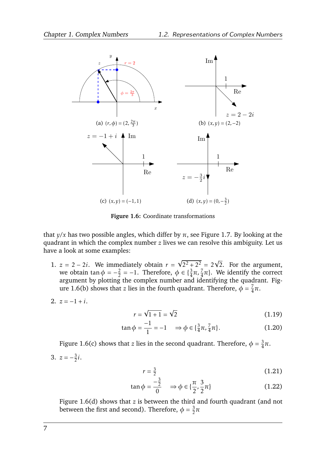<span id="page-9-2"></span><span id="page-9-0"></span>

<span id="page-9-3"></span><span id="page-9-1"></span>**Figure 1.6:** Coordinate transformations

that  $y/x$  has two possible angles, which differ by  $\pi$ , see Figure [1.7.](#page-10-2) By looking at the quadrant in which the complex number *z* lives we can resolve this ambiguity. Let us have a look at some examples:

1.  $z = 2 - 2i$ . We immediately obtain  $r =$  $\sqrt{2^2 + 2^2} = 2\sqrt{2}$ . For the argument, we obtain tan  $\phi = -\frac{2}{2}$  $\frac{2}{2} = -1$ . Therefore,  $\phi \in \{\frac{3}{4}\pi, \frac{7}{4}\pi\}$ . We identify the correct argument by plotting the complex number and identifying the quadrant. Fig-ure [1.6\(b\)](#page-9-1) shows that *z* lies in the fourth quadrant. Therefore,  $\phi = \frac{7}{4}$ 4 *π*.

$$
2. \ \ z=-1+i.
$$

$$
r = \sqrt{1+1} = \sqrt{2}
$$
 (1.19)

$$
\tan \phi = \frac{-1}{1} = -1 \quad \Rightarrow \phi \in \{\frac{3}{4}\pi, \frac{7}{4}\pi\}.
$$
 (1.20)

Figure [1.6\(c\)](#page-9-2) shows that *z* lies in the second quadrant. Therefore,  $\phi = \frac{3}{4}$  $\frac{3}{4}\pi$ . 3.  $z = -\frac{3}{2}$  $\frac{3}{2}i$ .

$$
r = \frac{3}{2} \tag{1.21}
$$

$$
\tan \phi = \frac{-\frac{3}{2}}{0} \Rightarrow \phi \in \{\frac{\pi}{2}, \frac{3}{2}\pi\}
$$
 (1.22)

Figure [1.6\(d\)](#page-9-3) shows that *z* is between the third and fourth quadrant (and not between the first and second). Therefore,  $\phi = \frac{3}{2}$  $\frac{3}{2}\pi$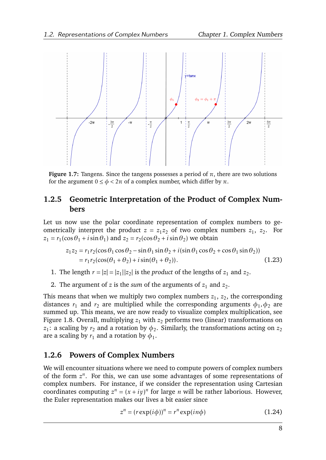<span id="page-10-2"></span>

**Figure 1.7:** Tangens. Since the tangens possesses a period of  $\pi$ , there are two solutions for the argument  $0 \le \phi < 2\pi$  of a complex number, which differ by  $\pi$ .

## <span id="page-10-0"></span>**1.2.5 Geometric Interpretation of the Product of Complex Numbers**

Let us now use the polar coordinate representation of complex numbers to geometrically interpret the product  $z = z_1 z_2$  of two complex numbers  $z_1, z_2$ . For  $z_1 = r_1(\cos\theta_1 + i\sin\theta_1)$  and  $z_2 = r_2(\cos\theta_2 + i\sin\theta_2)$  we obtain

<span id="page-10-3"></span>
$$
z_1 z_2 = r_1 r_2 (\cos \theta_1 \cos \theta_2 - \sin \theta_1 \sin \theta_2 + i(\sin \theta_1 \cos \theta_2 + \cos \theta_1 \sin \theta_2))
$$
  
=  $r_1 r_2 (\cos(\theta_1 + \theta_2) + i \sin(\theta_1 + \theta_2)).$  (1.23)

- 1. The length  $r = |z| = |z_1||z_2|$  is the *product* of the lengths of  $z_1$  and  $z_2$ .
- 2. The argument of  $z$  is the *sum* of the arguments of  $z_1$  and  $z_2$ .

This means that when we multiply two complex numbers  $z_1$ ,  $z_2$ , the corresponding distances  $r_1$  and  $r_2$  are multiplied while the corresponding arguments  $\phi_1, \phi_2$  are summed up. This means, we are now ready to visualize complex multiplication, see Figure [1.8.](#page-11-1) Overall, multiplying  $z_1$  with  $z_2$  performs two (linear) transformations on  $z_1$ : a scaling by  $r_2$  and a rotation by  $\phi_2$ . Similarly, the transformations acting on  $z_2$ are a scaling by  $r_1$  and a rotation by  $\phi_1.$ 

## <span id="page-10-1"></span>**1.2.6 Powers of Complex Numbers**

We will encounter situations where we need to compute powers of complex numbers of the form  $z^n$ . For this, we can use some advantages of some representations of complex numbers. For instance, if we consider the representation using Cartesian coordinates computing  $z^n = (x + iy)^n$  for large *n* will be rather laborious. However, the Euler representation makes our lives a bit easier since

$$
zn = (r \exp(i\phi))n = rn \exp(in\phi)
$$
 (1.24)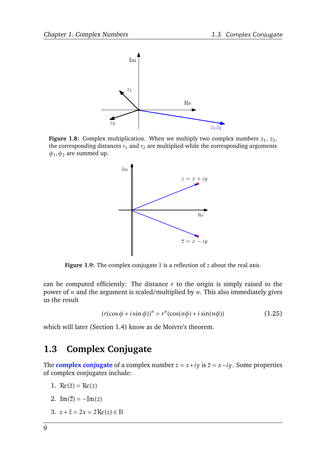<span id="page-11-1"></span>

<span id="page-11-2"></span>**Figure 1.8:** Complex multiplication. When we multiply two complex numbers  $z_1$ ,  $z_2$ , the corresponding distances  $r_1$  and  $r_2$  are multiplied while the corresponding arguments  $\phi_1$ *,* $\phi_2$  are summed up.



**Figure 1.9:** The complex conjugate  $\overline{z}$  is a reflection of  $z$  about the real axis.

can be computed efficiently: The distance  $r$  to the origin is simply raised to the power of *n* and the argument is scaled/multiplied by *n*. This also immediately gives us the result

$$
(r(\cos\phi + i\sin\phi))^n = r^n(\cos(n\phi) + i\sin(n\phi))
$$
 (1.25)

which will later (Section [1.4\)](#page-13-0) know as de Moivre's theorem.

## <span id="page-11-0"></span>**1.3 Complex Conjugate**

The **complex conjugate** of a complex number  $z = x + iy$  is  $\overline{z} = x - iy$ . Some properties of complex conjugates include:

- 1.  $\Re(z) = \Re(z)$
- 2.  $Im(\bar{z}) = -Im(z)$
- 3.  $z + \overline{z} = 2x = 2Re(z) \in \mathbb{R}$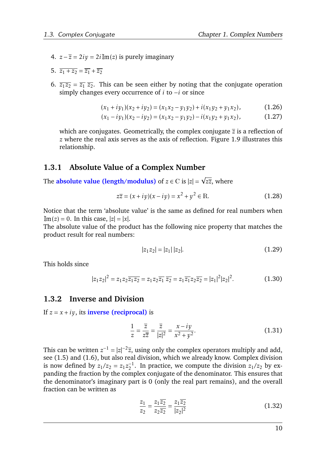- 4.  $z \overline{z} = 2i\overline{y} = 2i\overline{w}(z)$  is purely imaginary
- 5.  $\overline{z_1 + z_2} = \overline{z_1} + \overline{z_2}$
- 6.  $\overline{z_1 z_2} = \overline{z_1} \ \overline{z_2}$ . This can be seen either by noting that the conjugate operation simply changes every occurrence of *i* to −*i* or since

$$
(x_1 + iy_1)(x_2 + iy_2) = (x_1x_2 - y_1y_2) + i(x_1y_2 + y_1x_2),
$$
\n(1.26)

$$
(x_1 - iy_1)(x_2 - iy_2) = (x_1x_2 - y_1y_2) - i(x_1y_2 + y_1x_2),
$$
\n(1.27)

which are conjugates. Geometrically, the complex conjugate *z* is a reflection of *z* where the real axis serves as the axis of reflection. Figure [1.9](#page-11-2) illustrates this relationship.

## <span id="page-12-0"></span>**1.3.1 Absolute Value of a Complex Number**

The **absolute value (length/modulus)** of *z* ∈ C is |*z*| = *zz*, where

$$
z\overline{z} = (x + iy)(x - iy) = x^2 + y^2 \in \mathbb{R}.
$$
 (1.28)

Notice that the term 'absolute value' is the same as defined for real numbers when  $\text{Im}(z) = 0$ . In this case,  $|z| = |x|$ .

The absolute value of the product has the following nice property that matches the product result for real numbers:

$$
|z_1 z_2| = |z_1| \, |z_2|.\tag{1.29}
$$

This holds since

$$
|z_1 z_2|^2 = z_1 z_2 \overline{z_1 z_2} = z_1 z_2 \overline{z_1} \overline{z_2} = z_1 \overline{z_1} z_2 \overline{z_2} = |z_1|^2 |z_2|^2. \tag{1.30}
$$

#### <span id="page-12-1"></span>**1.3.2 Inverse and Division**

If  $z = x + iy$ , its **inverse** (**reciprocal**) is

$$
\frac{1}{z} = \frac{\overline{z}}{z\overline{z}} = \frac{\overline{z}}{|z|^2} = \frac{x - iy}{x^2 + y^2}.
$$
 (1.31)

This can be written  $z^{-1} = |z|^{-2} \overline{z}$ , using only the complex operators multiply and add, see [\(1.5\)](#page-5-5) and [\(1.6\)](#page-5-3), but also real division, which we already know. Complex division is now defined by  $z_1/z_2 = z_1z_2^{-1}$  $z_2^{-1}$ . In practice, we compute the division  $z_1/z_2$  by expanding the fraction by the complex conjugate of the denominator. This ensures that the denominator's imaginary part is 0 (only the real part remains), and the overall fraction can be written as

$$
\frac{z_1}{z_2} = \frac{z_1 \overline{z_2}}{z_2 \overline{z_2}} = \frac{z_1 \overline{z_2}}{|z_2|^2}
$$
(1.32)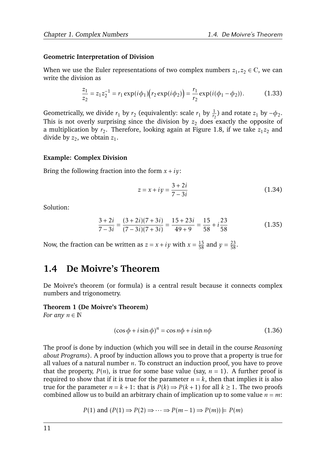#### **Geometric Interpretation of Division**

When we use the Euler representations of two complex numbers  $z_1, z_2 \in \mathbb{C}$ , we can write the division as

$$
\frac{z_1}{z_2} = z_1 z_2^{-1} = r_1 \exp(i\phi_1) (r_2 \exp(i\phi_2)) = \frac{r_1}{r_2} \exp(i(\phi_1 - \phi_2)).
$$
 (1.33)

Geometrically, we divide  $r_1$  by  $r_2$  (equivalently: scale  $r_1$  by  $\frac{1}{r_2}$ ) and rotate  $z_1$  by  $-\phi_2$ . This is not overly surprising since the division by  $z_2$  does exactly the opposite of a multiplication by  $r_2$ . Therefore, looking again at Figure [1.8,](#page-11-1) if we take  $z_1z_2$  and divide by  $z_2$ , we obtain  $z_1$ .

#### **Example: Complex Division**

Bring the following fraction into the form  $x + iy$ :

$$
z = x + iy = \frac{3 + 2i}{7 - 3i} \tag{1.34}
$$

Solution:

$$
\frac{3+2i}{7-3i} = \frac{(3+2i)(7+3i)}{(7-3i)(7+3i)} = \frac{15+23i}{49+9} = \frac{15}{58} + i\frac{23}{58}
$$
(1.35)

Now, the fraction can be written as  $z = x + iy$  with  $x = \frac{15}{58}$  and  $y = \frac{23}{58}$ .

## <span id="page-13-0"></span>**1.4 De Moivre's Theorem**

De Moivre's theorem (or formula) is a central result because it connects complex numbers and trigonometry.

## **Theorem 1 (De Moivre's Theorem)**

*For any*  $n \in \mathbb{N}$ 

<span id="page-13-1"></span>
$$
(\cos \phi + i \sin \phi)^n = \cos n\phi + i \sin n\phi \qquad (1.36)
$$

The proof is done by induction (which you will see in detail in the course *Reasoning about Programs*). A proof by induction allows you to prove that a property is true for all values of a natural number *n*. To construct an induction proof, you have to prove that the property,  $P(n)$ , is true for some base value (say,  $n = 1$ ). A further proof is required to show that if it is true for the parameter  $n = k$ , then that implies it is also true for the parameter  $n = k + 1$ : that is  $P(k) \Rightarrow P(k + 1)$  for all  $k \ge 1$ . The two proofs combined allow us to build an arbitrary chain of implication up to some value  $n = m$ :

$$
P(1)
$$
 and  $(P(1) \Rightarrow P(2) \Rightarrow \cdots \Rightarrow P(m-1) \Rightarrow P(m)) \models P(m)$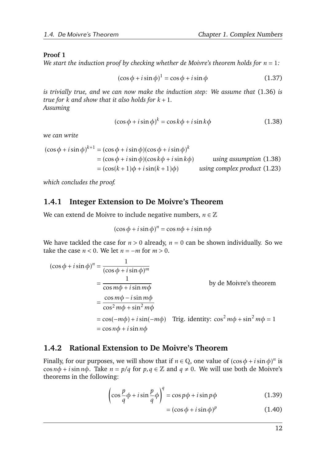### **Proof 1**

*We start the induction proof by checking whether de Moivre's theorem holds for*  $n = 1$ :

$$
(\cos \phi + i \sin \phi)^1 = \cos \phi + i \sin \phi \tag{1.37}
$$

*is trivially true, and we can now make the induction step: We assume that* [\(1.36\)](#page-13-1) *is true for*  $k$  *and show that it also holds for*  $k + 1$ *. Assuming*

<span id="page-14-2"></span>
$$
(\cos \phi + i \sin \phi)^k = \cos k\phi + i \sin k\phi \tag{1.38}
$$

*we can write*

$$
(\cos \phi + i \sin \phi)^{k+1} = (\cos \phi + i \sin \phi)(\cos \phi + i \sin \phi)^k
$$
  
=  $(\cos \phi + i \sin \phi)(\cos k\phi + i \sin k\phi)$  using assumption (1.38)  
=  $(\cos(k+1)\phi + i \sin(k+1)\phi)$  using complex product (1.23)

*which concludes the proof.*

## <span id="page-14-0"></span>**1.4.1 Integer Extension to De Moivre's Theorem**

We can extend de Moivre to include negative numbers,  $n \in \mathbb{Z}$ 

$$
(\cos \phi + i \sin \phi)^n = \cos n\phi + i \sin n\phi
$$

We have tackled the case for  $n > 0$  already,  $n = 0$  can be shown individually. So we take the case  $n < 0$ . We let  $n = -m$  for  $m > 0$ .

$$
(\cos \phi + i \sin \phi)^n = \frac{1}{(\cos \phi + i \sin \phi)^m}
$$
  
=  $\frac{1}{\cos m\phi + i \sin m\phi}$  by de Moivre's theorem  
=  $\frac{\cos m\phi - i \sin m\phi}{\cos^2 m\phi + \sin^2 m\phi}$   
=  $\cos(-m\phi) + i \sin(-m\phi)$  Trig. identity:  $\cos^2 m\phi + \sin^2 m\phi = 1$   
=  $\cos n\phi + i \sin n\phi$ 

## <span id="page-14-1"></span>**1.4.2 Rational Extension to De Moivre's Theorem**

Finally, for our purposes, we will show that if  $n \in \mathbb{Q}$ , one value of  $(\cos \phi + i \sin \phi)^n$  is cos  $n\phi + i \sin n\phi$ . Take  $n = p/q$  for  $p, q \in \mathbb{Z}$  and  $q \neq 0$ . We will use both de Moivre's theorems in the following:

$$
\left(\cos\frac{p}{q}\phi + i\sin\frac{p}{q}\phi\right)^{q} = \cos p\phi + i\sin p\phi \tag{1.39}
$$

$$
= (\cos \phi + i \sin \phi)^p \tag{1.40}
$$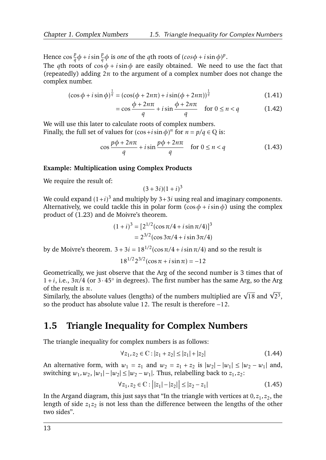Hence  $\cos\frac{p}{q}\phi + i\sin\frac{p}{q}\phi$  is *one* of the *q*th roots of  $(cos\phi + i\sin\phi)^p$ .

The *q*th roots of  $\cos \phi + i \sin \phi$  are easily obtained. We need to use the fact that (repeatedly) adding  $2\pi$  to the argument of a complex number does not change the complex number.

$$
(\cos \phi + i \sin \phi)^{\frac{1}{q}} = (\cos(\phi + 2n\pi) + i \sin(\phi + 2n\pi))^{\frac{1}{q}}
$$
(1.41)

$$
= \cos\frac{\phi + 2n\pi}{q} + i\sin\frac{\phi + 2n\pi}{q} \quad \text{for } 0 \le n < q \tag{1.42}
$$

We will use this later to calculate roots of complex numbers. Finally, the full set of values for  $(\cos + i \sin \phi)^n$  for  $n = p/q \in \mathbb{Q}$  is:

$$
\cos\frac{p\phi + 2n\pi}{q} + i\sin\frac{p\phi + 2n\pi}{q} \quad \text{for } 0 \le n < q \tag{1.43}
$$

#### **Example: Multiplication using Complex Products**

We require the result of:

$$
(3+3i)(1+i)^3
$$

We could expand  $(1+i)^3$  and multiply by  $3+3i$  using real and imaginary components. Alternatively, we could tackle this in polar form  $(\cos \phi + i \sin \phi)$  using the complex product of [\(1.23\)](#page-10-3) and de Moivre's theorem.

$$
(1+i)^3 = [2^{1/2}(\cos \pi/4 + i \sin \pi/4)]^3
$$
  
= 2<sup>3/2</sup>(cos 3 $\pi$ /4 + i sin 3 $\pi$ /4)

by de Moivre's theorem.  $3 + 3i = 18^{1/2} (\cos \pi/4 + i \sin \pi/4)$  and so the result is

$$
18^{1/2}2^{3/2}(\cos \pi + i \sin \pi) = -12
$$

Geometrically, we just observe that the Arg of the second number is 3 times that of  $1 + i$ , i.e.,  $3\pi/4$  (or  $3 \cdot 45^\circ$  in degrees). The first number has the same Arg, so the Arg of the result is *π*.

of the result is  $\pi.$ <br>Similarly, the absolute values (lengths) of the numbers multiplied are  $\sqrt{18}$  and  $\sqrt{2^3},$ so the product has absolute value 12. The result is therefore −12.

## <span id="page-15-0"></span>**1.5 Triangle Inequality for Complex Numbers**

The triangle inequality for complex numbers is as follows:

$$
\forall z_1, z_2 \in \mathbb{C} : |z_1 + z_2| \le |z_1| + |z_2| \tag{1.44}
$$

An alternative form, with  $w_1 = z_1$  and  $w_2 = z_1 + z_2$  is  $|w_2| - |w_1| \le |w_2 - w_1|$  and, switching  $w_1, w_2, |w_1| - |w_2| \le |w_2 - w_1|$ . Thus, relabelling back to  $z_1, z_2$ :

<span id="page-15-1"></span>
$$
\forall z_1, z_2 \in \mathbb{C} : ||z_1| - |z_2|| \le |z_2 - z_1|
$$
\n(1.45)

In the Argand diagram, this just says that "In the triangle with vertices at  $0, z_1, z_2$ , the length of side  $z_1 z_2$  is not less than the difference between the lengths of the other two sides".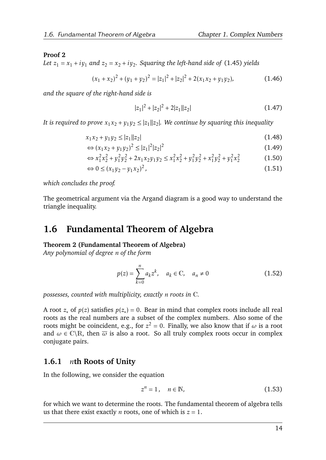#### **Proof 2**

Let  $z_1 = x_1 + iy_1$  and  $z_2 = x_2 + iy_2$ . Squaring the left-hand side of [\(1.45\)](#page-15-1) yields

$$
(x_1 + x_2)^2 + (y_1 + y_2)^2 = |z_1|^2 + |z_2|^2 + 2(x_1x_2 + y_1y_2),
$$
 (1.46)

*and the square of the right-hand side is*

$$
|z_1|^2 + |z_2|^2 + 2|z_1||z_2| \tag{1.47}
$$

It is required to prove  $x_1x_2 + y_1y_2 \le |z_1||z_2|$ . We continue by squaring this inequality

$$
x_1 x_2 + y_1 y_2 \le |z_1||z_2| \tag{1.48}
$$

$$
\Leftrightarrow (x_1x_2 + y_1y_2)^2 \le |z_1|^2|z_2|^2 \tag{1.49}
$$

$$
\Leftrightarrow x_1^2 x_2^2 + y_1^2 y_2^2 + 2x_1 x_2 y_1 y_2 \le x_1^2 x_2^2 + y_1^2 y_2^2 + x_1^2 y_2^2 + y_1^2 x_2^2 \tag{1.50}
$$

$$
\Leftrightarrow 0 \le (x_1y_2 - y_1x_2)^2, \tag{1.51}
$$

*which concludes the proof.*

The geometrical argument via the Argand diagram is a good way to understand the triangle inequality.

## <span id="page-16-0"></span>**1.6 Fundamental Theorem of Algebra**

#### **Theorem 2 (Fundamental Theorem of Algebra)**

*Any polynomial of degree n of the form*

$$
p(z) = \sum_{k=0}^{n} a_k z^k, \quad a_k \in \mathbb{C}, \quad a_n \neq 0
$$
 (1.52)

*possesses, counted with multiplicity, exactly n roots in* C*.*

A root  $z_*$  of  $p(z)$  satisfies  $p(z_*) = 0$ . Bear in mind that complex roots include all real roots as the real numbers are a subset of the complex numbers. Also some of the roots might be coincident, e.g., for  $z^2 = 0$ . Finally, we also know that if  $\omega$  is a root and  $\omega \in \mathbb{C} \backslash \mathbb{R}$ , then  $\overline{\omega}$  is also a root. So all truly complex roots occur in complex conjugate pairs.

## <span id="page-16-1"></span>**1.6.1** *n***th Roots of Unity**

In the following, we consider the equation

<span id="page-16-2"></span>
$$
z^n = 1, \quad n \in \mathbb{N},\tag{1.53}
$$

for which we want to determine the roots. The fundamental theorem of algebra tells us that there exist exactly *n* roots, one of which is  $z = 1$ .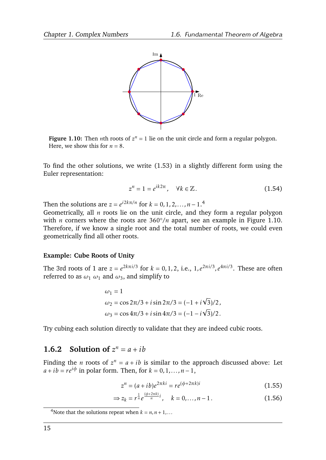<span id="page-17-2"></span>

**Figure 1.10:** Then *n*th roots of  $z^n = 1$  lie on the unit circle and form a regular polygon. Here, we show this for  $n = 8$ .

To find the other solutions, we write [\(1.53\)](#page-16-2) in a slightly different form using the Euler representation:

$$
z^n = 1 = e^{ik2\pi}, \quad \forall k \in \mathbb{Z}.
$$
 (1.54)

Then the solutions are  $z = e^{i2k\pi/n}$  for  $k = 0, 1, 2, \ldots, n - 1$ .<sup>[4](#page-17-1)</sup>

Geometrically, all *n* roots lie on the unit circle, and they form a regular polygon with *n* corners where the roots are 360°/*n* apart, see an example in Figure [1.10.](#page-17-2) Therefore, if we know a single root and the total number of roots, we could even geometrically find all other roots.

#### **Example: Cube Roots of Unity**

The 3rd roots of 1 are  $z = e^{2k\pi i/3}$  for  $k = 0, 1, 2,$  i.e.,  $1, e^{2\pi i/3}, e^{4\pi i/3}$ . These are often referred to as  $\omega_1$   $\omega_1$  and  $\omega_3$ , and simplify to

$$
\omega_1 = 1
$$
  
\n
$$
\omega_2 = \cos 2\pi/3 + i \sin 2\pi/3 = (-1 + i\sqrt{3})/2,
$$
  
\n
$$
\omega_3 = \cos 4\pi/3 + i \sin 4\pi/3 = (-1 - i\sqrt{3})/2.
$$

Try cubing each solution directly to validate that they are indeed cubic roots.

## <span id="page-17-0"></span>**1.6.2** Solution of  $z^n = a + ib$

Finding the *n* roots of  $z^n = a + ib$  is similar to the approach discussed above: Let  $a + ib = re^{i\phi}$  in polar form. Then, for  $k = 0, 1, \ldots, n-1$ ,

<span id="page-17-3"></span>
$$
z^{n} = (a + ib)e^{2\pi ki} = re^{(\phi + 2\pi k)i}
$$
\n(1.55)

$$
\Rightarrow z_k = r^{\frac{1}{n}} e^{\frac{(\phi + 2\pi k)}{n}i}, \quad k = 0, ..., n - 1.
$$
 (1.56)

<span id="page-17-1"></span><sup>&</sup>lt;sup>4</sup>Note that the solutions repeat when  $k = n, n + 1, \ldots$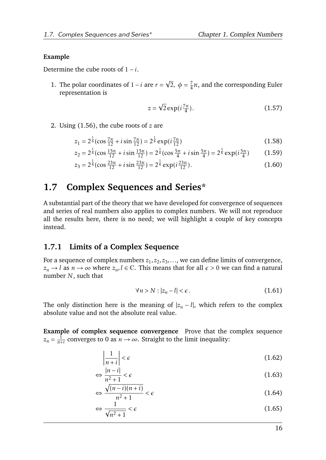#### **Example**

Determine the cube roots of  $1 - i$ .

1. The polar coordinates of 1−*i* are *r* = √  $\sqrt{2}$ ,  $\phi = \frac{7}{4}$  $\frac{7}{4}\pi$ , and the corresponding Euler representation is

$$
z = \sqrt{2} \exp(i\frac{7\pi}{4}).\tag{1.57}
$$

2. Using [\(1.56\)](#page-17-3), the cube roots of *z* are

$$
z_1 = 2^{\frac{1}{6}} (\cos \frac{7\pi}{12} + i \sin \frac{7\pi}{12}) = 2^{\frac{1}{6}} \exp(i \frac{7\pi}{12})
$$
 (1.58)

$$
z_2 = 2^{\frac{1}{6}} (\cos \frac{15\pi}{12} + i \sin \frac{15\pi}{12}) = 2^{\frac{1}{6}} (\cos \frac{5\pi}{4} + i \sin \frac{5\pi}{4}) = 2^{\frac{1}{6}} \exp(i\frac{5\pi}{4})
$$
(1.59)

$$
z_3 = 2^{\frac{1}{6}} (\cos \frac{23\pi}{12} + i \sin \frac{23\pi}{12}) = 2^{\frac{1}{6}} \exp(i \frac{23\pi}{12}).
$$
 (1.60)

## <span id="page-18-0"></span>**1.7 Complex Sequences and Series\***

A substantial part of the theory that we have developed for convergence of sequences and series of real numbers also applies to complex numbers. We will not reproduce all the results here, there is no need; we will highlight a couple of key concepts instead.

#### <span id="page-18-1"></span>**1.7.1 Limits of a Complex Sequence**

For a sequence of complex numbers  $z_1, z_2, z_3, \ldots$ , we can define limits of convergence, *z*<sub>*n*</sub> → *l* as *n* → ∞ where *z*<sub>*n*</sub>, *l* ∈ C. This means that for all  $\epsilon$  > 0 we can find a natural number *N*, such that

$$
\forall n > N : |z_n - l| < \epsilon. \tag{1.61}
$$

The only distinction here is the meaning of  $|z_n - l|$ , which refers to the complex absolute value and not the absolute real value.

**Example of complex sequence convergence** Prove that the complex sequence  $z_n = \frac{1}{n+1}$  $\frac{1}{n+i}$  converges to 0 as  $n \to \infty$ . Straight to the limit inequality:

$$
\left|\frac{1}{n+i}\right| < \epsilon \tag{1.62}
$$

$$
\Leftrightarrow \frac{|n-i|}{n^2+1} < \epsilon \tag{1.63}
$$

$$
\Leftrightarrow \frac{\sqrt{(n-i)(n+i)}}{n^2+1} < \epsilon \tag{1.64}
$$

$$
\Leftrightarrow \frac{1}{\sqrt{n^2 + 1}} < \epsilon \tag{1.65}
$$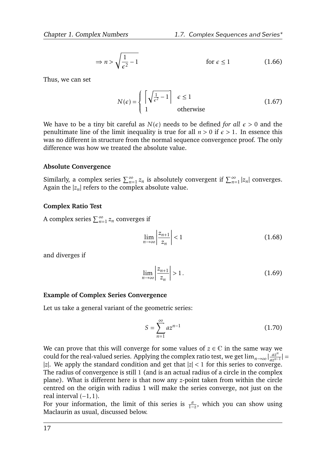$$
\Rightarrow n > \sqrt{\frac{1}{\epsilon^2} - 1} \qquad \text{for } \epsilon \le 1 \tag{1.66}
$$

Thus, we can set

$$
N(\epsilon) = \begin{cases} \left\lceil \sqrt{\frac{1}{\epsilon^2} - 1} \right\rceil & \epsilon \le 1\\ 1 & \text{otherwise} \end{cases}
$$
 (1.67)

We have to be a tiny bit careful as  $N(\epsilon)$  needs to be defined *for all*  $\epsilon > 0$  and the penultimate line of the limit inequality is true for all  $n > 0$  if  $\epsilon > 1$ . In essence this was no different in structure from the normal sequence convergence proof. The only difference was how we treated the absolute value.

#### **Absolute Convergence**

Similarly, a complex series  $\sum_{n=1}^{\infty} z_n$  is absolutely convergent if  $\sum_{n=1}^{\infty} |z_n|$  converges. Again the  $|z_n|$  refers to the complex absolute value.

#### **Complex Ratio Test**

A complex series  $\sum_{n=1}^{\infty} z_n$  converges if

$$
\lim_{n \to \infty} \left| \frac{z_{n+1}}{z_n} \right| < 1 \tag{1.68}
$$

and diverges if

$$
\lim_{n \to \infty} \left| \frac{z_{n+1}}{z_n} \right| > 1. \tag{1.69}
$$

#### **Example of Complex Series Convergence**

Let us take a general variant of the geometric series:

$$
S = \sum_{n=1}^{\infty} a z^{n-1}
$$
 (1.70)

We can prove that this will converge for some values of  $z \in \mathbb{C}$  in the same way we could for the real-valued series. Applying the complex ratio test, we get  $\lim_{n\to\infty}$   $\frac{az^n}{az^n}$  $\frac{az^n}{az^{n-1}}|$  = |*z*|. We apply the standard condition and get that  $|z|$  < 1 for this series to converge. The radius of convergence is still 1 (and is an actual radius of a circle in the complex plane). What is different here is that now any *z*-point taken from within the circle centred on the origin with radius 1 will make the series converge, not just on the real interval (−1*,*1).

For your information, the limit of this series is  $\frac{a}{1-z}$ , which you can show using Maclaurin as usual, discussed below.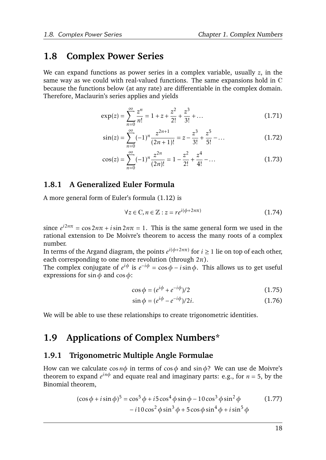## <span id="page-20-0"></span>**1.8 Complex Power Series**

We can expand functions as power series in a complex variable, usually *z*, in the same way as we could with real-valued functions. The same expansions hold in C because the functions below (at any rate) are differentiable in the complex domain. Therefore, Maclaurin's series applies and yields

$$
\exp(z) = \sum_{n=0}^{\infty} \frac{z^n}{n!} = 1 + z + \frac{z^2}{2!} + \frac{z^3}{3!} + \dots
$$
 (1.71)

$$
\sin(z) = \sum_{n=0}^{\infty} (-1)^n \frac{z^{2n+1}}{(2n+1)!} = z - \frac{z^3}{3!} + \frac{z^5}{5!} - \dots
$$
 (1.72)

$$
\cos(z) = \sum_{n=0}^{\infty} (-1)^n \frac{z^{2n}}{(2n)!} = 1 - \frac{z^2}{2!} + \frac{z^4}{4!} - \dots
$$
 (1.73)

## <span id="page-20-1"></span>**1.8.1 A Generalized Euler Formula**

A more general form of Euler's formula [\(1.12\)](#page-7-1) is

$$
\forall z \in \mathbb{C}, n \in \mathbb{Z}: z = re^{i(\phi + 2n\pi)} \tag{1.74}
$$

since  $e^{i2n\pi} = \cos 2n\pi + i \sin 2n\pi = 1$ . This is the same general form we used in the rational extension to De Moivre's theorem to access the many roots of a complex number.

In terms of the Argand diagram, the points  $e^{i(\phi+2n\pi)}$  for  $i\geq 1$  lie on top of each other, each corresponding to one more revolution (through 2*π*).

The complex conjugate of  $e^{i\phi}$  is  $e^{-i\phi} = \cos \phi - i \sin \phi$ . This allows us to get useful expressions for sin*φ* and cos*φ*:

$$
\cos \phi = (e^{i\phi} + e^{-i\phi})/2 \tag{1.75}
$$

$$
\sin \phi = (e^{i\phi} - e^{-i\phi})/2i.
$$
 (1.76)

We will be able to use these relationships to create trigonometric identities.

## <span id="page-20-2"></span>**1.9 Applications of Complex Numbers\***

## <span id="page-20-3"></span>**1.9.1 Trigonometric Multiple Angle Formulae**

How can we calculate cos*nφ* in terms of cos*φ* and sin*φ*? We can use de Moivre's theorem to expand *e inφ* and equate real and imaginary parts: e.g., for *n* = 5, by the Binomial theorem,

$$
(\cos \phi + i \sin \phi)^5 = \cos^5 \phi + i5 \cos^4 \phi \sin \phi - 10 \cos^3 \phi \sin^2 \phi
$$
 (1.77)  
-  $i10 \cos^2 \phi \sin^3 \phi + 5 \cos \phi \sin^4 \phi + i \sin^5 \phi$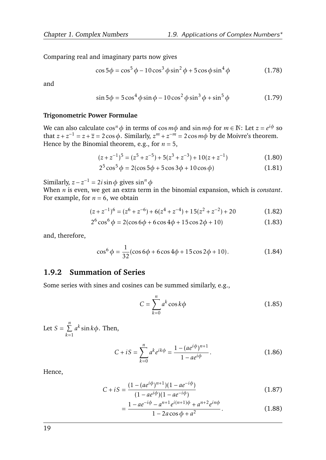Comparing real and imaginary parts now gives

$$
\cos 5\phi = \cos^5 \phi - 10\cos^3 \phi \sin^2 \phi + 5\cos \phi \sin^4 \phi \tag{1.78}
$$

and

$$
\sin 5\phi = 5\cos^4 \phi \sin \phi - 10\cos^2 \phi \sin^3 \phi + \sin^5 \phi \tag{1.79}
$$

#### **Trigonometric Power Formulae**

We can also calculate  $\cos^n \phi$  in terms of  $\cos m\phi$  and  $\sin m\phi$  for  $m \in \mathbb{N}$ : Let  $z = e^{i\phi}$  so that  $z + z^{-1} = z + \overline{z} = 2\cos\phi$ . Similarly,  $z^m + z^{-m} = 2\cos m\phi$  by de Moivre's theorem. Hence by the Binomial theorem, e.g., for  $n = 5$ ,

$$
(z + z-1)5 = (z5 + z-5) + 5(z3 + z-3) + 10(z + z-1)
$$
 (1.80)

$$
2^{5}\cos^{5}\phi = 2(\cos 5\phi + 5\cos 3\phi + 10\cos \phi)
$$
 (1.81)

Similarly,  $z - z^{-1} = 2i \sin \phi$  gives  $\sin^n \phi$ 

When *n* is even, we get an extra term in the binomial expansion, which is *constant*. For example, for  $n = 6$ , we obtain

$$
(z + z-1)6 = (z6 + z-6) + 6(z4 + z-4) + 15(z2 + z-2) + 20
$$
 (1.82)

$$
2^{6}\cos^{6}\phi = 2(\cos 6\phi + 6\cos 4\phi + 15\cos 2\phi + 10)
$$
 (1.83)

and, therefore,

$$
\cos^{6} \phi = \frac{1}{32} (\cos 6\phi + 6\cos 4\phi + 15\cos 2\phi + 10). \tag{1.84}
$$

## <span id="page-21-0"></span>**1.9.2 Summation of Series**

Some series with sines and cosines can be summed similarly, e.g.,

$$
C = \sum_{k=0}^{n} a^k \cos k\phi
$$
 (1.85)

Let  $S = \sum^{n}$ *k*=1 *a k* sin*kφ*. Then,

$$
C + iS = \sum_{k=0}^{n} a^k e^{ik\phi} = \frac{1 - (ae^{i\phi})^{n+1}}{1 - ae^{i\phi}}.
$$
 (1.86)

Hence,

$$
C + iS = \frac{(1 - (ae^{i\phi})^{n+1})(1 - ae^{-i\phi})}{(1 - ae^{i\phi})(1 - ae^{-i\phi})}
$$
(1.87)

$$
=\frac{1 - ae^{-i\phi} - a^{n+1}e^{i(n+1)\phi} + a^{n+2}e^{in\phi}}{1 - 2a\cos\phi + a^2}.
$$
 (1.88)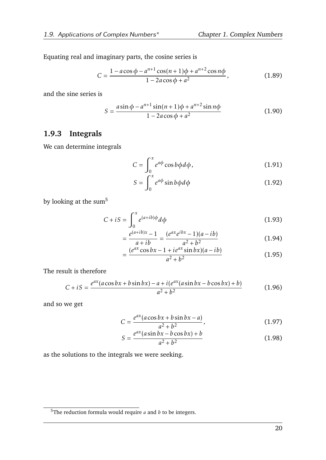Equating real and imaginary parts, the cosine series is

$$
C = \frac{1 - a\cos\phi - a^{n+1}\cos((n+1)\phi + a^{n+2}\cos n\phi)}{1 - 2a\cos\phi + a^2},
$$
 (1.89)

and the sine series is

$$
S = \frac{a\sin\phi - a^{n+1}\sin(n+1)\phi + a^{n+2}\sin n\phi}{1 - 2a\cos\phi + a^2}
$$
(1.90)

## <span id="page-22-0"></span>**1.9.3 Integrals**

We can determine integrals

$$
C = \int_0^x e^{a\phi} \cos b\phi d\phi, \qquad (1.91)
$$

$$
S = \int_0^x e^{a\phi} \sin b\phi d\phi \qquad (1.92)
$$

by looking at the sum<sup>[5](#page-22-1)</sup>

$$
C + iS = \int_0^x e^{(a+ib)\phi} d\phi
$$
 (1.93)

$$
=\frac{e^{(a+ib)x}-1}{a+ib}=\frac{(e^{ax}e^{ibx}-1)(a-ib)}{a^2+b^2}
$$
(1.94)

$$
= \frac{(e^{ax}\cos bx - 1 + ie^{ax}\sin bx)(a - ib)}{a^2 + b^2}
$$
 (1.95)

The result is therefore

$$
C + iS = \frac{e^{ax}(a\cos bx + b\sin bx) - a + i(e^{ax}(a\sin bx - b\cos bx) + b)}{a^2 + b^2}
$$
(1.96)

and so we get

$$
C = \frac{e^{ax}(a\cos bx + b\sin bx - a)}{a^2 + b^2},
$$
 (1.97)

$$
S = \frac{e^{ax}(a\sin bx - b\cos bx) + b}{a^2 + b^2}
$$
 (1.98)

as the solutions to the integrals we were seeking.

<span id="page-22-1"></span><sup>5</sup>The reduction formula would require *a* and *b* to be integers.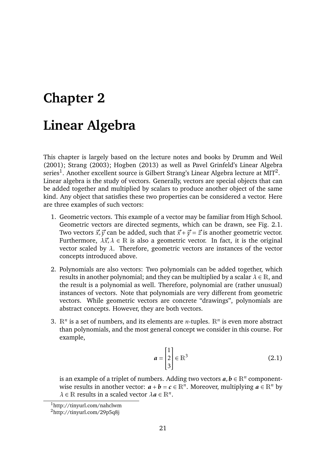## <span id="page-23-0"></span>**Chapter 2**

## **Linear Algebra**

This chapter is largely based on the lecture notes and books by [Drumm and Weil](#page-75-2) [\(2001\)](#page-75-2); [Strang](#page-75-3) [\(2003\)](#page-75-3); [Hogben](#page-75-4) [\(2013\)](#page-75-4) as well as Pavel Grinfeld's Linear Algebra series $^1$  $^1$ . Another excellent source is Gilbert Strang's Linear Algebra lecture at MIT $^2$  $^2$ . Linear algebra is the study of vectors. Generally, vectors are special objects that can be added together and multiplied by scalars to produce another object of the same kind. Any object that satisfies these two properties can be considered a vector. Here are three examples of such vectors:

- 1. Geometric vectors. This example of a vector may be familiar from High School. Geometric vectors are directed segments, which can be drawn, see Fig. [2.1.](#page-24-2) Two vectors  $\vec{x}$ ,  $\vec{y}$  can be added, such that  $\vec{x} + \vec{y} = \vec{z}$  is another geometric vector. Furthermore,  $\lambda \vec{x}, \lambda \in \mathbb{R}$  is also a geometric vector. In fact, it is the original vector scaled by  $\lambda$ . Therefore, geometric vectors are instances of the vector concepts introduced above.
- 2. Polynomials are also vectors: Two polynomials can be added together, which results in another polynomial; and they can be multiplied by a scalar  $\lambda \in \mathbb{R}$ , and the result is a polynomial as well. Therefore, polynomial are (rather unusual) instances of vectors. Note that polynomials are very different from geometric vectors. While geometric vectors are concrete "drawings", polynomials are abstract concepts. However, they are both vectors.
- 3.  $\mathbb{R}^n$  is a set of numbers, and its elements are *n*-tuples.  $\mathbb{R}^n$  is even more abstract than polynomials, and the most general concept we consider in this course. For example,

$$
a = \begin{bmatrix} 1 \\ 2 \\ 3 \end{bmatrix} \in \mathbb{R}^3
$$
 (2.1)

is an example of a triplet of numbers. Adding two vectors  $a, b \in \mathbb{R}^n$  componentwise results in another vector:  $a + b = c \in \mathbb{R}^n$ . Moreover, multiplying  $a \in \mathbb{R}^n$  by  $\lambda \in \mathbb{R}$  results in a scaled vector  $\lambda a \in \mathbb{R}^n$ .

<span id="page-23-1"></span><sup>1</sup>http://tinyurl.com/nahclwm

<span id="page-23-2"></span><sup>2</sup>http://tinyurl.com/29p5q8j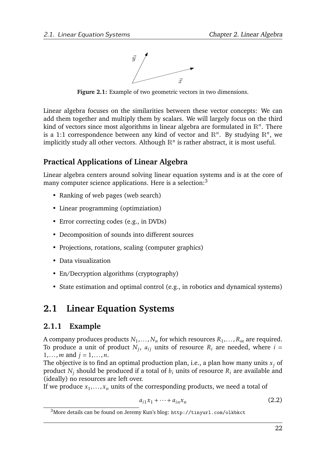

<span id="page-24-2"></span>**Figure 2.1:** Example of two geometric vectors in two dimensions.

Linear algebra focuses on the similarities between these vector concepts: We can add them together and multiply them by scalars. We will largely focus on the third kind of vectors since most algorithms in linear algebra are formulated in  $\mathbb{R}^n$ . There is a 1:1 correspondence between any kind of vector and  $\mathbb{R}^n$ . By studying  $\mathbb{R}^n$ , we implicitly study all other vectors. Although  $\mathbb{R}^n$  is rather abstract, it is most useful.

## **Practical Applications of Linear Algebra**

Linear algebra centers around solving linear equation systems and is at the core of many computer science applications. Here is a selection:<sup>[3](#page-24-3)</sup>

- Ranking of web pages (web search)
- Linear programming (optimziation)
- Error correcting codes (e.g., in DVDs)
- Decomposition of sounds into different sources
- Projections, rotations, scaling (computer graphics)
- Data visualization
- En/Decryption algorithms (cryptography)
- State estimation and optimal control (e.g., in robotics and dynamical systems)

## <span id="page-24-0"></span>**2.1 Linear Equation Systems**

## <span id="page-24-1"></span>**2.1.1 Example**

A company produces products  $N_1,\ldots,N_n$  for which resources  $R_1,\ldots,R_m$  are required. To produce a unit of product  $N_j$ ,  $a_{ij}$  units of resource  $R_i$  are needed, where  $i =$ 1*,...,m* and *j* = 1*,...,n*.

The objective is to find an optimal production plan, i.e., a plan how many units  $x_i$  of product *N<sup>j</sup>* should be produced if a total of *b<sup>i</sup>* units of resource *R<sup>i</sup>* are available and (ideally) no resources are left over.

If we produce  $x_1, \ldots, x_n$  units of the corresponding products, we need a total of

$$
a_{i1}x_1 + \dots + a_{in}x_n \tag{2.2}
$$

<span id="page-24-3"></span><sup>3</sup>More details can be found on Jeremy Kun's blog: <http://tinyurl.com/olkbkct>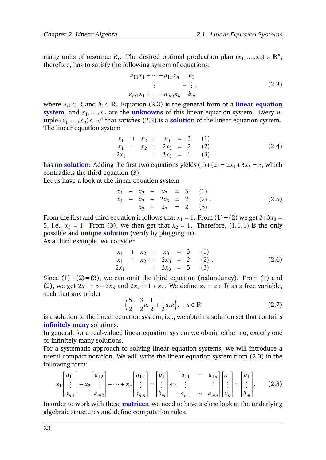many units of resource  $R_i$ . The desired optimal production plan  $(x_1,...,x_n) \in \mathbb{R}^n$ , therefore, has to satisfy the following system of equations:

<span id="page-25-0"></span>
$$
a_{11}x_1 + \dots + a_{1n}x_n \t b_1
$$
  
\n
$$
\vdots \t = \vdots,
$$
  
\n
$$
a_{m1}x_1 + \dots + a_{mn}x_n \t b_m
$$
\n(2.3)

where  $a_{ij}$  ∈ R and  $b_i$  ∈ R. Equation [\(2.3\)](#page-25-0) is the general form of a **linear equation system**, and  $x_1, \ldots, x_n$  are the **unknowns** of this linear equation system. Every *n*tuple  $(x_1,...,x_n) \in \mathbb{R}^n$  that satisfies [\(2.3\)](#page-25-0) is a **solution** of the linear equation system. The linear equation system

$$
\begin{array}{rcl}\nx_1 & + x_2 & + x_3 & = & 3 & (1) \\
x_1 & - x_2 & + 2x_3 & = & 2 & (2) \\
2x_1 & + 3x_3 & = & 1 & (3)\n\end{array}
$$
\n(2.4)

has **no solution:** Adding the first two equations yields  $(1)+(2) = 2x_1+3x_3 = 5$ , which contradicts the third equation (3).

Let us have a look at the linear equation system

$$
\begin{array}{rcl}\nx_1 & + & x_2 & + & x_3 & = & 3 & (1) \\
x_1 & - & x_2 & + & 2x_3 & = & 2 & (2) \\
x_2 & + & x_3 & = & 2 & (3)\n\end{array} \tag{2.5}
$$

From the first and third equation it follows that  $x_1 = 1$ . From (1)+(2) we get 2+3 $x_3 =$ 5, i.e.,  $x_3 = 1$ . From (3), we then get that  $x_2 = 1$ . Therefore, (1,1,1) is the only possible and **unique solution** (verify by plugging in).

As a third example, we consider

$$
\begin{array}{rcl}\nx_1 & + x_2 & + x_3 & = & 3 & (1) \\
x_1 & - x_2 & + 2x_3 & = & 2 & (2) \\
2x_1 & + 3x_3 & = & 5 & (3)\n\end{array} \tag{2.6}
$$

Since  $(1)+(2)=(3)$ , we can omit the third equation (redundancy). From (1) and (2), we get  $2x_1 = 5 - 3x_3$  and  $2x_2 = 1 + x_3$ . We define  $x_3 = a \in \mathbb{R}$  as a free variable, such that any triplet

<span id="page-25-1"></span>
$$
\left(\frac{5}{2} - \frac{3}{2}a, \frac{1}{2} + \frac{1}{2}a, a\right), \quad a \in \mathbb{R} \tag{2.7}
$$

is a solution to the linear equation system, i.e., we obtain a solution set that contains **infinitely many** solutions.

In general, for a real-valued linear equation system we obtain either no, exactly one or infinitely many solutions.

For a systematic approach to solving linear equation systems, we will introduce a useful compact notation. We will write the linear equation system from [\(2.3\)](#page-25-0) in the following form:

$$
x_1\begin{bmatrix} a_{11} \\ \vdots \\ a_{m1} \end{bmatrix} + x_2\begin{bmatrix} a_{12} \\ \vdots \\ a_{m2} \end{bmatrix} + \dots + x_n\begin{bmatrix} a_{1n} \\ \vdots \\ a_{mn} \end{bmatrix} = \begin{bmatrix} b_1 \\ \vdots \\ b_m \end{bmatrix} \Leftrightarrow \begin{bmatrix} a_{11} & \cdots & a_{1n} \\ \vdots & & \vdots \\ a_{m1} & \cdots & a_{mn} \end{bmatrix} \begin{bmatrix} x_1 \\ \vdots \\ x_n \end{bmatrix} = \begin{bmatrix} b_1 \\ \vdots \\ b_m \end{bmatrix}.
$$
 (2.8)

In order to work with these **matrices**, we need to have a close look at the underlying algebraic structures and define computation rules.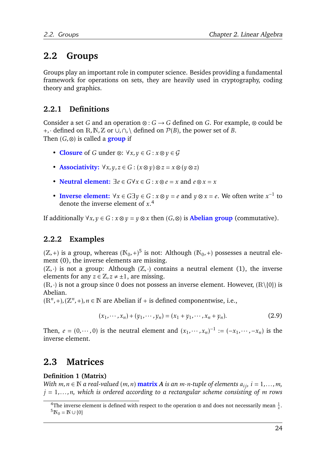## <span id="page-26-0"></span>**2.2 Groups**

Groups play an important role in computer science. Besides providing a fundamental framework for operations on sets, they are heavily used in cryptography, coding theory and graphics.

## <span id="page-26-1"></span>**2.2.1 Definitions**

Consider a set *G* and an operation  $\otimes$  :  $G \rightarrow G$  defined on *G*. For example,  $\otimes$  could be +*,*· defined on R*,*N*,*Z or ∪*,*∩*,*\ defined on P(*B*), the power set of *B*. Then (*G,*⊗) is called a **group** if

- **Closure** of *G* under ⊗: ∀*x,y* ∈ *G* : *x* ⊗*y* ∈ G
- **Associativity:**  $\forall x, y, z \in G : (x \otimes y) \otimes z = x \otimes (y \otimes z)$
- **Neutral element:**  $\exists e \in G \forall x \in G : x \otimes e = x$  and  $e \otimes x = x$
- **Inverse element:**  $\forall x \in G \exists y \in G : x \otimes y = e$  and  $y \otimes x = e$ . We often write  $x^{-1}$  to denote the inverse element of *x*. [4](#page-26-4)

If additionally  $\forall x, y \in G : x \otimes y = y \otimes x$  then  $(G, \otimes)$  is **Abelian group** (commutative).

## <span id="page-26-2"></span>**2.2.2 Examples**

 $(\mathbb{Z}, +)$  is a group, whereas  $(\mathbb{N}_0, +)^5$  $(\mathbb{N}_0, +)^5$  is not: Although  $(\mathbb{N}_0, +)$  possesses a neutral element (0), the inverse elements are missing.

 $(\mathbb{Z}, \cdot)$  is not a group: Although  $(\mathbb{Z}, \cdot)$  contains a neutral element (1), the inverse elements for any  $z \in \mathbb{Z}, z \neq \pm 1$ , are missing.

 $(R, \cdot)$  is not a group since 0 does not possess an inverse element. However,  $(R \setminus \{0\})$  is Abelian.

 $(\mathbb{R}^n, +), (\mathbb{Z}^n, +), n \in \mathbb{N}$  are Abelian if  $+$  is defined componentwise, i.e.,

<span id="page-26-6"></span>
$$
(x_1, \cdots, x_n) + (y_1, \cdots, y_n) = (x_1 + y_1, \cdots, x_n + y_n). \tag{2.9}
$$

Then,  $e = (0, \dots, 0)$  is the neutral element and  $(x_1, \dots, x_n)^{-1} := (-x_1, \dots, -x_n)$  is the inverse element.

## <span id="page-26-3"></span>**2.3 Matrices**

## **Definition 1 (Matrix)**

*With*  $m, n \in \mathbb{N}$  *a real-valued*  $(m, n)$  **matrix** *A is an*  $m \cdot n$ -tuple of elements  $a_{ij}$ ,  $i = 1, ..., m$ , *j* = 1*,...,n, which is ordered according to a rectangular scheme consisting of m rows*

<span id="page-26-5"></span><span id="page-26-4"></span><sup>&</sup>lt;sup>4</sup>The inverse element is defined with respect to the operation  $\otimes$  and does not necessarily mean  $\frac{1}{x}$ .  ${}^5N_0 = N \cup \{0\}$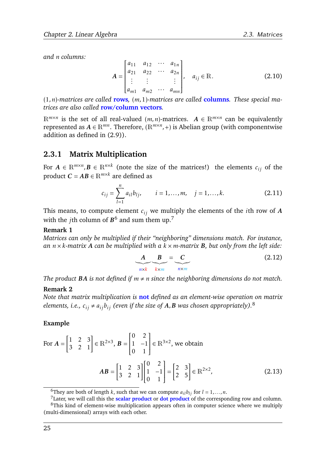*and n columns:*

$$
A = \begin{bmatrix} a_{11} & a_{12} & \cdots & a_{1n} \\ a_{21} & a_{22} & \cdots & a_{2n} \\ \vdots & \vdots & & \vdots \\ a_{m1} & a_{m2} & \cdots & a_{mn} \end{bmatrix}, \quad a_{ij} \in \mathbb{R}.
$$
 (2.10)

(1*,n*)*-matrices are called* **rows***,* (*m,*1)*-matrices are called* **columns***. These special matrices are also called* **row/column vectors***.*

 $\mathbb{R}^{m \times n}$  is the set of all real-valued  $(m, n)$ -matrices.  $A \in \mathbb{R}^{m \times n}$  can be equivalently represented as *A* ∈ R*mn*. Therefore, (R*m*×*<sup>n</sup> ,*+) is Abelian group (with componentwise addition as defined in [\(2.9\)](#page-26-6)).

## <span id="page-27-0"></span>**2.3.1 Matrix Multiplication**

For  $A \in \mathbb{R}^{m \times n}$ ,  $B \in \mathbb{R}^{n \times k}$  (note the size of the matrices!) the elements  $c_{ij}$  of the product  $C = AB \in \mathbb{R}^{m \times k}$  are defined as

<span id="page-27-4"></span>
$$
c_{ij} = \sum_{l=1}^{n} a_{il} b_{lj}, \qquad i = 1, \dots, m, \quad j = 1, \dots, k.
$$
 (2.11)

This means, to compute element  $c_{ij}$  we multiply the elements of the *i*th row of *A* with the *j*th column of  $B^6$  $B^6$  and sum them up.<sup>[7](#page-27-2)</sup>

#### **Remark 1**

*Matrices can only be multiplied if their "neighboring" dimensions match. For instance, an n* × *k-matrix A can be multiplied with a k* × *m-matrix B, but only from the left side:*

$$
\underbrace{A}_{n \times k} \underbrace{B}_{k \times m} = \underbrace{C}_{n \times m}
$$
 (2.12)

*The product* **BA** *is not defined if*  $m \neq n$  *since the neighboring dimensions do not match.* 

#### **Remark 2**

*Note that matrix multiplication is* **not** *defined as an element-wise operation on matrix elements, i.e.,*  $c_{ij} \neq a_{ij}b_{ij}$  (even if the size of  $A$ ,  $B$  was chosen appropriately).<sup>[8](#page-27-3)</sup>

#### **Example**

For 
$$
\mathbf{A} = \begin{bmatrix} 1 & 2 & 3 \\ 3 & 2 & 1 \end{bmatrix} \in \mathbb{R}^{2 \times 3}
$$
,  $\mathbf{B} = \begin{bmatrix} 0 & 2 \\ 1 & -1 \\ 0 & 1 \end{bmatrix} \in \mathbb{R}^{3 \times 2}$ , we obtain  
\n
$$
\mathbf{AB} = \begin{bmatrix} 1 & 2 & 3 \\ 3 & 2 & 1 \end{bmatrix} \begin{bmatrix} 0 & 2 \\ 1 & -1 \\ 0 & 1 \end{bmatrix} = \begin{bmatrix} 2 & 3 \\ 2 & 5 \end{bmatrix} \in \mathbb{R}^{2 \times 2},
$$
\n(2.13)

<span id="page-27-2"></span><span id="page-27-1"></span><sup>&</sup>lt;sup>6</sup>They are both of length *k*, such that we can compute  $a_{il}b_{lj}$  for  $l = 1,...,n$ .

<span id="page-27-3"></span><sup>7</sup>Later, we will call this the **scalar product** or **dot product** of the corresponding row and column. <sup>8</sup>This kind of element-wise multiplication appears often in computer science where we multiply (multi-dimensional) arrays with each other.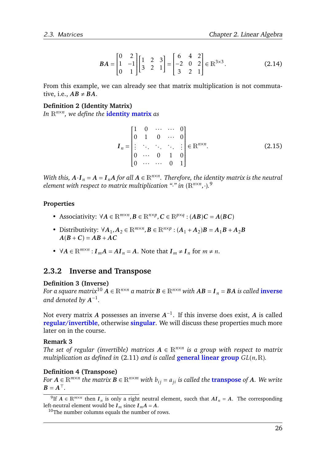$$
BA = \begin{bmatrix} 0 & 2 \\ 1 & -1 \\ 0 & 1 \end{bmatrix} \begin{bmatrix} 1 & 2 & 3 \\ 3 & 2 & 1 \end{bmatrix} = \begin{bmatrix} 6 & 4 & 2 \\ -2 & 0 & 2 \\ 3 & 2 & 1 \end{bmatrix} \in \mathbb{R}^{3 \times 3}.
$$
 (2.14)

From this example, we can already see that matrix multiplication is not commutative, i.e.,  $AB \neq BA$ .

#### **Definition 2 (Identity Matrix)**

*In* R*n*×*<sup>n</sup> , we define the* **identity matrix** *as*

$$
I_n = \begin{bmatrix} 1 & 0 & \cdots & \cdots & 0 \\ 0 & 1 & 0 & \cdots & 0 \\ \vdots & \ddots & \ddots & \ddots & \vdots \\ 0 & \cdots & 0 & 1 & 0 \\ 0 & \cdots & \cdots & 0 & 1 \end{bmatrix} \in \mathbb{R}^{n \times n}.
$$
 (2.15)

*With this,*  $A \cdot I_n = A = I_nA$  *for all*  $A \in \mathbb{R}^{n \times n}$ . Therefore, the identity matrix is the neutral *element with respect to matrix multiplication "*·*" in* (R*n*×*<sup>n</sup> ,*·)*.* [9](#page-28-1)

#### **Properties**

- Associativity:  $\forall A \in \mathbb{R}^{m \times n}, B \in \mathbb{R}^{n \times p}, C \in \mathbb{R}^{p \times q} : (AB)C = A(BC)$
- Distributivity:  $\forall A_1, A_2 \in \mathbb{R}^{m \times n}, B \in \mathbb{R}^{n \times p} : (A_1 + A_2)B = A_1B + A_2B$  $A(B+C) = AB + AC$
- $\forall A \in \mathbb{R}^{m \times n}$ :  $I_m A = AI_n = A$ . Note that  $I_m \neq I_n$  for  $m \neq n$ .

## <span id="page-28-0"></span>**2.3.2 Inverse and Transpose**

#### **Definition 3 (Inv[erse](#page-28-2))**

*For a square matrix*<sup>10</sup>  $\vec{A} \in \mathbb{R}^{n \times n}$  *a matrix*  $\vec{B} \in \mathbb{R}^{n \times n}$  *with*  $\vec{AB} = I_n = BA$  *is called* **inverse** and denoted by  $A^{-1}$ .

Not every matrix  $A$  possesses an inverse  $A^{-1}$ . If this inverse does exist,  $A$  is called **regular/invertible**, otherwise **singular**. We will discuss these properties much more later on in the course.

#### **Remark 3**

*The set of regular (invertible) matrices*  $A \in \mathbb{R}^{n \times n}$  *is a group with respect to matrix multiplication as defined in* [\(2.11\)](#page-27-4) *and is called* **general linear group** *GL*(*n,*R)*.*

#### **Definition 4 (Transpose)**

*For*  $A \in \mathbb{R}^{m \times n}$  the matrix  $B \in \mathbb{R}^{n \times m}$  with  $b_{ij} = a_{ji}$  is called the transpose of A. We write  $B = A^{\top}$ .

<span id="page-28-1"></span><sup>&</sup>lt;sup>9</sup>If  $A \in \mathbb{R}^{m \times n}$  then  $I_n$  is only a right neutral element, succh that  $AI_n = A$ . The corresponding left-neutral element would be  $I_m$  since  $I_m A = A$ .

<span id="page-28-2"></span><sup>10</sup>The number columns equals the number of rows.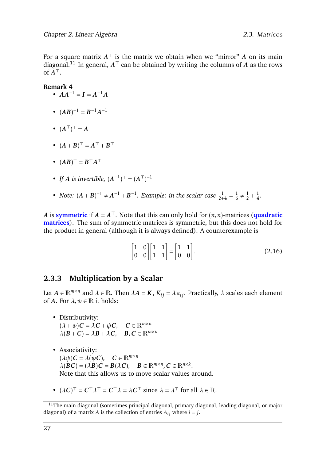For a square matrix  $A^\top$  is the matrix we obtain when we "mirror"  $A$  on its main diagonal.<sup>[11](#page-29-1)</sup> In general,  $A^{\top}$  can be obtained by writing the columns of *A* as the rows of  $\breve{A}^{\top}$ .

#### **Remark 4**

- $AA^{-1} = I = A^{-1}A$
- $(AB)^{-1} = B^{-1}A^{-1}$
- $(A^{\top})^{\top} = A$
- $(A + B)^{\top} = A^{\top} + B^{\top}$
- $(AB)^\top = B^\top A^\top$
- *If A is invertible,*  $(A^{-1})^T = (A^T)^{-1}$
- *Note:*  $(A + B)^{-1} \neq A^{-1} + B^{-1}$ *. Example: in the scalar case*  $\frac{1}{2+4} = \frac{1}{6}$  $\frac{1}{6} \neq \frac{1}{2}$  $rac{1}{2} + \frac{1}{4}$  $\frac{1}{4}$ .

*A* is **symmetric** if  $A = A^{\top}$ . Note that this can only hold for  $(n, n)$ -matrices (quadratic **matrices**). The sum of symmetric matrices is symmetric, but this does not hold for the product in general (although it is always defined). A counterexample is

$$
\begin{bmatrix} 1 & 0 \\ 0 & 0 \end{bmatrix} \begin{bmatrix} 1 & 1 \\ 1 & 1 \end{bmatrix} = \begin{bmatrix} 1 & 1 \\ 0 & 0 \end{bmatrix}.
$$
 (2.16)

## <span id="page-29-0"></span>**2.3.3 Multiplication by a Scalar**

Let  $A \in \mathbb{R}^{m \times n}$  and  $\lambda \in \mathbb{R}$ . Then  $\lambda A = K$ ,  $K_{ij} = \lambda a_{ij}$ . Practically,  $\lambda$  scales each element of *A*. For  $\lambda, \psi \in \mathbb{R}$  it holds:

- Distributivity:  $(\lambda + \psi)C = \lambda C + \psi C$ ,  $C \in \mathbb{R}^{m \times n}$  $\lambda(B+C) = \lambda B + \lambda C$ ,  $B, C \in \mathbb{R}^{m \times n}$
- Associativity:  $(\lambda \psi)C = \lambda(\psi C)$ ,  $C \in \mathbb{R}^{m \times n}$  $\lambda(\mathbf{B}\mathbf{C}) = (\lambda \mathbf{B})\mathbf{C} = \mathbf{B}(\lambda \mathbf{C}), \quad \mathbf{B} \in \mathbb{R}^{m \times n}, \mathbf{C} \in \mathbb{R}^{n \times k}.$ Note that this allows us to move scalar values around.
- $(\lambda C)^{\top} = C^{\top} \lambda^{\top} = C^{\top} \lambda = \lambda C^{\top}$  since  $\lambda = \lambda^{\top}$  for all  $\lambda \in \mathbb{R}$ .

<span id="page-29-1"></span><sup>&</sup>lt;sup>11</sup>The main diagonal (sometimes principal diagonal, primary diagonal, leading diagonal, or major diagonal) of a matrix *A* is the collection of entries  $A_{ij}$  where  $i = j$ .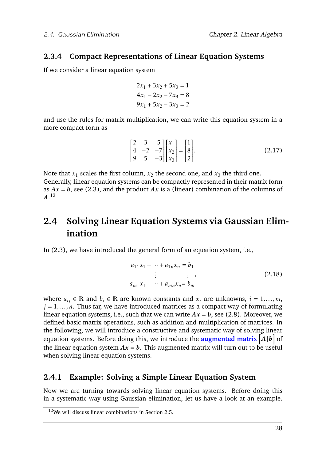## <span id="page-30-0"></span>**2.3.4 Compact Representations of Linear Equation Systems**

If we consider a linear equation system

$$
2x1 + 3x2 + 5x3 = 1
$$
  

$$
4x1 - 2x2 - 7x3 = 8
$$
  

$$
9x1 + 5x2 - 3x3 = 2
$$

and use the rules for matrix multiplication, we can write this equation system in a more compact form as

$$
\begin{bmatrix} 2 & 3 & 5 \ 4 & -2 & -7 \ 9 & 5 & -3 \ \end{bmatrix} \begin{bmatrix} x_1 \ x_2 \ x_3 \end{bmatrix} = \begin{bmatrix} 1 \ 8 \ 2 \end{bmatrix}.
$$
 (2.17)

Note that  $x_1$  scales the first column,  $x_2$  the second one, and  $x_3$  the third one. Generally, linear equation systems can be compactly represented in their matrix form as  $Ax = b$ , see [\(2.3\)](#page-25-0), and the product  $Ax$  is a (linear) combination of the columns of *A*. [12](#page-30-3)

## <span id="page-30-1"></span>**2.4 Solving Linear Equation Systems via Gaussian Elimination**

In [\(2.3\)](#page-25-0), we have introduced the general form of an equation system, i.e.,

$$
a_{11}x_1 + \dots + a_{1n}x_n = b_1
$$
  
\n
$$
\vdots \qquad \vdots
$$
  
\n
$$
a_{m1}x_1 + \dots + a_{mn}x_n = b_m
$$
 (2.18)

where  $a_{ij} \in \mathbb{R}$  and  $b_i \in \mathbb{R}$  are known constants and  $x_j$  are unknowns,  $i = 1, \ldots, m$ , *j* = 1*,...,n*. Thus far, we have introduced matrices as a compact way of formulating linear equation systems, i.e., such that we can write  $Ax = b$ , see [\(2.8\)](#page-25-1). Moreover, we defined basic matrix operations, such as addition and multiplication of matrices. In the following, we will introduce a constructive and systematic way of solving linear equation systems. Before doing this, we introduce the **augmented matrix**  $\begin{bmatrix} A \, | \, \boldsymbol{b} \end{bmatrix}$  of the linear equation system  $Ax = b$ . This augmented matrix will turn out to be useful when solving linear equation systems.

## <span id="page-30-2"></span>**2.4.1 Example: Solving a Simple Linear Equation System**

Now we are turning towards solving linear equation systems. Before doing this in a systematic way using Gaussian elimination, let us have a look at an example.

<span id="page-30-3"></span><sup>12</sup>We will discuss linear combinations in Section [2.5.](#page-39-0)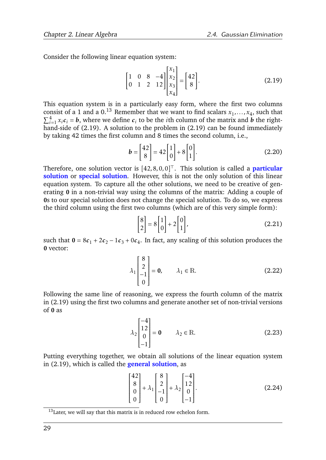Consider the following linear equation system:

<span id="page-31-1"></span>
$$
\begin{bmatrix} 1 & 0 & 8 & -4 \\ 0 & 1 & 2 & 12 \end{bmatrix} \begin{bmatrix} x_1 \\ x_2 \\ x_3 \\ x_4 \end{bmatrix} = \begin{bmatrix} 42 \\ 8 \end{bmatrix}.
$$
 (2.19)

This equation system is in a particularly easy form, where the first two columns consist of a 1 and a 0.<sup>[13](#page-31-0)</sup> Remember that we want to find scalars  $x_1, \ldots, x_4$ , such that  $\sum_{i=1}^{4} x_i c_i = b$ , where we define  $c_i$  to be the *i*th column of the matrix and *b* the righthand-side of  $(2.19)$ . A solution to the problem in  $(2.19)$  can be found immediately by taking 42 times the first column and 8 times the second column, i.e.,

$$
\boldsymbol{b} = \begin{bmatrix} 42 \\ 8 \end{bmatrix} = 42 \begin{bmatrix} 1 \\ 0 \end{bmatrix} + 8 \begin{bmatrix} 0 \\ 1 \end{bmatrix}.
$$
 (2.20)

Therefore, one solution vector is  $[42, 8, 0, 0]^\top$ . This solution is called a **particular solution** or **special solution**. However, this is not the only solution of this linear equation system. To capture all the other solutions, we need to be creative of generating 0 in a non-trivial way using the columns of the matrix: Adding a couple of 0s to our special solution does not change the special solution. To do so, we express the third column using the first two columns (which are of this very simple form):

$$
\begin{bmatrix} 8 \\ 2 \end{bmatrix} = 8 \begin{bmatrix} 1 \\ 0 \end{bmatrix} + 2 \begin{bmatrix} 0 \\ 1 \end{bmatrix},
$$
\n(2.21)

such that  $0 = 8c_1 + 2c_2 - 1c_3 + 0c_4$ . In fact, any scaling of this solution produces the 0 vector:

$$
\lambda_1 \begin{bmatrix} 8 \\ 2 \\ -1 \\ 0 \end{bmatrix} = \mathbf{0}, \qquad \lambda_1 \in \mathbb{R}.
$$
 (2.22)

Following the same line of reasoning, we express the fourth column of the matrix in [\(2.19\)](#page-31-1) using the first two columns and generate another set of non-trivial versions of 0 as

$$
\lambda_2 \begin{bmatrix} -4 \\ 12 \\ 0 \\ -1 \end{bmatrix} = \mathbf{0} \qquad \lambda_2 \in \mathbb{R}.
$$
 (2.23)

Putting everything together, we obtain all solutions of the linear equation system in [\(2.19\)](#page-31-1), which is called the **general solution**, as

$$
\begin{bmatrix} 42 \\ 8 \\ 0 \\ 0 \end{bmatrix} + \lambda_1 \begin{bmatrix} 8 \\ 2 \\ -1 \\ 0 \end{bmatrix} + \lambda_2 \begin{bmatrix} -4 \\ 12 \\ 0 \\ -1 \end{bmatrix}.
$$
 (2.24)

<span id="page-31-0"></span> $13$ Later, we will say that this matrix is in reduced row echelon form.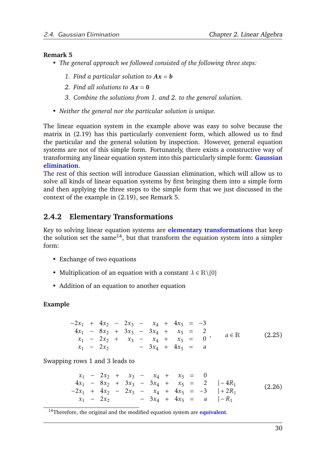### **Remark 5**

- *• The general approach we followed consisted of the following three steps:*
	- *1.* Find a particular solution to  $Ax = b$
	- *2.* Find all solutions to  $Ax = 0$
	- *3. Combine the solutions from 1. and 2. to the general solution.*
- <span id="page-32-1"></span>*• Neither the general nor the particular solution is unique.*

The linear equation system in the example above was easy to solve because the matrix in [\(2.19\)](#page-31-1) has this particularly convenient form, which allowed us to find the particular and the general solution by inspection. However, general equation systems are not of this simple form. Fortunately, there exists a constructive way of transforming any linear equation system into this particularly simple form: **Gaussian elimination**.

The rest of this section will introduce Gaussian elimination, which will allow us to solve all kinds of linear equation systems by first bringing them into a simple form and then applying the three steps to the simple form that we just discussed in the context of the example in [\(2.19\)](#page-31-1), see Remark [5.](#page-32-1)

## <span id="page-32-0"></span>**2.4.2 Elementary Transformations**

Key to solving linear equation systems are **elementary transformations** that keep the solution set the same<sup>[14](#page-32-2)</sup>, but that transform the equation system into a simpler form:

- Exchange of two equations
- Multiplication of an equation with a constant  $\lambda \in \mathbb{R} \setminus \{0\}$
- Addition of an equation to another equation

## **Example**

 $-2x_1 + 4x_2 - 2x_3 - x_4 + 4x_5 = -3$  $4x_1 - 8x_2 + 3x_3 - 3x_4 + x_5 = 2$  $x_1$  − 2 $x_2$  +  $x_3$  −  $x_4$  +  $x_5$  = 0'<br>  $x_1$  − 2 $x_2$  – 3 $x_4$  + 4 $x_5$  = a *x*<sup>1</sup> − 2*x*<sup>2</sup> − 3*x*<sup>4</sup> + 4*x*<sup>5</sup> = *a*  $a \in \mathbb{R}$  (2.25)

Swapping rows 1 and 3 leads to

$$
x_1 - 2x_2 + x_3 - x_4 + x_5 = 0
$$
  
\n
$$
4x_1 - 8x_2 + 3x_3 - 3x_4 + x_5 = 2 |-4R_1
$$
  
\n
$$
-2x_1 + 4x_2 - 2x_3 - x_4 + 4x_5 = -3 |+2R_1
$$
  
\n
$$
x_1 - 2x_2 - 3x_4 + 4x_5 = a |-R_1
$$
\n(2.26)

<span id="page-32-2"></span><sup>14</sup>Therefore, the original and the modified equation system are **equivalent**.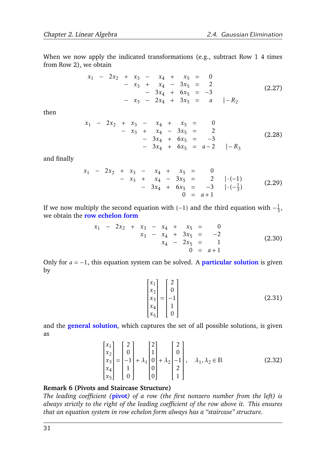When we now apply the indicated transformations (e.g., subtract Row 1 4 times from Row 2), we obtain

$$
x_1 - 2x_2 + x_3 - x_4 + x_5 = 0
$$
  
\n
$$
- x_3 + x_4 - 3x_5 = 2
$$
  
\n
$$
- x_3 - 2x_4 + 3x_5 = a | -R_2
$$
\n(2.27)

then

$$
x_1 - 2x_2 + x_3 - x_4 + x_5 = 0
$$
  
-  $x_3 + x_4 - 3x_5 = 2$   
-  $3x_4 + 6x_5 = -3$   
-  $3x_4 + 6x_5 = a-2$  | -R<sub>3</sub> (2.28)

and finally

$$
x_1 - 2x_2 + x_3 - x_4 + x_5 = 0
$$
  
-  $x_3 + x_4 - 3x_5 = 2 | \cdot (-1) - 3x_4 + 6x_5 = -3 | \cdot (-\frac{1}{3})$  (2.29)  
0 = a + 1

If we now multiply the second equation with  $(-1)$  and the third equation with  $-\frac{1}{3}$  $\frac{1}{3}$ , we obtain the **row echelon form**

$$
x_1 - 2x_2 + x_3 - x_4 + x_5 = 0
$$
  

$$
x_3 - x_4 + 3x_5 = -2
$$
  

$$
x_4 - 2x_5 = 1
$$
  

$$
0 = a + 1
$$
 (2.30)

Only for *a* = −1, this equation system can be solved. A **particular solution** is given by

$$
\begin{bmatrix} x_1 \\ x_2 \\ x_3 \\ x_4 \\ x_5 \end{bmatrix} = \begin{bmatrix} 2 \\ 0 \\ -1 \\ 1 \\ 0 \end{bmatrix}
$$
 (2.31)

and the **general solution**, which captures the set of all possible solutions, is given as

$$
\begin{bmatrix} x_1 \\ x_2 \\ x_3 \\ x_4 \\ x_5 \end{bmatrix} = \begin{bmatrix} 2 \\ 0 \\ -1 \\ 1 \\ 0 \\ 0 \end{bmatrix} + \lambda_1 \begin{bmatrix} 2 \\ 1 \\ 0 \\ 0 \\ 0 \end{bmatrix} + \lambda_2 \begin{bmatrix} 2 \\ 0 \\ -1 \\ 2 \\ 1 \end{bmatrix}, \quad \lambda_1, \lambda_2 \in \mathbb{R} \tag{2.32}
$$

#### **Remark 6 (Pivots and Staircase Structure)**

*The leading coefficient (***pivot***) of a row (the first nonzero number from the left) is always strictly to the right of the leading coefficient of the row above it. This ensures that an equation system in row echelon form always has a "staircase" structure.*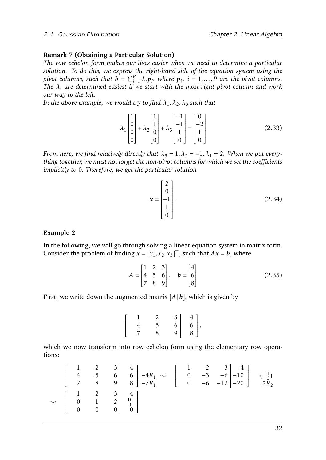### **Remark 7 (Obtaining a Particular Solution)**

*The row echelon form makes our lives easier when we need to determine a particular solution. To do this, we express the right-hand side of the equation system using the pivot columns, such that*  $\mathbf{b} = \sum_{i=1}^{P} \lambda_i \mathbf{p}_i$ , where  $\mathbf{p}_i$ ,  $i = 1, ..., P$  are the pivot columns. *The λ<sup>i</sup> are determined easiest if we start with the most-right pivot column and work our way to the left.*

In the above example, we would try to find  $\lambda_1, \lambda_2, \lambda_3$  such that

$$
\lambda_1 \begin{bmatrix} 1 \\ 0 \\ 0 \\ 0 \end{bmatrix} + \lambda_2 \begin{bmatrix} 1 \\ 1 \\ 0 \\ 0 \end{bmatrix} + \lambda_3 \begin{bmatrix} -1 \\ -1 \\ 1 \\ 0 \end{bmatrix} = \begin{bmatrix} 0 \\ -2 \\ 1 \\ 0 \end{bmatrix}
$$
 (2.33)

*From here, we find relatively directly that*  $\lambda_3 = 1, \lambda_2 = -1, \lambda_1 = 2$ . When we put every*thing together, we must not forget the non-pivot columns for which we set the coefficients implicitly to* 0*. Therefore, we get the particular solution*

$$
\mathbf{x} = \begin{bmatrix} 2 \\ 0 \\ -1 \\ 1 \\ 0 \end{bmatrix} .
$$
 (2.34)

#### **Example 2**

In the following, we will go through solving a linear equation system in matrix form. Consider the problem of finding  $\mathbf{x} = [x_1, x_2, x_3]^\top$ , such that  $A\mathbf{x} = \mathbf{b}$ , where

$$
A = \begin{bmatrix} 1 & 2 & 3 \\ 4 & 5 & 6 \\ 7 & 8 & 9 \end{bmatrix}, \quad b = \begin{bmatrix} 4 \\ 6 \\ 8 \end{bmatrix}
$$
 (2.35)

First, we write down the augmented matrix  $[A|b]$ , which is given by

$$
\left[\begin{array}{cccc|c}1 & 2 & 3 & 4\\4 & 5 & 6 & 6\\7 & 8 & 9 & 8\end{array}\right],
$$

which we now transform into row echelon form using the elementary row operations:

$$
\begin{bmatrix} 1 & 2 & 3 & 4 \ 4 & 5 & 6 & 6 \ 7 & 8 & 9 & 8 \end{bmatrix} \xrightarrow{-4R_1} \xrightarrow{-A} \begin{bmatrix} 1 & 2 & 3 & 4 \ 0 & -3 & -6 & -10 \ 0 & -6 & -12 & -20 \end{bmatrix} \xrightarrow{-(-\frac{1}{3})} \xrightarrow{-2R_2}
$$
  
\n
$$
\xrightarrow{\rightarrow}
$$
 
$$
\begin{bmatrix} 1 & 2 & 3 & 4 \ 0 & 1 & 2 & \frac{10}{3} \\ 0 & 0 & 0 & 0 \end{bmatrix}
$$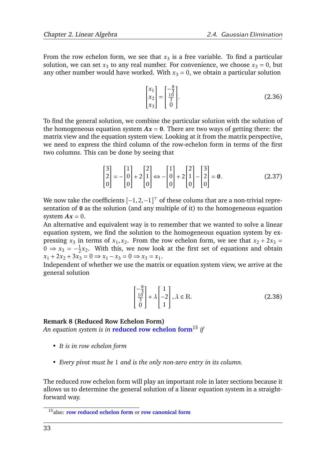From the row echelon form, we see that  $x_3$  is a free variable. To find a particular solution, we can set  $x_3$  to any real number. For convenience, we choose  $x_3 = 0$ , but any other number would have worked. With  $x_3 = 0$ , we obtain a particular solution

$$
\begin{bmatrix} x_1 \\ x_2 \\ x_3 \end{bmatrix} = \begin{bmatrix} -\frac{8}{3} \\ \frac{10}{3} \\ 0 \end{bmatrix} .
$$
 (2.36)

To find the general solution, we combine the particular solution with the solution of the homogeneous equation system  $Ax = 0$ . There are two ways of getting there: the matrix view and the equation system view. Looking at it from the matrix perspective, we need to express the third column of the row-echelon form in terms of the first two columns. This can be done by seeing that

$$
\begin{bmatrix} 3 \\ 2 \\ 0 \end{bmatrix} = -\begin{bmatrix} 1 \\ 0 \\ 0 \end{bmatrix} + 2\begin{bmatrix} 2 \\ 1 \\ 0 \end{bmatrix} \Longleftrightarrow -\begin{bmatrix} 1 \\ 0 \\ 0 \end{bmatrix} + 2\begin{bmatrix} 2 \\ 1 \\ 0 \end{bmatrix} - \begin{bmatrix} 3 \\ 2 \\ 0 \end{bmatrix} = \mathbf{0}.
$$
 (2.37)

We now take the coefficients  $[-1, 2, -1]^\top$  of these colums that are a non-trivial representation of 0 as the solution (and any multiple of it) to the homogeneous equation system  $Ax = 0$ .

An alternative and equivalent way is to remember that we wanted to solve a linear equation system, we find the solution to the homogeneous equation system by expressing  $x_3$  in terms of  $x_1, x_2$ . From the row echelon form, we see that  $x_2 + 2x_3 =$  $0 \Rightarrow x_3 = -\frac{1}{2}$  $\frac{1}{2}x_2$ . With this, we now look at the first set of equations and obtain  $x_1 + 2x_2 + 3x_3 = 0 \implies x_1 - x_3 = 0 \implies x_3 = x_1.$ 

Independent of whether we use the matrix or equation system view, we arrive at the general solution

$$
\begin{bmatrix} -\frac{8}{3} \\ \frac{10}{3} \\ 0 \end{bmatrix} + \lambda \begin{bmatrix} 1 \\ -2 \\ 1 \end{bmatrix}, \lambda \in \mathbb{R}.
$$
 (2.38)

#### **Remark 8 (Reduced Row Echelon Form)**

*An equation system is in* **reduced row echelon form**[15](#page-35-0) *if*

- *• It is in row echelon form*
- *• Every pivot must be* 1 *and is the only non-zero entry in its column.*

The reduced row echelon form will play an important role in later sections because it allows us to determine the general solution of a linear equation system in a straightforward way.

<span id="page-35-0"></span><sup>15</sup>also: **row reduced echelon form** or **row canonical form**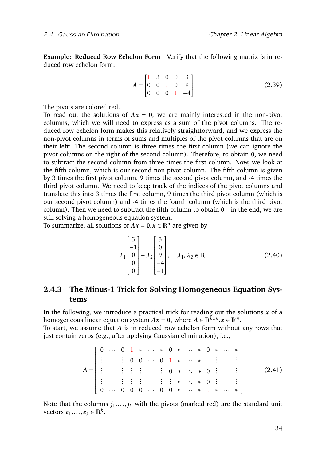**Example: Reduced Row Echelon Form** Verify that the following matrix is in reduced row echelon form:

<span id="page-36-0"></span>
$$
A = \begin{bmatrix} 1 & 3 & 0 & 0 & 3 \\ 0 & 0 & 1 & 0 & 9 \\ 0 & 0 & 0 & 1 & -4 \end{bmatrix}
$$
 (2.39)

The pivots are colored red.

To read out the solutions of  $Ax = 0$ , we are mainly interested in the non-pivot columns, which we will need to express as a sum of the pivot columns. The reduced row echelon form makes this relatively straightforward, and we express the non-pivot columns in terms of sums and multiples of the pivot columns that are on their left: The second column is three times the first column (we can ignore the pivot columns on the right of the second column). Therefore, to obtain 0, we need to subtract the second column from three times the first column. Now, we look at the fifth column, which is our second non-pivot column. The fifth column is given by 3 times the first pivot column, 9 times the second pivot column, and -4 times the third pivot column. We need to keep track of the indices of the pivot columns and translate this into 3 times the first column, 9 times the third pivot column (which is our second pivot column) and -4 times the fourth column (which is the third pivot column). Then we need to subtract the fifth column to obtain 0—in the end, we are still solving a homogeneous equation system.

To summarize, all solutions of  $Ax = 0, x \in \mathbb{R}^5$  are given by

<span id="page-36-1"></span>
$$
\lambda_1 \begin{bmatrix} 3 \\ -1 \\ 0 \\ 0 \\ 0 \end{bmatrix} + \lambda_2 \begin{bmatrix} 3 \\ 0 \\ 9 \\ -4 \\ -1 \end{bmatrix}, \quad \lambda_1, \lambda_2 \in \mathbb{R}.
$$
 (2.40)

# <span id="page-36-2"></span>**2.4.3 The Minus-1 Trick for Solving Homogeneous Equation Systems**

In the following, we introduce a practical trick for reading out the solutions  $x$  of a homogeneous linear equation system  $Ax = 0$ , where  $A \in \mathbb{R}^{\bar{k} \times n}$ ,  $x \in \mathbb{R}^n$ .

To start, we assume that *A* is in reduced row echelon form without any rows that just contain zeros (e.g., after applying Gaussian elimination), i.e.,

*A* = 0 ··· 0 1 ∗ ··· ∗ 0 ∗ ··· ∗ 0 ∗ ··· ∗ *. . . . . .* 0 0 ··· 0 1 ∗ ··· ∗ *. . . . . . . . . . . . . . . . . . . . . . . .* 0 ∗ *. . .* ∗ 0 *. . . . . . . . . . . . . . . . . . . . . . . .* ∗ *. . .* ∗ 0 *. . . . . .* 0 ··· 0 0 0 ··· 0 0 ∗ ··· ∗ 1 ∗ ··· ∗ (2.41)

Note that the columns  $j_1, \ldots, j_k$  with the pivots (marked red) are the standard unit vectors  $e_1, \ldots, e_k \in \mathbb{R}^k$ .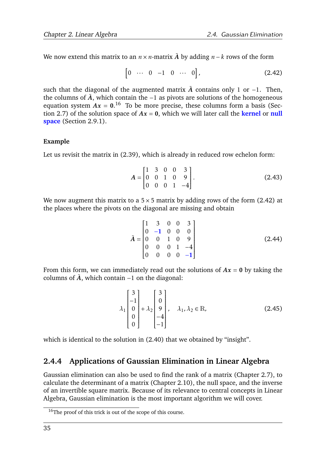We now extend this matrix to an  $n \times n$ -matrix  $\tilde{A}$  by adding  $n - k$  rows of the form

<span id="page-37-1"></span>
$$
\begin{bmatrix} 0 & \cdots & 0 & -1 & 0 & \cdots & 0 \end{bmatrix}, \tag{2.42}
$$

such that the diagonal of the augmented matrix  $\tilde{A}$  contains only 1 or −1. Then, the columns of  $ilde{A}$ , which contain the −1 as pivots are solutions of the homogeneous equation system  $Ax = 0$ <sup>[16](#page-37-0)</sup> To be more precise, these columns form a basis (Sec-tion [2.7\)](#page-45-0) of the solution space of  $Ax = 0$ , which we will later call the **kernel** or **null space** (Section [2.9.1\)](#page-56-0).

## **Example**

Let us revisit the matrix in [\(2.39\)](#page-36-0), which is already in reduced row echelon form:

$$
A = \begin{bmatrix} 1 & 3 & 0 & 0 & 3 \\ 0 & 0 & 1 & 0 & 9 \\ 0 & 0 & 0 & 1 & -4 \end{bmatrix}.
$$
 (2.43)

We now augment this matrix to a  $5 \times 5$  matrix by adding rows of the form [\(2.42\)](#page-37-1) at the places where the pivots on the diagonal are missing and obtain

$$
\tilde{A} = \begin{bmatrix} 1 & 3 & 0 & 0 & 3 \\ 0 & -1 & 0 & 0 & 0 \\ 0 & 0 & 1 & 0 & 9 \\ 0 & 0 & 0 & 1 & -4 \\ 0 & 0 & 0 & 0 & -1 \end{bmatrix}
$$
 (2.44)

From this form, we can immediately read out the solutions of  $Ax = 0$  by taking the columns of  $\tilde{A}$ , which contain  $-1$  on the diagonal:

$$
\lambda_1 \begin{bmatrix} 3 \\ -1 \\ 0 \\ 0 \\ 0 \end{bmatrix} + \lambda_2 \begin{bmatrix} 3 \\ 0 \\ 9 \\ -4 \\ -1 \end{bmatrix}, \quad \lambda_1, \lambda_2 \in \mathbb{R}, \tag{2.45}
$$

which is identical to the solution in  $(2.40)$  that we obtained by "insight".

# **2.4.4 Applications of Gaussian Elimination in Linear Algebra**

Gaussian elimination can also be used to find the rank of a matrix (Chapter [2.7\)](#page-45-0), to calculate the determinant of a matrix (Chapter [2.10\)](#page-63-0), the null space, and the inverse of an invertible square matrix. Because of its relevance to central concepts in Linear Algebra, Gaussian elimination is the most important algorithm we will cover.

<span id="page-37-0"></span><sup>&</sup>lt;sup>16</sup>The proof of this trick is out of the scope of this course.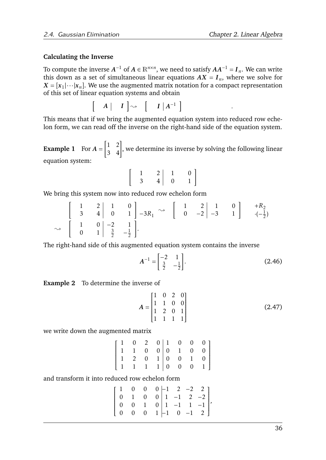*.*

## **Calculating the Inverse**

To compute the inverse  $A^{-1}$  of  $A \in \mathbb{R}^{n \times n},$  we need to satisfy  $AA^{-1} = I_n.$  We can write this down as a set of simultaneous linear equations  $AX = I_n$ , where we solve for  $X = [x_1 | \cdots | x_n]$ . We use the augmented matrix notation for a compact representation of this set of linear equation systems and obtain

$$
\begin{bmatrix} A & | & I \end{bmatrix} \rightsquigarrow \begin{bmatrix} I & |A^{-1} \end{bmatrix}
$$

This means that if we bring the augmented equation system into reduced row echelon form, we can read off the inverse on the right-hand side of the equation system.

**Example 1** For *A* =  $\begin{bmatrix} 1 & 2 \\ 3 & 4 \end{bmatrix}$ , we determine its inverse by solving the following linear equation system:

$$
\left[\begin{array}{cc}1 & 2 & 1 & 0\\3 & 4 & 0 & 1\end{array}\right]
$$

We bring this system now into reduced row echelon form

$$
\begin{bmatrix} 1 & 2 & 1 & 0 \ 3 & 4 & 0 & 1 \ 0 & 1 & \frac{3}{2} & -\frac{1}{2} \end{bmatrix}.
$$

The right-hand side of this augmented equation system contains the inverse

$$
A^{-1} = \begin{bmatrix} -2 & 1\\ \frac{3}{2} & -\frac{1}{2} \end{bmatrix}.
$$
 (2.46)

**Example 2** To determine the inverse of

$$
A = \begin{bmatrix} 1 & 0 & 2 & 0 \\ 1 & 1 & 0 & 0 \\ 1 & 2 & 0 & 1 \\ 1 & 1 & 1 & 1 \end{bmatrix}
$$
 (2.47)

we write down the augmented matrix

|  |  |  | $\left[\begin{array}{cccc c} 1 & 0 & 2 & 0 & 1 & 0 & 0 & 0 \ 1 & 1 & 0 & 0 & 0 & 1 & 0 & 0 \ 1 & 2 & 0 & 1 & 0 & 0 & 1 & 0 \ 1 & 1 & 1 & 1 & 0 & 0 & 0 & 1 \end{array}\right]$ |  |
|--|--|--|--------------------------------------------------------------------------------------------------------------------------------------------------------------------------------|--|

and transform it into reduced row echelon form

$$
\left[\begin{array}{cccc|c}1&0&0&0&-1&2&-2&2\\0&1&0&0&1&-1&2&-2\\0&0&1&0&1&-1&1&-1\\0&0&0&1&-1&0&-1&2\end{array}\right],
$$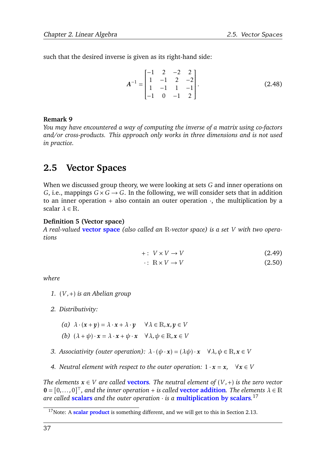such that the desired inverse is given as its right-hand side:

$$
A^{-1} = \begin{bmatrix} -1 & 2 & -2 & 2 \\ 1 & -1 & 2 & -2 \\ 1 & -1 & 1 & -1 \\ -1 & 0 & -1 & 2 \end{bmatrix}.
$$
 (2.48)

## **Remark 9**

*You may have encountered a way of computing the inverse of a matrix using co-factors and/or cross-products. This approach only works in three dimensions and is not used in practice.*

# <span id="page-39-2"></span>**2.5 Vector Spaces**

When we discussed group theory, we were looking at sets *G* and inner operations on *G*, i.e., mappings  $G \times G \rightarrow G$ . In the following, we will consider sets that in addition to an inner operation  $+$  also contain an outer operation  $\cdot$ , the multiplication by a scalar  $\lambda \in \mathbb{R}$ .

## <span id="page-39-1"></span>**Definition 5 (Vector space)**

*A real-valued* **vector space** *(also called an* R*-vector space) is a set V with two operations*

$$
+: V \times V \to V \tag{2.49}
$$

$$
\cdot: \ \mathbb{R} \times V \to V \tag{2.50}
$$

*where*

- *1.* (*V ,*+) *is an Abelian group*
- *2. Distributivity:*
	- *(a)*  $\lambda \cdot (x + y) = \lambda \cdot x + \lambda \cdot y \quad \forall \lambda \in \mathbb{R}, x, y \in V$
	- *(b)*  $(\lambda + \psi) \cdot x = \lambda \cdot x + \psi \cdot x \quad \forall \lambda, \psi \in \mathbb{R}, x \in V$
- *3. Associativity (outer operation):*  $\lambda \cdot (\psi \cdot x) = (\lambda \psi) \cdot x \quad \forall \lambda, \psi \in \mathbb{R}, x \in V$
- *4. Neutral element with respect to the outer operation:*  $1 \cdot x = x$ ,  $\forall x \in V$

*The elements*  $x \in V$  *are called* **vectors***. The neutral element of*  $(V,+)$  *is the zero vector*  $\mathbf{0} = [0, \ldots, 0]^\top$ , and the inner operation + *is called* **vector addition**. The elements  $\lambda \in \mathbb{R}$ *are called* **scalars** *and the outer operation* · *is a* **multiplication by scalars***.* [17](#page-39-0)

<span id="page-39-0"></span><sup>&</sup>lt;sup>17</sup>Note: A **scalar product** is something different, and we will get to this in Section [2.13.](#page-72-0)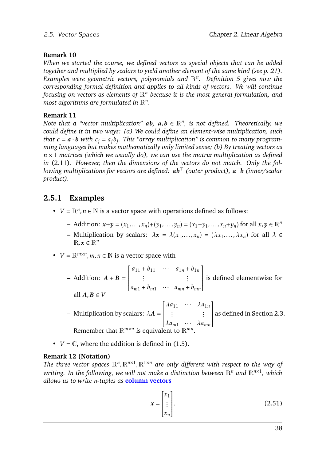# **Remark 10**

*When we started the course, we defined vectors as special objects that can be added together and multiplied by scalars to yield another element of the same kind (see p. [21\)](#page-24-0). Examples were geometric vectors, polynomials and* R*<sup>n</sup> . Definition [5](#page-39-1) gives now the corresponding formal definition and applies to all kinds of vectors. We will continue focusing on vectors as elements of* R*<sup>n</sup> because it is the most general formulation, and most algorithms are formulated in* R*<sup>n</sup> .*

# **Remark 11**

*Note that a "vector multiplication"*  $ab$ *,*  $a,b \in \mathbb{R}^n$ *, is not defined. Theoretically, we could define it in two ways: (a) We could define an element-wise multiplication, such that*  $c = a \cdot b$  *with*  $c_j = a_j b_j$ . This "array multiplication" is common to many program*ming languages but makes mathematically only limited sense; (b) By treating vectors as*  $n \times 1$  *matrices (which we usually do), we can use the matrix multiplication as defined in* [\(2.11\)](#page-27-0)*. However, then the dimensions of the vectors do not match. Only the following multiplications for vectors are defined: ab*<sup>&</sup>gt; *(outer product), <sup>a</sup>* <sup>&</sup>gt;*b (inner/scalar product).*

# **2.5.1 Examples**

- $V = \mathbb{R}^n, n \in \mathbb{N}$  is a vector space with operations defined as follows:
	- $\mathbf{r}$  Addition:  $\mathbf{x} + \mathbf{y} = (x_1, ..., x_n) + (y_1, ..., y_n) = (x_1 + y_1, ..., x_n + y_n)$  for all  $\mathbf{x}, \mathbf{y} \in \mathbb{R}^n$
	- **–** Multiplication by scalars:  $\lambda x = \lambda(x_1,...,x_n) = (\lambda x_1,..., \lambda x_n)$  for all  $\lambda \in$  $\mathbb{R}, \mathbf{x} \in \mathbb{R}^n$
- $V = \mathbb{R}^{m \times n}$ ,  $m, n \in \mathbb{N}$  is a vector space with

- Addition: 
$$
A + B = \begin{bmatrix} a_{11} + b_{11} & \cdots & a_{1n} + b_{1n} \\ \vdots & & \vdots \\ a_{m1} + b_{m1} & \cdots & a_{mn} + b_{mn} \end{bmatrix}
$$
 is defined elementwise for  
all  $A, B \in V$   
- Multiplication by scalars:  $λA = \begin{bmatrix} λa_{11} & \cdots & \lambda a_{1n} \\ \vdots & & \vdots \\ \lambda a_{m1} & \cdots & \lambda a_{mn} \end{bmatrix}$  as defined in Section 2.3.  
Remember that R<sup>*m*×*n*</sup> is equivalent to R<sup>*mn*</sup>.

•  $V = \mathbb{C}$ , where the addition is defined in [\(1.5\)](#page-5-0).

# **Remark 12 (Notation)**

The three vector spaces  $\mathbb{R}^n$ ,  $\mathbb{R}^{n \times 1}$ ,  $\mathbb{R}^{1 \times n}$  are only different with respect to the way of writing. In the following, we will not make a distinction between  $\mathbb{R}^n$  and  $\mathbb{R}^{n\times 1}$ , which *allows us to write n-tuples as* **column vectors**

$$
\mathbf{x} = \begin{bmatrix} x_1 \\ \vdots \\ x_n \end{bmatrix} .
$$
 (2.51)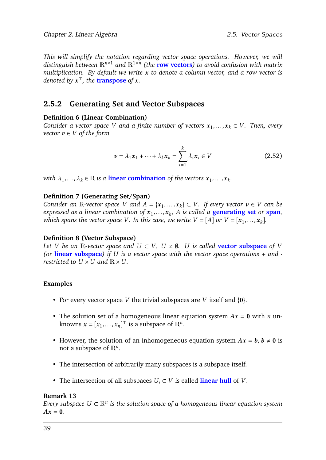*This will simplify the notation regarding vector space operations. However, we will distinguish between* R*n*×<sup>1</sup> *and* R1×*<sup>n</sup> (the* **row vectors***) to avoid confusion with matrix multiplication. By default we write x to denote a column vector, and a row vector is denoted by x* <sup>&</sup>gt;*, the* **transpose** *of x.*

# **2.5.2 Generating Set and Vector Subspaces**

## **Definition 6 (Linear Combination)**

*Consider a vector space V* and a finite number of vectors  $x_1, \ldots, x_k \in V$ . Then, every *vector*  $v \in V$  *of the form* 

<span id="page-41-0"></span>
$$
\boldsymbol{v} = \lambda_1 \boldsymbol{x}_1 + \dots + \lambda_k \boldsymbol{x}_k = \sum_{i=1}^k \lambda_i \boldsymbol{x}_i \in V \tag{2.52}
$$

*with*  $\lambda_1, \ldots, \lambda_k \in \mathbb{R}$  *is a* **linear combination** *of the vectors*  $x_1, \ldots, x_k$ .

### **Definition 7 (Generating Set/Span)**

*Consider an* R-vector space *V* and  $A = \{x_1, \ldots, x_k\} \subset V$ . If every vector  $v \in V$  can be *expressed as a linear combination of x*<sup>1</sup> *,...,x<sup>k</sup> , A is called a* **generating set** *or* **span***, which spans the vector space*  $V$ *. In this case, we write*  $V = [A]$  *or*  $V = [\mathbf{x}_1, \dots, \mathbf{x}_k]$ *.* 

### **Definition 8 (Vector Subspace)**

*Let V be an* R*-vector space and*  $U \subset V$ ,  $U \neq \emptyset$ . *U is called* **vector subspace** *of V (or linear subspace) if U is a vector space with the vector space operations* + *and*  $\cdot$ *restricted to*  $U \times U$  *and*  $\mathbb{R} \times U$ *.* 

### **Examples**

- For every vector space *V* the trivial subspaces are *V* itself and {0}.
- The solution set of a homogeneous linear equation system  $Ax = 0$  with *n* unknowns  $\mathbf{x} = [x_1, \dots, x_n]^\top$  is a subspace of  $\mathbb{R}^n$ .
- However, the solution of an inhomogeneous equation system  $Ax = b$ ,  $b \ne 0$  is not a subspace of R*<sup>n</sup>* .
- The intersection of arbitrarily many subspaces is a subspace itself.
- The intersection of all subspaces *U<sup>i</sup>* ⊂ *V* is called **linear hull** of *V* .

#### <span id="page-41-1"></span>**Remark 13**

*Every subspace U* ⊂ R*<sup>n</sup> is the solution space of a homogeneous linear equation system*  $A x = 0$ .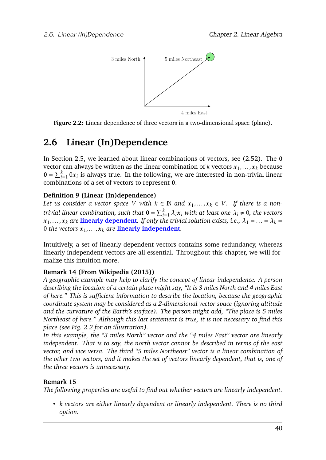<span id="page-42-0"></span>

**Figure 2.2:** Linear dependence of three vectors in a two-dimensional space (plane).

# **2.6 Linear (In)Dependence**

In Section [2.5,](#page-39-2) we learned about linear combinations of vectors, see [\(2.52\)](#page-41-0). The 0 vector can always be written as the linear combination of  $k$  vectors  $\pmb{x}_1,\dots,\pmb{x}_k$  because  $\mathbf{0} = \sum_{i=1}^{k} 0 \mathbf{x}_i$  is always true. In the following, we are interested in non-trivial linear combinations of a set of vectors to represent 0.

# **Definition 9 (Linear (In)dependence)**

Let us consider a vector space V with  $k \in \mathbb{N}$  and  $x_1, \ldots, x_k \in V$ . If there is a non*trivial linear combination, such that*  $\mathbf{0} = \sum_{i=1}^k \lambda_i \mathbf{x}_i$  *with at least one*  $\lambda_i \neq 0$ *, the vectors*  $x_1, \ldots, x_k$  are linearly dependent. If only the trivial solution exists, i.e.,  $\lambda_1 = \ldots = \lambda_k = 1$ 0 the vectors  $x_1, \ldots, x_k$  are **linearly independent**.

Intuitively, a set of linearly dependent vectors contains some redundancy, whereas linearly independent vectors are all essential. Throughout this chapter, we will formalize this intuition more.

# **Remark 14 (From [Wikipedia](#page-75-0) [\(2015\)](#page-75-0))**

*A geographic example may help to clarify the concept of linear independence. A person describing the location of a certain place might say, "It is 3 miles North and 4 miles East of here." This is sufficient information to describe the location, because the geographic coordinate system may be considered as a 2-dimensional vector space (ignoring altitude and the curvature of the Earth's surface). The person might add, "The place is 5 miles Northeast of here." Although this last statement is true, it is not necessary to find this place (see Fig. [2.2](#page-42-0) for an illustration).*

*In this example, the "3 miles North" vector and the "4 miles East" vector are linearly independent. That is to say, the north vector cannot be described in terms of the east vector, and vice versa. The third "5 miles Northeast" vector is a linear combination of the other two vectors, and it makes the set of vectors linearly dependent, that is, one of the three vectors is unnecessary.*

# **Remark 15**

*The following properties are useful to find out whether vectors are linearly independent.*

*• k vectors are either linearly dependent or linearly independent. There is no third option.*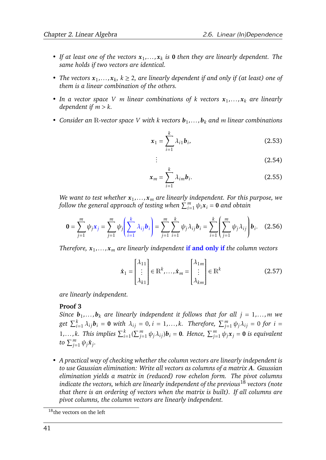- If at least one of the vectors  $x_1, \ldots, x_k$  is 0 then they are linearly dependent. The *same holds if two vectors are identical.*
- *The vectors*  $x_1, \ldots, x_k$ ,  $k \geq 2$ , are linearly dependent if and only if (at least) one of *them is a linear combination of the others.*
- *• In a vector space V m linear combinations of k vectors x*<sup>1</sup> *,...,x<sup>k</sup> are linearly dependent if m > k.*
- *• Consider an* R*-vector space V with k vectors b*<sup>1</sup> *,...,b<sup>k</sup> and m linear combinations*

*. .*

$$
\boldsymbol{x}_1 = \sum_{i=1}^k \lambda_{i1} \boldsymbol{b}_i, \tag{2.53}
$$

$$
\vdots \hspace{1.5cm} (2.54)
$$

$$
\mathbf{x}_m = \sum_{i=1}^k \lambda_{im} \mathbf{b}_i.
$$
 (2.55)

*We want to test whether x*<sup>1</sup> *,...,x<sup>m</sup> are linearly independent. For this purpose, we*  $f$ ollow the general approach of testing when  $\sum_{i=1}^m \psi_i\bm{x}_i = \bm{0}$  and obtain

$$
\mathbf{0} = \sum_{j=1}^{m} \psi_j \mathbf{x}_j = \sum_{j=1}^{m} \psi_j \left( \sum_{i=1}^{k} \lambda_{ij} \mathbf{b}_i \right) = \sum_{j=1}^{m} \sum_{i=1}^{k} \psi_j \lambda_{ij} \mathbf{b}_i = \sum_{i=1}^{k} \left( \sum_{j=1}^{m} \psi_j \lambda_{ij} \right) \mathbf{b}_i.
$$
 (2.56)

*Therefore, x*<sup>1</sup> *,...,x<sup>m</sup> are linearly independent* **if and only if** *the column vectors*

$$
\hat{\mathbf{x}}_1 = \begin{bmatrix} \lambda_{11} \\ \vdots \\ \lambda_{k1} \end{bmatrix} \in \mathbb{R}^k, \dots, \hat{\mathbf{x}}_m = \begin{bmatrix} \lambda_{1m} \\ \vdots \\ \lambda_{km} \end{bmatrix} \in \mathbb{R}^k \tag{2.57}
$$

*are linearly independent.*

### **Proof 3**

 $S$ ince  $\bm{b}_1, \ldots, \bm{b}_k$  are linearly independent it follows that for all  $j = 1, \ldots, m$  we get  $\sum_{i=1}^k \lambda_{ij} \bm{b}_i = \bm{0}$  with  $\lambda_{ij} = 0$ ,  $i=1,\ldots,k.$  Therefore,  $\sum_{j=1}^m \psi_j \lambda_{ij} = 0$  for  $i=1,\ldots,k.$ 1,...,k. This implies  $\sum_{i=1}^{k}(\sum_{j=1}^{m}\psi_j\lambda_{ij})\mathbf{b}_i = \mathbf{0}$ . Hence,  $\sum_{j=1}^{m}\psi_j\mathbf{x}_j = \mathbf{0}$  is equivalent *to*  $\sum_{j=1}^m \psi_j \hat{x}_j$ .

*• A practical way of checking whether the column vectors are linearly independent is to use Gaussian elimination: Write all vectors as columns of a matrix A. Gaussian elimination yields a matrix in (reduced) row echelon form. The pivot columns indicate the vectors, which are linearly independent of the previous*[18](#page-43-0) *vectors (note that there is an ordering of vectors when the matrix is built). If all columns are pivot columns, the column vectors are linearly independent.*

<span id="page-43-0"></span> $18$ <sub>the vectors on the left</sub>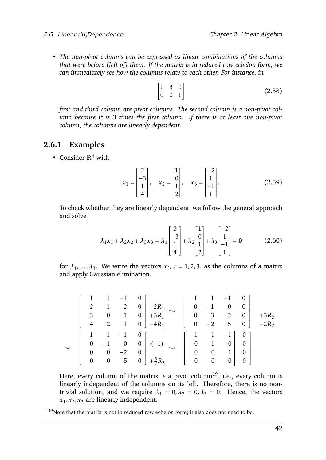*• The non-pivot columns can be expressed as linear combinations of the columns that were before (left of) them. If the matrix is in reduced row echelon form, we can immediately see how the columns relate to each other. For instance, in*

$$
\begin{bmatrix} 1 & 3 & 0 \\ 0 & 0 & 1 \end{bmatrix} \tag{2.58}
$$

*first and third column are pivot columns. The second column is a non-pivot column because it is 3 times the first column. If there is at least one non-pivot column, the columns are linearly dependent.*

## **2.6.1 Examples**

• Consider  $\mathbb{R}^4$  with

$$
\mathbf{x}_1 = \begin{bmatrix} 2 \\ -3 \\ 1 \\ 4 \end{bmatrix}, \quad \mathbf{x}_2 = \begin{bmatrix} 1 \\ 0 \\ 1 \\ 2 \end{bmatrix}, \quad \mathbf{x}_3 = \begin{bmatrix} -2 \\ 1 \\ -1 \\ 1 \end{bmatrix}.
$$
 (2.59)

To check whether they are linearly dependent, we follow the general approach and solve

$$
\lambda_1 \mathbf{x}_1 + \lambda_2 \mathbf{x}_2 + \lambda_3 \mathbf{x}_3 = \lambda_1 \begin{bmatrix} 2 \\ -3 \\ 1 \\ 4 \end{bmatrix} + \lambda_2 \begin{bmatrix} 1 \\ 0 \\ 1 \\ 2 \end{bmatrix} + \lambda_3 \begin{bmatrix} -2 \\ 1 \\ -1 \\ 1 \end{bmatrix} = \mathbf{0}
$$
 (2.60)

for  $\lambda_1, \ldots, \lambda_3$ . We write the vectors  $x_i$ ,  $i = 1, 2, 3$ , as the columns of a matrix and apply Gaussian elimination.

|                                       | $\begin{vmatrix} 4 & 2 \end{vmatrix}$ |           | $\begin{bmatrix} 0 \\ 0 \\ -2R_1 \end{bmatrix}$<br>$\begin{vmatrix} 2 & 1 & -2 \\ -3 & 0 & 1 \end{vmatrix}$ $\begin{vmatrix} 0 & -2R_1 \\ 0 & +3R_1 \end{vmatrix}$<br>$1 \mid 0 \mid -4R_1$ |  |              | $\left[\begin{array}{ccc} 0 & 3 \\ 0 & -2 \end{array}\right]$ | $5 \mid$                                                                                                         | $-1$ 0<br>$\begin{array}{c c} 0 & 0 \\ -2 & 0 \end{array}$                                  | $+3R_2$<br>$0$   $-2R_2$ |
|---------------------------------------|---------------------------------------|-----------|---------------------------------------------------------------------------------------------------------------------------------------------------------------------------------------------|--|--------------|---------------------------------------------------------------|------------------------------------------------------------------------------------------------------------------|---------------------------------------------------------------------------------------------|--------------------------|
| $\begin{array}{c} 0 \\ 0 \end{array}$ | $\overline{0}$<br>$0\qquad 0$         | $-2$<br>5 | $\begin{bmatrix} 1 & -1 & 0 \\ -1 & 0 & 0 \end{bmatrix}$ $\cdot(-1)$<br>$\begin{array}{c c} 0 & +\frac{5}{2}R_3 \end{array}$<br>$+\frac{5}{2}R_3$                                           |  | $\mathbf{0}$ | $\overline{1}$<br>$\overline{\phantom{0}}$                    | $-1$<br>$\begin{vmatrix} 0 & 1 & 0 \end{vmatrix}$<br>$\begin{bmatrix} 0 & 0 & 1 \end{bmatrix}$<br>0 <sup>1</sup> | $\begin{array}{c} 0 \end{array}$<br>$\begin{bmatrix} 0 & 1 \end{bmatrix}$<br>$\overline{0}$ |                          |

Here, every column of the matrix is a pivot column<sup>[19](#page-44-0)</sup>, i.e., every column is linearly independent of the columns on its left. Therefore, there is no nontrivial solution, and we require  $\lambda_1 = 0, \lambda_2 = 0, \lambda_3 = 0$ . Hence, the vectors  $x_1, x_2, x_3$  are linearly independent.

<span id="page-44-0"></span> $19$ Note that the matrix is not in reduced row echelon form; it also does not need to be.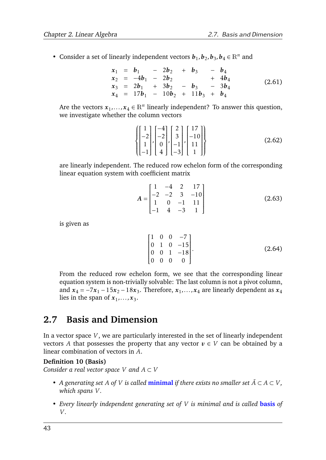• Consider a set of linearly independent vectors  $\mathbf{b}_1, \mathbf{b}_2, \mathbf{b}_3, \mathbf{b}_4 \in \mathbb{R}^n$  and

$$
\begin{array}{rcl}\nx_1 &=& b_1 - 2b_2 + b_3 - b_4 \\
x_2 &=& -4b_1 - 2b_2 + 4b_4 \\
x_3 &=& 2b_1 + 3b_2 - b_3 - 3b_4 \\
x_4 &=& 17b_1 - 10b_2 + 11b_3 + b_4\n\end{array} \tag{2.61}
$$

Are the vectors  $x_1, \ldots, x_4 \in \mathbb{R}^n$  linearly independent? To answer this question, we investigate whether the column vectors

$$
\left\{ \begin{bmatrix} 1 \\ -2 \\ 1 \\ -1 \end{bmatrix}, \begin{bmatrix} -4 \\ -2 \\ 0 \\ 4 \end{bmatrix}, \begin{bmatrix} 2 \\ 3 \\ -1 \\ -3 \end{bmatrix}, \begin{bmatrix} 17 \\ -10 \\ 11 \\ 1 \end{bmatrix} \right\}
$$
(2.62)

are linearly independent. The reduced row echelon form of the corresponding linear equation system with coefficient matrix

$$
A = \begin{bmatrix} 1 & -4 & 2 & 17 \\ -2 & -2 & 3 & -10 \\ 1 & 0 & -1 & 11 \\ -1 & 4 & -3 & 1 \end{bmatrix}
$$
 (2.63)

is given as

$$
\begin{bmatrix} 1 & 0 & 0 & -7 \ 0 & 1 & 0 & -15 \ 0 & 0 & 1 & -18 \ 0 & 0 & 0 & 0 \end{bmatrix}.
$$
 (2.64)

From the reduced row echelon form, we see that the corresponding linear equation system is non-trivially solvable: The last column is not a pivot column, and  $x_4 = -7x_1 - 15x_2 - 18x_3$ . Therefore,  $x_1, \ldots, x_4$  are linearly dependent as  $x_4$ lies in the span of  $x_1, \ldots, x_3$ .

# <span id="page-45-0"></span>**2.7 Basis and Dimension**

In a vector space *V* , we are particularly interested in the set of linearly independent vectors *A* that possesses the property that any vector  $v \in V$  can be obtained by a linear combination of vectors in *A*.

### **Definition 10 (Basis)**

*Consider a real vector space V* and  $A \subset V$ 

- *• A* generating set *A* of *V* is called **minimal** if there exists no smaller set  $\tilde{A} \subset A \subset V$ , *which spans V .*
- *• Every linearly independent generating set of V is minimal and is called* **basis** *of V .*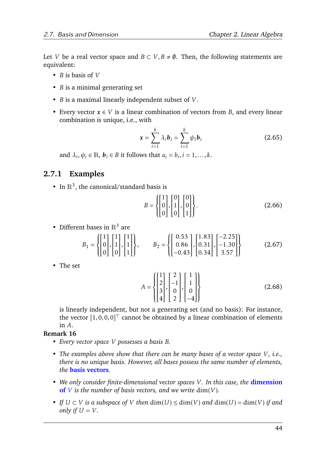Let *V* be a real vector space and  $B \subset V$ ,  $B \neq \emptyset$ . Then, the following statements are equivalent:

- *B* is basis of *V*
- *B* is a minimal generating set
- *B* is a maximal linearly independent subset of *V* .
- Every vector  $x \in V$  is a linear combination of vectors from *B*, and every linear combination is unique, i.e., with

$$
\mathbf{x} = \sum_{i=1}^{k} \lambda_i \mathbf{b}_i = \sum_{i=1}^{k} \psi_i \mathbf{b}_i
$$
 (2.65)

and  $\lambda_i, \psi_i \in \mathbb{R}$ ,  $\mathbf{b}_i \in B$  it follows that  $a_i = b_i, i = 1, \ldots, k$ .

# **2.7.1 Examples**

• In  $\mathbb{R}^3$ , the canonical/standard basis is

$$
B = \left\{ \begin{bmatrix} 1 \\ 0 \\ 0 \end{bmatrix}, \begin{bmatrix} 0 \\ 1 \\ 0 \end{bmatrix}, \begin{bmatrix} 0 \\ 0 \\ 1 \end{bmatrix} \right\}.
$$
 (2.66)

• Different bases in  $\mathbb{R}^3$  are

$$
B_1 = \left\{ \begin{bmatrix} 1 \\ 0 \\ 0 \end{bmatrix}, \begin{bmatrix} 1 \\ 1 \\ 0 \end{bmatrix}, \begin{bmatrix} 1 \\ 1 \\ 1 \end{bmatrix} \right\}, \qquad B_2 = \left\{ \begin{bmatrix} 0.53 \\ 0.86 \\ -0.43 \end{bmatrix}, \begin{bmatrix} 1.83 \\ 0.31 \\ 0.34 \end{bmatrix}, \begin{bmatrix} -2.25 \\ -1.30 \\ 3.57 \end{bmatrix} \right\}
$$
(2.67)

• The set

$$
A = \begin{Bmatrix} 1 \\ 2 \\ 3 \\ 4 \end{Bmatrix}, \begin{bmatrix} 2 \\ -1 \\ 0 \\ 2 \end{bmatrix}, \begin{bmatrix} 1 \\ 1 \\ 0 \\ -4 \end{bmatrix} \tag{2.68}
$$

is linearly independent, but not a generating set (and no basis): For instance, the vector  $[1,0,0,0]^\top$  cannot be obtained by a linear combination of elements in *A*.

### **Remark 16**

- *• Every vector space V possesses a basis B.*
- *The examples above show that there can be many bases of a vector space V*, *i.e.*, *there is no unique basis. However, all bases possess the same number of elements, the* **basis vectors***.*
- *• We only consider finite-dimensional vector spaces V . In this case, the* **dimension of** *V* is the number of basis vectors, and we write  $\dim(V)$ .
- *• If*  $U ⊂ V$  *is a subspace of*  $V$  *then*  $dim(U) ≤ dim(V)$  *and*  $dim(U) = dim(V)$  *if and only if*  $U = V$ .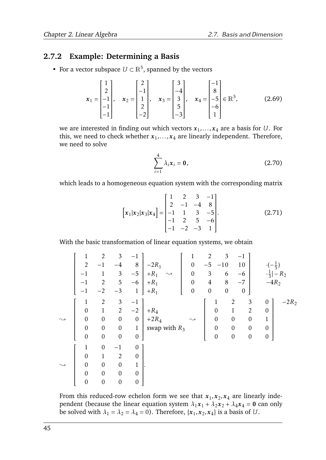# **2.7.2 Example: Determining a Basis**

• For a vector subspace  $U \subset \mathbb{R}^5$ , spanned by the vectors

$$
\mathbf{x}_1 = \begin{bmatrix} 1 \\ 2 \\ -1 \\ -1 \\ -1 \end{bmatrix}, \quad \mathbf{x}_2 = \begin{bmatrix} 2 \\ -1 \\ 1 \\ 2 \\ -2 \end{bmatrix}, \quad \mathbf{x}_3 = \begin{bmatrix} 3 \\ -4 \\ 3 \\ 5 \\ -3 \end{bmatrix}, \quad \mathbf{x}_4 = \begin{bmatrix} -1 \\ 8 \\ -5 \\ -6 \\ 1 \end{bmatrix} \in \mathbb{R}^5,
$$
 (2.69)

we are interested in finding out which vectors  $x_1, \ldots, x_4$  are a basis for  $U.$  For this, we need to check whether  $x_1, \ldots, x_4$  are linearly independent. Therefore, we need to solve

$$
\sum_{i=1}^{4} \lambda_i x_i = \mathbf{0},\tag{2.70}
$$

which leads to a homogeneous equation system with the corresponding matrix

$$
\begin{bmatrix} x_1 | x_2 | x_3 | x_4 \end{bmatrix} = \begin{bmatrix} 1 & 2 & 3 & -1 \\ 2 & -1 & -4 & 8 \\ -1 & 1 & 3 & -5 \\ -1 & 2 & 5 & -6 \\ -1 & -2 & -3 & 1 \end{bmatrix} .
$$
 (2.71)

With the basic transformation of linear equation systems, we obtain

|                    | $\mathbf 1$      | $\mathbf{2}$     | 3                | $-1$             |                              | $\mathbf{1}$       | $\overline{2}$   | $\mathfrak{Z}$   | $-1$             |                                 |         |
|--------------------|------------------|------------------|------------------|------------------|------------------------------|--------------------|------------------|------------------|------------------|---------------------------------|---------|
|                    | $\overline{2}$   | $-1$             | $-4$             | $\, 8$           | $-2R_1$                      | $\boldsymbol{0}$   | $-5$             | $-10$            | 10               | $rac{1}{5}$                     |         |
|                    | $-1$             | $\mathbf{1}$     | $\mathfrak{Z}$   | $-5$             | $+R_1$<br>$\rightsquigarrow$ | $\boldsymbol{0}$   | 3                | 6                | $-6$             | $\cdot \frac{1}{3}$ .<br>$-R_2$ |         |
|                    | $-1$             | $\mathbf{2}$     | $\mathbf 5$      | $-6$             | $+R_1$                       | $\boldsymbol{0}$   | $\overline{4}$   | $8\,$            | $-7$             | $-4R2$                          |         |
|                    | $^{-1}$          | $-2$             | $-3$             | $\mathbf{1}$     | $+R_1$                       | $\boldsymbol{0}$   | $\boldsymbol{0}$ | $\boldsymbol{0}$ | $\boldsymbol{0}$ |                                 |         |
|                    | 1                | $\overline{2}$   | $\mathfrak{Z}$   | $-1$             |                              |                    | $\mathbf 1$      | $\overline{2}$   | $\mathfrak{Z}$   | $\overline{0}$                  | $-2R_2$ |
|                    | $\boldsymbol{0}$ | $\mathbf{1}$     | $\overline{2}$   | $-2$             | $+R_4$                       |                    | $\boldsymbol{0}$ | $\mathbf{1}$     | $\overline{2}$   | $\overline{0}$                  |         |
| $\rightsquigarrow$ | $\boldsymbol{0}$ | $\boldsymbol{0}$ | $\boldsymbol{0}$ | $\boldsymbol{0}$ | $+2R_4$                      | $\rightsquigarrow$ | $\boldsymbol{0}$ | $\boldsymbol{0}$ | $\boldsymbol{0}$ | $\mathbf{1}$                    |         |
|                    | $\boldsymbol{0}$ | $\boldsymbol{0}$ | $\boldsymbol{0}$ | $\mathbf{1}$     | swap with $R_3$              |                    | $\boldsymbol{0}$ | $\boldsymbol{0}$ | $\boldsymbol{0}$ | $\mathbf{0}$                    |         |
|                    | $\boldsymbol{0}$ | $\boldsymbol{0}$ | $\boldsymbol{0}$ | $\boldsymbol{0}$ |                              |                    | $\boldsymbol{0}$ | $\boldsymbol{0}$ | $\boldsymbol{0}$ | $\boldsymbol{0}$                |         |
|                    | $\mathbf{1}$     | $\boldsymbol{0}$ | $-1$             | $\boldsymbol{0}$ |                              |                    |                  |                  |                  |                                 |         |
|                    | $\boldsymbol{0}$ | $\mathbf{1}$     | $\overline{2}$   | $\boldsymbol{0}$ |                              |                    |                  |                  |                  |                                 |         |
| $\rightsquigarrow$ | $\boldsymbol{0}$ | $\boldsymbol{0}$ | $\overline{0}$   | $\mathbf{1}$     |                              |                    |                  |                  |                  |                                 |         |
|                    | $\boldsymbol{0}$ | $\boldsymbol{0}$ | $\boldsymbol{0}$ | $\boldsymbol{0}$ |                              |                    |                  |                  |                  |                                 |         |
|                    | $\boldsymbol{0}$ | $\boldsymbol{0}$ | $\boldsymbol{0}$ | $\boldsymbol{0}$ |                              |                    |                  |                  |                  |                                 |         |

From this reduced-row echelon form we see that  $x_1, x_2, x_4$  are linearly independent (because the linear equation system  $\lambda_1 x_1 + \lambda_2 x_2 + \lambda_4 x_4 = 0$  can only be solved with  $\lambda_1 = \lambda_2 = \lambda_4 = 0$ ). Therefore,  $\{x_1, x_2, x_4\}$  is a basis of *U*.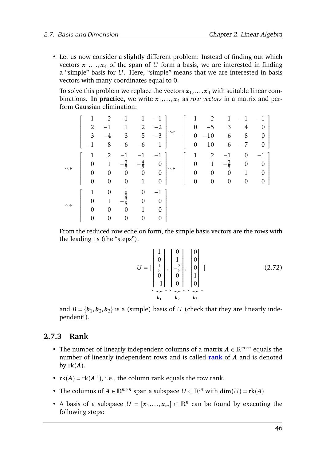• Let us now consider a slightly different problem: Instead of finding out which vectors  $x_1, \ldots, x_4$  of the span of  $U$  form a basis, we are interested in finding a "simple" basis for *U*. Here, "simple" means that we are interested in basis vectors with many coordinates equal to 0.

To solve this problem we replace the vectors  $x_1, \ldots, x_4$  with suitable linear combinations. In practice, we write  $x_1, \ldots, x_4$  as *row vectors* in a matrix and perform Gaussian elimination:

$$
\begin{bmatrix}\n1 & 2 & -1 & -1 & -1 \\
2 & -1 & 1 & 2 & -2 \\
3 & -4 & 3 & 5 & -3 \\
-1 & 8 & -6 & -6 & 1\n\end{bmatrix}\n\rightarrow\n\begin{bmatrix}\n1 & 2 & -1 & -1 & -1 \\
0 & -5 & 3 & 4 & 0 \\
0 & -10 & 6 & 8 & 0 \\
0 & 10 & -6 & -7 & 0\n\end{bmatrix}
$$
\n
$$
\rightarrow\n\begin{bmatrix}\n1 & 2 & -1 & -1 & -1 \\
0 & 1 & -\frac{3}{5} & -\frac{4}{5} & 0 \\
0 & 0 & 0 & 0 & 0 \\
0 & 0 & 0 & 1 & 0\n\end{bmatrix}\n\rightarrow\n\begin{bmatrix}\n1 & 2 & -1 & 0 & -1 \\
0 & 1 & -\frac{3}{5} & 0 & 0 \\
0 & 0 & 0 & 1 & 0 \\
0 & 0 & 0 & 0 & 0\n\end{bmatrix}
$$
\n
$$
\rightarrow\n\begin{bmatrix}\n1 & 0 & \frac{1}{5} & 0 & -1 \\
0 & 1 & -\frac{3}{5} & 0 & 0 \\
0 & 0 & 0 & 1 & 0 \\
0 & 0 & 0 & 0 & 0\n\end{bmatrix}
$$

From the reduced row echelon form, the simple basis vectors are the rows with the leading 1s (the "steps").

$$
U = \begin{bmatrix} 1 \\ 0 \\ \frac{1}{5} \\ 0 \\ -1 \end{bmatrix}, \begin{bmatrix} 0 \\ 1 \\ -\frac{3}{5} \\ 0 \\ 0 \end{bmatrix}, \begin{bmatrix} 0 \\ 0 \\ 0 \\ 1 \\ 0 \end{bmatrix} \tag{2.72}
$$

and  $B = \{b_1, b_2, b_3\}$  is a (simple) basis of *U* (check that they are linearly independent!).

# **2.7.3 Rank**

- The number of linearly independent columns of a matrix  $A \in \mathbb{R}^{m \times n}$  equals the number of linearly independent rows and is called **rank** of *A* and is denoted by  $rk(A)$ .
- $rk(A) = rk(A^{\top})$ , i.e., the column rank equals the row rank.
- The columns of  $A \in \mathbb{R}^{m \times n}$  span a subspace  $U \subset \mathbb{R}^m$  with  $\dim(U) = \text{rk}(A)$
- A basis of a subspace  $U = [x_1, ..., x_m] \subset \mathbb{R}^n$  can be found by executing the following steps: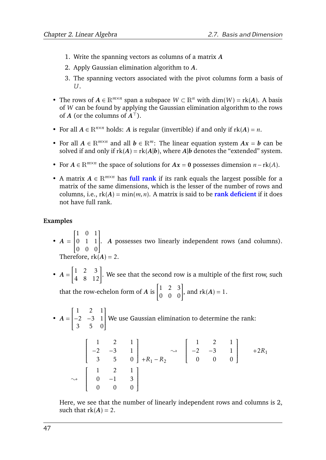- 1. Write the spanning vectors as columns of a matrix *A*
- 2. Apply Gaussian elimination algorithm to *A*.
- 3. The spanning vectors associated with the pivot columns form a basis of *U*.
- The rows of  $A \in \mathbb{R}^{m \times n}$  span a subspace  $W \subset \mathbb{R}^n$  with  $\dim(W) = \text{rk}(A)$ . A basis of *W* can be found by applying the Gaussian elimination algorithm to the rows of *A* (or the columns of  $A^{\dagger}$ ).
- For all  $A \in \mathbb{R}^{n \times n}$  holds: A is regular (invertible) if and only if  $rk(A) = n$ .
- For all  $A \in \mathbb{R}^{m \times n}$  and all  $b \in \mathbb{R}^m$ : The linear equation system  $Ax = b$  can be solved if and only if  $rk(A) = rk(A|b)$ , where  $A|b$  denotes the "extended" system.
- For  $A \in \mathbb{R}^{m \times n}$  the space of solutions for  $Ax = 0$  possesses dimension  $n \text{rk}(A)$ .
- A matrix  $A \in \mathbb{R}^{m \times n}$  has full rank if its rank equals the largest possible for a matrix of the same dimensions, which is the lesser of the number of rows and columns, i.e.,  $rk(A) = min(m, n)$ . A matrix is said to be **rank deficient** if it does not have full rank.

## **Examples**

- $A =$  1 0 1  $\overline{\mathsf{l}}$ 0 1 1 0 0 0 1  $\overline{\phantom{a}}$ . *A* possesses two linearly independent rows (and columns). Therefore,  $rk(A) = 2$ .
- $A =$  $\begin{bmatrix} 1 & 2 & 3 \\ 4 & 8 & 12 \end{bmatrix}$ . We see that the second row is a multiple of the first row, such that the row-echelon form of *A* is  $\begin{bmatrix} 1 & 2 & 3 \\ 0 & 0 & 0 \end{bmatrix}$ , and  $rk(A) = 1$ .
- $A =$  $\begin{bmatrix} 1 & 2 & 1 \end{bmatrix}$  $\overline{\mathsf{l}}$ −2 −3 1 3 5 0 1  $\overline{\phantom{a}}$ We use Gaussian elimination to determine the rank:

$$
\begin{bmatrix} 1 & 2 & 1 \ -2 & -3 & 1 \ 3 & 5 & 0 \end{bmatrix} + R_1 - R_2 \longrightarrow \begin{bmatrix} 1 & 2 & 1 \ -2 & -3 & 1 \ 0 & 0 & 0 \end{bmatrix} + 2R_1
$$
  

$$
\longrightarrow \begin{bmatrix} 1 & 2 & 1 \ 0 & -1 & 3 \ 0 & 0 & 0 \end{bmatrix}
$$

Here, we see that the number of linearly independent rows and columns is 2, such that  $rk(A) = 2$ .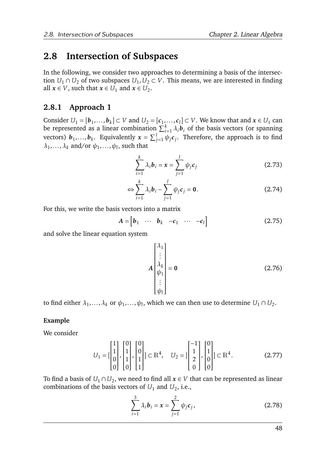# **2.8 Intersection of Subspaces**

In the following, we consider two approaches to determining a basis of the intersection  $U_1 \cap U_2$  of two subspaces  $U_1, U_2 \subset V$ . This means, we are interested in finding all  $x \in V$ , such that  $x \in U_1$  and  $x \in U_2$ .

# **2.8.1 Approach 1**

Consider  $U_1 = [\mathbf{b}_1, \ldots, \mathbf{b}_k] \subset V$  and  $U_2 = [\mathbf{c}_1, \ldots, \mathbf{c}_l] \subset V$ . We know that and  $\mathbf{x} \in U_1$  can be represented as a linear combination  $\sum_{i=1}^{k} \lambda_i \boldsymbol{b}_i$  of the basis vectors (or spanning vectors)  $b_1, \ldots, b_k$ . Equivalently  $x = \sum_{j=1}^l \psi_j c_j$ . Therefore, the approach is to find  $\lambda_1, \ldots, \lambda_k$  and/or  $\psi_1, \ldots, \psi_l$ , such that

$$
\sum_{i=1}^{k} \lambda_i \mathbf{b}_i = \mathbf{x} = \sum_{j=1}^{l} \psi_j \mathbf{c}_j
$$
 (2.73)

$$
\Leftrightarrow \sum_{i=1}^{k} \lambda_i \mathbf{b}_i - \sum_{j=1}^{l} \psi_j \mathbf{c}_j = \mathbf{0}.
$$
 (2.74)

For this, we write the basis vectors into a matrix

$$
A = \begin{bmatrix} b_1 & \cdots & b_k & -c_1 & \cdots & -c_l \end{bmatrix}
$$
 (2.75)

and solve the linear equation system

<span id="page-50-0"></span>
$$
A\begin{bmatrix} \lambda_1 \\ \vdots \\ \lambda_k \\ \psi_1 \\ \vdots \\ \psi_l \end{bmatrix} = 0
$$
 (2.76)

to find either  $\lambda_1, \ldots, \lambda_k$  or  $\psi_1, \ldots, \psi_l$ , which we can then use to determine  $U_1 \cap U_2$ .

## **Example**

We consider

$$
U_1 = \begin{bmatrix} 1 \\ 1 \\ 0 \\ 0 \end{bmatrix}, \begin{bmatrix} 0 \\ 1 \\ 1 \\ 0 \end{bmatrix}, \begin{bmatrix} 0 \\ 0 \\ 1 \\ 1 \end{bmatrix} \subset \mathbb{R}^4, \quad U_2 = \begin{bmatrix} -1 \\ 1 \\ 2 \\ 0 \end{bmatrix}, \begin{bmatrix} 0 \\ 1 \\ 0 \\ 0 \end{bmatrix} \subset \mathbb{R}^4. \tag{2.77}
$$

To find a basis of  $U_1 \cap U_2$ , we need to find all  $x \in V$  that can be represented as linear combinations of the basis vectors of  $U_1$  and  $U_2$ , i.e.,

$$
\sum_{i=1}^{3} \lambda_i b_i = x = \sum_{j=1}^{2} \psi_j c_j,
$$
 (2.78)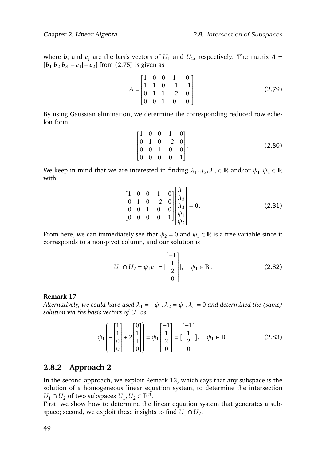where  $\bm{b}_i$  and  $\bm{c}_j$  are the basis vectors of  $U_1$  and  $U_2$ , respectively. The matrix  $\bm{A}$  =  $[b_1|b_2|b_3] - c_1$  $-c_2$ ] from [\(2.75\)](#page-50-0) is given as

$$
A = \begin{bmatrix} 1 & 0 & 0 & 1 & 0 \\ 1 & 1 & 0 & -1 & -1 \\ 0 & 1 & 1 & -2 & 0 \\ 0 & 0 & 1 & 0 & 0 \end{bmatrix}.
$$
 (2.79)

By using Gaussian elimination, we determine the corresponding reduced row echelon form

$$
\begin{bmatrix} 1 & 0 & 0 & 1 & 0 \\ 0 & 1 & 0 & -2 & 0 \\ 0 & 0 & 1 & 0 & 0 \\ 0 & 0 & 0 & 0 & 1 \end{bmatrix}.
$$
 (2.80)

We keep in mind that we are interested in finding  $\lambda_1, \lambda_2, \lambda_3 \in \mathbb{R}$  and/or  $\psi_1, \psi_2 \in \mathbb{R}$ with

$$
\begin{bmatrix} 1 & 0 & 0 & 1 & 0 \ 0 & 1 & 0 & -2 & 0 \ 0 & 0 & 1 & 0 & 0 \ 0 & 0 & 0 & 0 & 1 \ \end{bmatrix} \begin{bmatrix} \lambda_1 \\ \lambda_2 \\ \lambda_3 \\ \psi_1 \\ \psi_2 \end{bmatrix} = \mathbf{0}.
$$
 (2.81)

From here, we can immediately see that  $\psi_2 = 0$  and  $\psi_1 \in \mathbb{R}$  is a free variable since it corresponds to a non-pivot column, and our solution is

$$
U_1 \cap U_2 = \psi_1 c_1 = \begin{bmatrix} -1 \\ 1 \\ 2 \\ 0 \end{bmatrix}, \quad \psi_1 \in \mathbb{R}.
$$
 (2.82)

### **Remark 17**

*Alternatively, we could have used*  $\lambda_1 = -\psi_1$ *,*  $\lambda_2 = \psi_1$ *,*  $\lambda_3 = 0$  *and determined the (same) solution via the basis vectors of*  $U_1$  *as* 

<span id="page-51-0"></span>
$$
\psi_1\left(-\begin{bmatrix}1\\1\\0\\0\end{bmatrix}+2\begin{bmatrix}0\\1\\1\\0\end{bmatrix}\right)=\psi_1\begin{bmatrix}-1\\1\\2\\0\end{bmatrix}=[\begin{bmatrix}-1\\1\\2\\0\end{bmatrix}], \quad \psi_1 \in \mathbb{R}.
$$
 (2.83)

## **2.8.2 Approach 2**

In the second approach, we exploit Remark [13,](#page-41-1) which says that any subspace is the solution of a homogeneous linear equation system, to determine the intersection *U*<sub>1</sub> ∩ *U*<sub>2</sub> of two subspaces *U*<sub>1</sub>, *U*<sub>2</sub> ⊂  $\mathbb{R}^n$ .

First, we show how to determine the linear equation system that generates a subspace; second, we exploit these insights to find  $U_1 \cap U_2$ .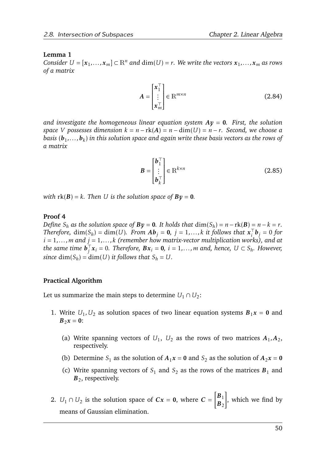#### **Lemma 1**

 $Consider U = [x_1, \ldots, x_m] \subset \mathbb{R}^n$  and  $dim(U) = r$ . We write the vectors  $x_1, \ldots, x_m$  as rows *of a matrix*

$$
A = \begin{bmatrix} x_1^{\top} \\ \vdots \\ x_m^{\top} \end{bmatrix} \in \mathbb{R}^{m \times n}
$$
 (2.84)

*and investigate the homogeneous linear equation system Ay* = 0*. First, the solution space V* possesses dimension  $k = n - rk(A) = n - dim(U) = n - r$ . Second, we choose a *basis* (*b*<sup>1</sup> *,...,b<sup>k</sup>* ) *in this solution space and again write these basis vectors as the rows of a matrix*

$$
\boldsymbol{B} = \begin{bmatrix} \boldsymbol{b}_1^\top \\ \vdots \\ \boldsymbol{b}_k^\top \end{bmatrix} \in \mathbb{R}^{k \times n}
$$
 (2.85)

*with*  $rk(B) = k$ *. Then U is the solution space of*  $Bv = 0$ *.* 

#### **Proof 4**

*Define*  $S_h$  *as the solution space of*  $By = 0$ *. It holds that*  $dim(S_h) = n - rk(B) = n - k = r$ . *Therefore,*  $\dim(S_h) = \dim(U)$ *. From*  $Ab_j = 0$ *,*  $j = 1,...,k$  *it follows that*  $x_i^T$  $\int_i^{\cdot} b_j = 0$  for *i* = 1*,...,m and j* = 1*,...,k (remember how matrix-vector multiplication works), and at the same time*  $\boldsymbol{b}_i^{\top}$  $\int_{j}^{T} x_{i} = 0$ *. Therefore,*  $Bx_{i} = 0$ *, i* = 1*,...,m* and, hence,  $U \subset S_{h}$ *. However, since*  $dim(S_h) = dim(U)$  *it follows that*  $S_h = U$ *.* 

#### **Practical Algorithm**

Let us summarize the main steps to determine  $U_1 \cap U_2$ :

- 1. Write  $U_1, U_2$  as solution spaces of two linear equation systems  $B_1x = 0$  and  $B_2x = 0$ :
	- (a) Write spanning vectors of  $U_1$ ,  $U_2$  as the rows of two matrices  $A_1$ ,  $A_2$ , respectively.
	- (b) Determine *S*<sub>1</sub> as the solution of  $A_1x = 0$  and *S*<sub>2</sub> as the solution of  $A_2x = 0$
	- (c) Write spanning vectors of  $S_1$  and  $S_2$  as the rows of the matrices  $B_1$  and *B*<sub>2</sub>, respectively.
- 2.  $U_1 \cap U_2$  is the solution space of  $Cx = 0$ , where  $C =$  $\left[\mathbf{B}_1\right]$  $B_2$ 1 , which we find by means of Gaussian elimination.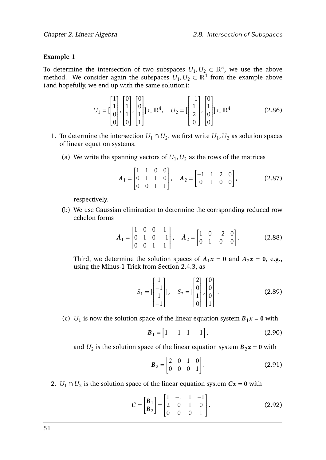## **Example 1**

To determine the intersection of two subspaces  $U_1, U_2 \subset \mathbb{R}^n$ , we use the above method. We consider again the subspaces  $U_1, U_2 \subset \mathbb{R}^4$  from the example above (and hopefully, we end up with the same solution):

$$
U_1 = \begin{bmatrix} 1 \\ 1 \\ 0 \\ 0 \end{bmatrix}, \begin{bmatrix} 0 \\ 1 \\ 1 \\ 0 \end{bmatrix}, \begin{bmatrix} 0 \\ 0 \\ 1 \\ 1 \end{bmatrix} \subset \mathbb{R}^4, \quad U_2 = \begin{bmatrix} -1 \\ 1 \\ 2 \\ 0 \end{bmatrix}, \begin{bmatrix} 0 \\ 1 \\ 0 \\ 0 \end{bmatrix} \subset \mathbb{R}^4. \tag{2.86}
$$

- 1. To determine the intersection  $U_1 \cap U_2$ , we first write  $U_1, U_2$  as solution spaces of linear equation systems.
	- (a) We write the spanning vectors of  $U_1, U_2$  as the rows of the matrices

$$
A_1 = \begin{bmatrix} 1 & 1 & 0 & 0 \\ 0 & 1 & 1 & 0 \\ 0 & 0 & 1 & 1 \end{bmatrix}, \quad A_2 = \begin{bmatrix} -1 & 1 & 2 & 0 \\ 0 & 1 & 0 & 0 \end{bmatrix}, \quad (2.87)
$$

respectively.

(b) We use Gaussian elimination to determine the corrsponding reduced row echelon forms

$$
\tilde{A}_1 = \begin{bmatrix} 1 & 0 & 0 & 1 \\ 0 & 1 & 0 & -1 \\ 0 & 0 & 1 & 1 \end{bmatrix}, \quad \tilde{A}_2 = \begin{bmatrix} 1 & 0 & -2 & 0 \\ 0 & 1 & 0 & 0 \end{bmatrix}.
$$
 (2.88)

Third, we determine the solution spaces of  $A_1x = 0$  and  $A_2x = 0$ , e.g., using the Minus-1 Trick from Section [2.4.3,](#page-36-2) as

$$
S_1 = \begin{bmatrix} 1 \\ -1 \\ 1 \\ -1 \end{bmatrix}, \quad S_2 = \begin{bmatrix} 2 \\ 0 \\ 1 \\ 0 \end{bmatrix}, \begin{bmatrix} 0 \\ 0 \\ 0 \\ 1 \end{bmatrix}].
$$
 (2.89)

(c)  $U_1$  is now the solution space of the linear equation system  $B_1x = 0$  with

$$
\boldsymbol{B}_1 = \begin{bmatrix} 1 & -1 & 1 & -1 \end{bmatrix},\tag{2.90}
$$

and  $U_2$  is the solution space of the linear equation system  $\bm{B}_2\bm{x} = \bm{0}$  with

$$
\boldsymbol{B}_2 = \begin{bmatrix} 2 & 0 & 1 & 0 \\ 0 & 0 & 0 & 1 \end{bmatrix} . \tag{2.91}
$$

2.  $U_1 \cap U_2$  is the solution space of the linear equation system  $Cx = 0$  with

$$
C = \begin{bmatrix} B_1 \\ B_2 \end{bmatrix} = \begin{bmatrix} 1 & -1 & 1 & -1 \\ 2 & 0 & 1 & 0 \\ 0 & 0 & 0 & 1 \end{bmatrix}.
$$
 (2.92)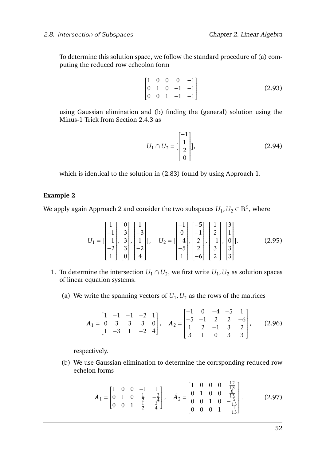To determine this solution space, we follow the standard procedure of (a) computing the reduced row echeolon form

$$
\begin{bmatrix} 1 & 0 & 0 & 0 & -1 \\ 0 & 1 & 0 & -1 & -1 \\ 0 & 0 & 1 & -1 & -1 \end{bmatrix}
$$
 (2.93)

using Gaussian elimination and (b) finding the (general) solution using the Minus-1 Trick from Section [2.4.3](#page-36-2) as

$$
U_1 \cap U_2 = \begin{bmatrix} -1 \\ 1 \\ 2 \\ 0 \end{bmatrix},\tag{2.94}
$$

which is identical to the solution in [\(2.83\)](#page-51-0) found by using Approach 1.

## **Example 2**

We apply again Approach 2 and consider the two subspaces  $U_1, U_2 \subset \mathbb{R}^5$ , where

$$
U_{1} = \begin{bmatrix} 1 \\ -1 \\ -1 \\ -2 \\ 1 \end{bmatrix}, \begin{bmatrix} 0 \\ 3 \\ 3 \\ 3 \\ 0 \end{bmatrix}, \begin{bmatrix} 1 \\ -3 \\ 1 \\ -2 \\ 4 \end{bmatrix}, \quad U_{2} = \begin{bmatrix} -1 \\ 0 \\ -4 \\ -5 \\ 1 \end{bmatrix}, \begin{bmatrix} -5 \\ -1 \\ 2 \\ 2 \\ 3 \\ 2 \end{bmatrix}, \begin{bmatrix} 3 \\ 1 \\ 0 \\ 3 \\ 3 \end{bmatrix}.
$$
 (2.95)

- 1. To determine the intersection  $U_1 \cap U_2$ , we first write  $U_1, U_2$  as solution spaces of linear equation systems.
	- (a) We write the spanning vectors of  $U_1, U_2$  as the rows of the matrices

$$
A_1 = \begin{bmatrix} 1 & -1 & -1 & -2 & 1 \\ 0 & 3 & 3 & 3 & 0 \\ 1 & -3 & 1 & -2 & 4 \end{bmatrix}, \quad A_2 = \begin{bmatrix} -1 & 0 & -4 & -5 & 1 \\ -5 & -1 & 2 & 2 & -6 \\ 1 & 2 & -1 & 3 & 2 \\ 3 & 1 & 0 & 3 & 3 \end{bmatrix}, \quad (2.96)
$$

respectively.

(b) We use Gaussian elimination to determine the corrsponding reduced row echelon forms

$$
\tilde{A}_1 = \begin{bmatrix} 1 & 0 & 0 & -1 & 1 \\ 0 & 1 & 0 & \frac{1}{2} & -\frac{3}{4} \\ 0 & 0 & 1 & \frac{1}{2} & \frac{3}{4} \end{bmatrix}, \quad \tilde{A}_2 = \begin{bmatrix} 1 & 0 & 0 & 0 & \frac{12}{13} \\ 0 & 1 & 0 & 0 & \frac{6}{13} \\ 0 & 0 & 1 & 0 & -\frac{5}{13} \\ 0 & 0 & 0 & 1 & -\frac{1}{13} \end{bmatrix}.
$$
 (2.97)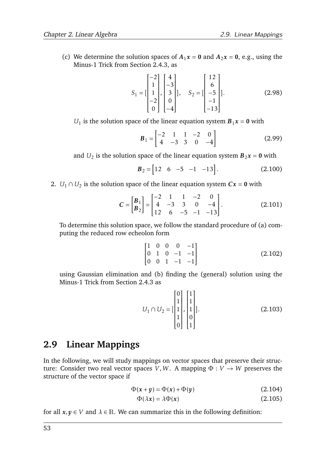(c) We determine the solution spaces of  $A_1x = 0$  and  $A_2x = 0$ , e.g., using the Minus-1 Trick from Section [2.4.3,](#page-36-2) as

$$
S_1 = \begin{bmatrix} -2 \\ 1 \\ 1 \\ -2 \\ 0 \end{bmatrix}, \begin{bmatrix} 4 \\ -3 \\ 3 \\ 0 \\ -4 \end{bmatrix}, \quad S_2 = \begin{bmatrix} 12 \\ 6 \\ -5 \\ -1 \\ -13 \end{bmatrix}.
$$
 (2.98)

 $U_1$  is the solution space of the linear equation system  $B_1x = 0$  with

$$
B_1 = \begin{bmatrix} -2 & 1 & 1 & -2 & 0 \\ 4 & -3 & 3 & 0 & -4 \end{bmatrix}
$$
 (2.99)

and  $U_2$  is the solution space of the linear equation system  $\bm{B}_2\bm{x} = \bm{0}$  with

$$
B_2 = \begin{bmatrix} 12 & 6 & -5 & -1 & -13 \end{bmatrix}.
$$
 (2.100)

2.  $U_1 \cap U_2$  is the solution space of the linear equation system  $Cx = 0$  with

$$
C = \begin{bmatrix} B_1 \\ B_2 \end{bmatrix} = \begin{bmatrix} -2 & 1 & 1 & -2 & 0 \\ 4 & -3 & 3 & 0 & -4 \\ 12 & 6 & -5 & -1 & -13 \end{bmatrix}.
$$
 (2.101)

To determine this solution space, we follow the standard procedure of (a) computing the reduced row echeolon form

$$
\begin{bmatrix} 1 & 0 & 0 & 0 & -1 \\ 0 & 1 & 0 & -1 & -1 \\ 0 & 0 & 1 & -1 & -1 \end{bmatrix}
$$
 (2.102)

using Gaussian elimination and (b) finding the (general) solution using the Minus-1 Trick from Section [2.4.3](#page-36-2) as

$$
U_1 \cap U_2 = \begin{bmatrix} 0 \\ 1 \\ 1 \\ 1 \\ 0 \end{bmatrix}, \begin{bmatrix} 1 \\ 1 \\ 1 \\ 0 \\ 1 \end{bmatrix}].
$$
 (2.103)

# **2.9 Linear Mappings**

In the following, we will study mappings on vector spaces that preserve their structure: Consider two real vector spaces *V*, *W*. A mapping  $\Phi : V \to W$  preserves the structure of the vector space if

$$
\Phi(x+y) = \Phi(x) + \Phi(y) \tag{2.104}
$$

$$
\Phi(\lambda x) = \lambda \Phi(x) \tag{2.105}
$$

for all  $x, y \in V$  and  $\lambda \in \mathbb{R}$ . We can summarize this in the following definition: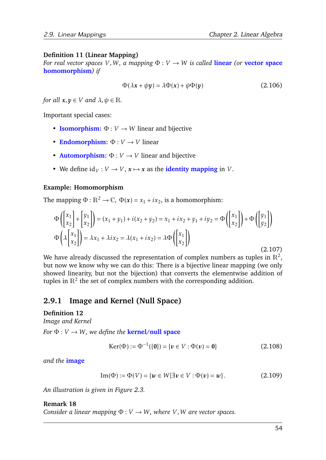## **Definition 11 (Linear Mapping)**

*For real vector spaces V ,W , a mapping* Φ : *V* → *W is called* **linear** *(or* **vector space homomorphism***) if*

$$
\Phi(\lambda x + \psi y) = \lambda \Phi(x) + \psi \Phi(y)
$$
\n(2.106)

*for all*  $x, y \in V$  *and*  $\lambda, \psi \in \mathbb{R}$ .

Important special cases:

- **Isomorphism:**  $\Phi: V \to W$  linear and bijective
- **Endomorphism:**  $\Phi: V \to V$  linear
- **Automorphism:**  $\Phi: V \to V$  linear and bijective
- We define  $\mathrm{id}_V : V \to V$ ,  $x \mapsto x$  as the **identity mapping** in *V*.

### **Example: Homomorphism**

The mapping  $\Phi : \mathbb{R}^2 \to \mathbb{C}$ ,  $\Phi(\mathbf{x}) = x_1 + ix_2$ , is a homomorphism:

$$
\Phi\left(\begin{bmatrix} x_1 \\ x_2 \end{bmatrix} + \begin{bmatrix} y_1 \\ x_2 \end{bmatrix}\right) = (x_1 + y_1) + i(x_2 + y_2) = x_1 + ix_2 + y_1 + iy_2 = \Phi\left(\begin{bmatrix} x_1 \\ x_2 \end{bmatrix}\right) + \Phi\left(\begin{bmatrix} y_1 \\ y_2 \end{bmatrix}\right)
$$
  
\n
$$
\Phi\left(\lambda \begin{bmatrix} x_1 \\ x_2 \end{bmatrix}\right) = \lambda x_1 + \lambda ix_2 = \lambda(x_1 + ix_2) = \lambda \Phi\left(\begin{bmatrix} x_1 \\ x_2 \end{bmatrix}\right)
$$
\n(2.107)

We have already discussed the representation of complex numbers as tuples in  $\mathbb{R}^2$ , but now we know why we can do this: There is a bijective linear mapping (we only showed linearity, but not the bijection) that converts the elementwise addition of tuples in  $\mathbb{R}^2$  the set of complex numbers with the corresponding addition.

# <span id="page-56-0"></span>**2.9.1 Image and Kernel (Null Space)**

### **Definition 12**

*Image and Kernel*

*For*  $\Phi: V \to W$ *, we define the kernel/null space* 

$$
Ker(\Phi) := \Phi^{-1}(\{0\}) = \{v \in V : \Phi(v) = 0\}
$$
 (2.108)

*and the* **image**

Im(
$$
\Phi
$$
) :=  $\Phi(V) = \{w \in W | \exists v \in V : \Phi(v) = w\}$ . (2.109)

*An illustration is given in Figure [2.3.](#page-57-0)*

#### **Remark 18**

*Consider a linear mapping*  $\Phi: V \to W$ , where *V*, *W* are vector spaces.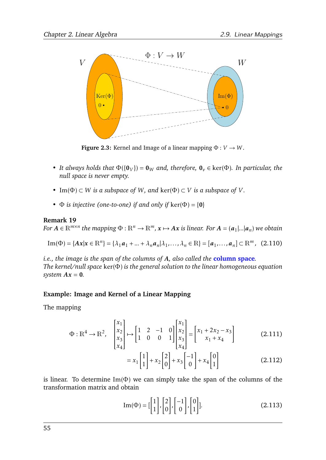<span id="page-57-0"></span>

**Figure 2.3:** Kernel and Image of a linear mapping  $\Phi: V \to W$ .

- *It always holds that*  $\Phi({\lbrace 0_V \rbrace}) = 0_W$  *and, therefore,*  $0_v \in \text{ker}(\Phi)$ *. In particular, the null space is never empty.*
- *•* Im( $Φ$ ) ⊂ *W is a subspace of W, and ker(* $Φ$ *) ⊂ <i>V is a subspace of V.*
- $\Phi$  *is injective (one-to-one) if and only if* ker( $\Phi$ ) = {0}

#### **Remark 19**

 $For\ A\in\mathbb{R}^{m\times n}$  the mapping  $\Phi:\mathbb{R}^n\to\mathbb{R}^m$ ,  $x\mapsto Ax$  is linear. For  $A=(a_1|...|a_n)$  we obtain

Im(
$$
\Phi
$$
) = { $Ax | x \in \mathbb{R}^n$ } = { $\lambda_1 a_1 + ... + \lambda_n a_n | \lambda_1, ..., \lambda_n \in \mathbb{R}$ } = [ $a_1, ..., a_n$ ]  $\subset \mathbb{R}^m$ , (2.110)

*i.e., the image is the span of the columns of A, also called the* **column space***. The kernel/null space* ker(Φ) *is the general solution to the linear homogeneous equation system*  $Ax = 0$ *.* 

### **Example: Image and Kernel of a Linear Mapping**

The mapping

$$
\Phi: \mathbb{R}^4 \to \mathbb{R}^2, \quad \begin{bmatrix} x_1 \\ x_2 \\ x_3 \\ x_4 \end{bmatrix} \mapsto \begin{bmatrix} 1 & 2 & -1 & 0 \\ 1 & 0 & 0 & 1 \end{bmatrix} \begin{bmatrix} x_1 \\ x_2 \\ x_3 \\ x_4 \end{bmatrix} = \begin{bmatrix} x_1 + 2x_2 - x_3 \\ x_1 + x_4 \end{bmatrix}
$$
(2.111)

$$
=x_1\begin{bmatrix}1\\1\end{bmatrix}+x_2\begin{bmatrix}2\\0\end{bmatrix}+x_3\begin{bmatrix}-1\\0\end{bmatrix}+x_4\begin{bmatrix}0\\1\end{bmatrix}
$$
 (2.112)

is linear. To determine  $Im(\Phi)$  we can simply take the span of the columns of the transformation matrix and obtain

$$
\operatorname{Im}(\Phi) = \begin{bmatrix} 1 \\ 1 \end{bmatrix}, \begin{bmatrix} 2 \\ 0 \end{bmatrix}, \begin{bmatrix} -1 \\ 0 \end{bmatrix}, \begin{bmatrix} 0 \\ 1 \end{bmatrix}].
$$
 (2.113)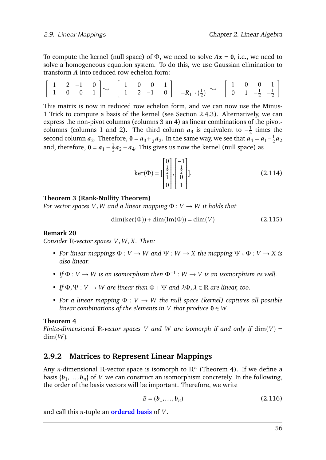To compute the kernel (null space) of  $\Phi$ , we need to solve  $Ax = 0$ , i.e., we need to solve a homogeneous equation system. To do this, we use Gaussian elimination to transform *A* into reduced row echelon form:

$$
\left[\begin{array}{cccccc} 1 & 2 & -1 & 0 \\ 1 & 0 & 0 & 1 \end{array}\right] \rightsquigarrow \left[\begin{array}{cccccc} 1 & 0 & 0 & 1 \\ 1 & 2 & -1 & 0 \end{array}\right] \quad -R_1 | \cdot (\frac{1}{2}) \rightsquigarrow \left[\begin{array}{cccccc} 1 & 0 & 0 & 1 \\ 0 & 1 & -\frac{1}{2} & -\frac{1}{2} \end{array}\right]
$$

This matrix is now in reduced row echelon form, and we can now use the Minus-1 Trick to compute a basis of the kernel (see Section [2.4.3\)](#page-36-2). Alternatively, we can express the non-pivot columns (columns 3 an 4) as linear combinations of the pivotcolumns (columns 1 and 2). The third column  $a_3$  is equivalent to  $-\frac{1}{2}$  $rac{1}{2}$  times the second column  $a_2$ . Therefore,  $0 = a_3 + \frac{1}{2}$  $\frac{1}{2}a_2$ . In the same way, we see that  $a_4 = a_1 - \frac{1}{2}$  $rac{1}{2}a_2$ and, therefore,  $\mathbf{0} = \mathbf{a}_1 - \frac{1}{2}$  $\frac{1}{2}a_2 - a_4$ . This gives us now the kernel (null space) as

$$
\ker(\Phi) = \begin{bmatrix} 0 \\ \frac{1}{2} \\ 1 \\ 0 \end{bmatrix}, \begin{bmatrix} -1 \\ \frac{1}{2} \\ 0 \\ 1 \end{bmatrix}].
$$
 (2.114)

## **Theorem 3 (Rank-Nullity Theorem)**

*For vector spaces V*, *W* and a linear mapping  $\Phi: V \to W$  it holds that

$$
\dim(\ker(\Phi)) + \dim(\text{Im}(\Phi)) = \dim(V) \tag{2.115}
$$

### <span id="page-58-1"></span>**Remark 20**

*Consider* R*-vector spaces V ,W ,X. Then:*

- *For linear mappings*  $\Phi: V \to W$  *and*  $\Psi: W \to X$  *the mapping*  $\Psi \circ \Phi: V \to X$  *is also linear.*
- *If*  $\Phi: V \to W$  *is an isomorphism then*  $\Phi^{-1}: W \to V$  *is an isomorphism as well.*
- *If*  $\Phi$ *,*  $\Psi$  : *V*  $\rightarrow$  *W are linear then*  $\Phi$  +  $\Psi$  *and*  $\lambda \Phi$ *,*  $\lambda \in \mathbb{R}$  *are linear, too.*
- *• For a linear mapping* Φ : *V* → *W the null space (kernel) captures all possible linear combinations of the elements in V that produce*  $0 \in W$ *.*

### <span id="page-58-0"></span>**Theorem 4**

*Finite-dimensional* R*-vector spaces V and W are isomorph if and only if* dim(*V* ) = dim(*W* )*.*

# **2.9.2 Matrices to Represent Linear Mappings**

Any *n*-dimensional R-vector space is isomorph to  $\mathbb{R}^n$  (Theorem [4\)](#page-58-0). If we define a basis {*b*<sup>1</sup> *,...,bn*} of *V* we can construct an isomorphism concretely. In the following, the order of the basis vectors will be important. Therefore, we write

$$
B = (\boldsymbol{b}_1, \dots, \boldsymbol{b}_n) \tag{2.116}
$$

and call this *n*-tuple an **ordered basis** of *V* .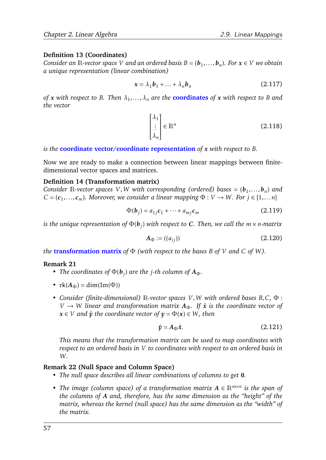## **Definition 13 (Coordinates)**

*Consider an*  $\mathbb{R}$ -vector space  $V$  and an ordered basis  $B = (\boldsymbol{b}_1, \ldots, \boldsymbol{b}_n)$ . For  $\boldsymbol{x} \in V$  we obtain *a unique representation (linear combination)*

$$
\mathbf{x} = \lambda_1 \mathbf{b}_1 + \ldots + \lambda_n \mathbf{b}_n \tag{2.117}
$$

*of x with respect to B. Then λ*<sup>1</sup> *,...,λ<sup>n</sup> are the* **coordinates** *of x with respect to B and the vector*

$$
\begin{bmatrix} \lambda_1 \\ \vdots \\ \lambda_n \end{bmatrix} \in \mathbb{R}^n \tag{2.118}
$$

*is the* **coordinate vector/coordinate representation** *of x with respect to B.*

Now we are ready to make a connection between linear mappings between finitedimensional vector spaces and matrices.

#### **Definition 14 (Transformation matrix)**

*Consider* R-vector spaces V, W with corresponding (ordered) bases =  $(b_1, ..., b_n)$  and  $C = (c_1, \ldots, c_m)$ *. Moreover, we consider a linear mapping*  $\Phi : V \to W$ *. For*  $j \in \{1, \ldots, n\}$ 

$$
\Phi(\boldsymbol{b}_j) = a_{1j}\boldsymbol{c}_1 + \dots + a_{mj}\boldsymbol{c}_m \tag{2.119}
$$

*is the unique representation of* Φ(*b<sup>j</sup>* ) *with respect to C. Then, we call the m* × *n-matrix*

$$
A_{\Phi} := ((a_{ij})) \tag{2.120}
$$

*the* **transformation matrix** *of* Φ *(with respect to the bases B of V and C of W ).*

### **Remark 21**

- *The coordinates of*  $\Phi(\bm{b}_j)$  *are the j-th column of*  $A_{\Phi}$ *.*
- $rk(A_{\Phi}) = dim(Im(\Phi))$
- *• Consider (finite-dimensional)* R*-vector spaces V ,W with ordered bases B,C,* Φ :  $V \rightarrow W$  *linear and transformation matrix*  $A_{\Phi}$ *. If*  $\hat{x}$  *is the coordinate vector of*  $x \in V$  *and*  $\hat{y}$  *the coordinate vector of*  $y = \Phi(x) \in W$ *, then*

$$
\hat{\mathbf{y}} = A_{\Phi}\hat{\mathbf{x}}.\tag{2.121}
$$

*This means that the transformation matrix can be used to map coordinates with respect to an ordered basis in V to coordinates with respect to an ordered basis in W .*

### **Remark 22 (Null Space and Column Space)**

- *• The null space describes all linear combinations of columns to get* 0*.*
- *• The image (column space) of a transformation matrix A* ∈ R*m*×*<sup>n</sup> is the span of the columns of A and, therefore, has the same dimension as the "height" of the matrix, whereas the kernel (null space) has the same dimension as the "width" of the matrix.*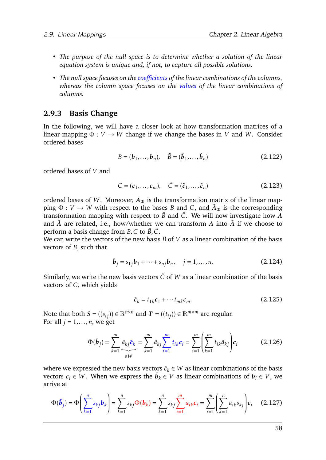- *• The purpose of the null space is to determine whether a solution of the linear equation system is unique and, if not, to capture all possible solutions.*
- *• The null space focuses on the coefficients of the linear combinations of the columns, whereas the column space focuses on the values of the linear combinations of columns.*

## <span id="page-60-2"></span>**2.9.3 Basis Change**

In the following, we will have a closer look at how transformation matrices of a linear mapping  $\Phi: V \to W$  change if we change the bases in *V* and *W*. Consider ordered bases

$$
B = (\boldsymbol{b}_1, \dots, \boldsymbol{b}_n), \quad \tilde{B} = (\tilde{\boldsymbol{b}}_1, \dots, \tilde{\boldsymbol{b}}_n)
$$
(2.122)

ordered bases of *V* and

$$
C = (c_1, \dots, c_m), \quad \tilde{C} = (\tilde{c}_1, \dots, \tilde{c}_n)
$$
\n(2.123)

ordered bases of *W*. Moreover,  $A_{\Phi}$  is the transformation matrix of the linear mapping  $\Phi: V \to W$  with respect to the bases *B* and *C*, and  $\tilde{A}_{\Phi}$  is the corresponding transformation mapping with respect to  $\tilde{B}$  and  $\tilde{C}$ . We will now investigate how  $A$ and  $\tilde{A}$  are related, i.e., how/whether we can transform  $A$  into  $\tilde{A}$  if we choose to perform a basis change from *B*, *C* to  $\tilde{B}$ ,  $\tilde{C}$ .

We can write the vectors of the new basis  $\tilde{B}$  of *V* as a linear combination of the basis vectors of *B*, such that

$$
\tilde{\bm{b}}_j = s_{1j}\bm{b}_1 + \dots + s_{nj}\bm{b}_n, \quad j = 1, \dots, n. \tag{2.124}
$$

Similarly, we write the new basis vectors  $\tilde{C}$  of *W* as a linear combination of the basis vectors of *C*, which yields

<span id="page-60-1"></span><span id="page-60-0"></span>
$$
\tilde{c}_k = t_{1k}c_1 + \cdots t_{mk}c_m.
$$
\n(2.125)

Note that both  $S = ((s_{ij})) \in \mathbb{R}^{n \times n}$  and  $T = ((t_{ij})) \in \mathbb{R}^{m \times m}$  are regular. For all  $j = 1, \ldots, n$ , we get

$$
\Phi(\tilde{\boldsymbol{b}}_j) = \sum_{k=1}^m \underbrace{\tilde{a}_{kj}\tilde{c}_k}_{\in W} = \sum_{k=1}^m \tilde{a}_{kj} \sum_{i=1}^m t_{ik}c_i = \sum_{i=1}^m \left(\sum_{k=1}^m t_{ik}\tilde{a}_{kj}\right)c_i
$$
(2.126)

where we expressed the new basis vectors  $\tilde{c}_k \in W$  as linear combinations of the basis vectors  $c_i \in W$ . When we express the  $\tilde{\bm{b}}_k \in V$  as linear combinations of  $\bm{b}_i \in V$ , we arrive at

$$
\Phi(\tilde{\bm{b}}_j) = \Phi\left(\sum_{k=1}^n s_{kj} \bm{b}_k\right) = \sum_{k=1}^n s_{kj} \Phi(\bm{b}_k) = \sum_{k=1}^n s_{kj} \sum_{i=1}^m a_{ik} c_i = \sum_{i=1}^m \left(\sum_{k=1}^n a_{ik} s_{kj}\right) c_i \quad (2.127)
$$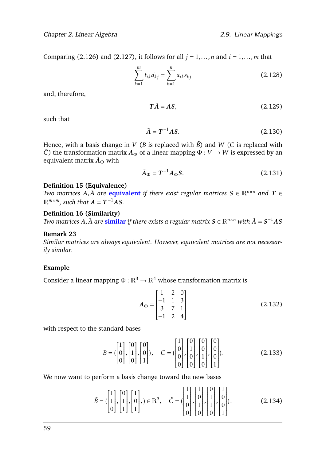Comparing [\(2.126\)](#page-60-0) and [\(2.127\)](#page-60-1), it follows for all  $j = 1, \ldots, n$  and  $i = 1, \ldots, m$  that

$$
\sum_{k=1}^{m} t_{ik} \tilde{a}_{kj} = \sum_{k=1}^{n} a_{ik} s_{kj}
$$
 (2.128)

and, therefore,

$$
T\tilde{A} = AS,\tag{2.129}
$$

such that

$$
\tilde{A} = T^{-1}AS.
$$
 (2.130)

Hence, with a basis change in *V* (*B* is replaced with  $\tilde{B}$ ) and *W* (*C* is replaced with  $\tilde{C}$ ) the transformation matrix  $A_{\Phi}$  of a linear mapping  $\Phi: V \to W$  is expressed by an equivalent matrix  $\tilde{A}_\Phi$  with

$$
\tilde{A}_{\Phi} = T^{-1} A_{\Phi} S. \tag{2.131}
$$

#### **Definition 15 (Equivalence)**

*Two matrices*  $A, \tilde{A}$  *are* **equivalent** *if there exist regular matrices*  $S \in \mathbb{R}^{n \times n}$  *and*  $T \in$  $\mathbb{R}^{m \times m}$ *, such that*  $\tilde{A} = T^{-1}AS$ *.* 

#### **Definition 16 (Similarity)**

*Two matrices*  $\vec{A}$ *,* $\tilde{A}$  *are*  $\bf{similar}$  *<i>if there exists a regular matrix*  $S \in \mathbb{R}^{n \times n}$  *with*  $\tilde{A} = S^{-1}AS$ 

#### **Remark 23**

*Similar matrices are always equivalent. However, equivalent matrices are not necessarily similar.*

#### **Example**

Consider a linear mapping  $\Phi : \mathbb{R}^3 \to \mathbb{R}^4$  whose transformation matrix is

$$
A_{\Phi} = \begin{bmatrix} 1 & 2 & 0 \\ -1 & 1 & 3 \\ 3 & 7 & 1 \\ -1 & 2 & 4 \end{bmatrix}
$$
 (2.132)

with respect to the standard bases

$$
B = \begin{pmatrix} 1 \\ 0 \\ 0 \end{pmatrix}, \begin{bmatrix} 0 \\ 1 \\ 0 \end{bmatrix}, \begin{bmatrix} 0 \\ 0 \\ 1 \end{bmatrix}, C = \begin{pmatrix} 1 \\ 0 \\ 0 \\ 0 \end{pmatrix}, \begin{bmatrix} 0 \\ 1 \\ 0 \\ 0 \end{bmatrix}, \begin{bmatrix} 0 \\ 0 \\ 1 \\ 0 \end{bmatrix}, \begin{bmatrix} 0 \\ 0 \\ 0 \\ 1 \end{bmatrix}.
$$
 (2.133)

We now want to perform a basis change toward the new bases

$$
\tilde{B} = \begin{pmatrix} 1 \\ 1 \\ 0 \end{pmatrix}, \begin{bmatrix} 0 \\ 1 \\ 1 \end{bmatrix}, \begin{bmatrix} 1 \\ 0 \\ 1 \end{bmatrix}, \in \mathbb{R}^3, \quad \tilde{C} = \begin{pmatrix} 1 \\ 1 \\ 0 \\ 0 \end{pmatrix}, \begin{bmatrix} 1 \\ 0 \\ 1 \\ 0 \end{bmatrix}, \begin{bmatrix} 1 \\ 0 \\ 1 \\ 0 \end{bmatrix}, \begin{bmatrix} 1 \\ 0 \\ 0 \\ 1 \end{bmatrix}.
$$
 (2.134)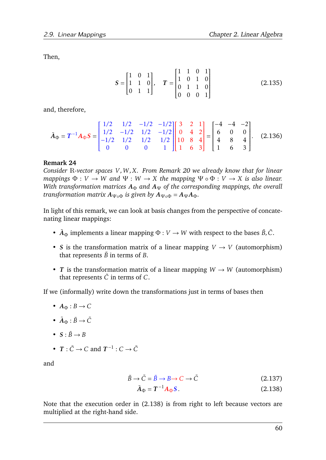Then,

$$
S = \begin{bmatrix} 1 & 0 & 1 \\ 1 & 1 & 0 \\ 0 & 1 & 1 \end{bmatrix}, \quad T = \begin{bmatrix} 1 & 1 & 0 & 1 \\ 1 & 0 & 1 & 0 \\ 0 & 1 & 1 & 0 \\ 0 & 0 & 0 & 1 \end{bmatrix}
$$
(2.135)

and, therefore,

$$
\tilde{A}_{\Phi} = T^{-1} A_{\Phi} S = \begin{bmatrix} 1/2 & 1/2 & -1/2 & -1/2 \\ 1/2 & -1/2 & 1/2 & -1/2 \\ -1/2 & 1/2 & 1/2 & 1/2 \\ 0 & 0 & 0 & 1 \end{bmatrix} \begin{bmatrix} 3 & 2 & 1 \\ 0 & 4 & 2 \\ 10 & 8 & 4 \\ 1 & 6 & 3 \end{bmatrix} = \begin{bmatrix} -4 & -4 & -2 \\ 6 & 0 & 0 \\ 4 & 8 & 4 \\ 1 & 6 & 3 \end{bmatrix}.
$$
 (2.136)

#### **Remark 24**

*Consider* R*-vector spaces V ,W ,X. From Remark [20](#page-58-1) we already know that for linear mappings*  $\Phi: V \to W$  *and*  $\Psi: W \to X$  *the mapping*  $\Psi \circ \Phi: V \to X$  *is also linear. With transformation matrices*  $A_{\Phi}$  *and*  $A_{\Psi}$  *of the corresponding mappings, the overall transformation matrix*  $A_{\Psi \circ \Phi}$  *is given by*  $A_{\Psi \circ \Phi} = A_{\Psi} A_{\Phi}$ .

In light of this remark, we can look at basis changes from the perspective of concatenating linear mappings:

- $\tilde{A}_{\Phi}$  implements a linear mapping  $\Phi: V \to W$  with respect to the bases  $\tilde{B}, \tilde{C}$ .
- *S* is the transformation matrix of a linear mapping  $V \rightarrow V$  (automorphism) that represents  $\tilde{B}$  in terms of *B*.
- *T* is the transformation matrix of a linear mapping  $W \rightarrow W$  (automorphism) that represents  $\tilde{C}$  in terms of  $C$ .

If we (informally) write down the transformations just in terms of bases then

- $A_{\Phi}: B \to C$
- $\tilde{A}_{\Phi} : \tilde{B} \to \tilde{C}$
- $S : \tilde{B} \rightarrow B$
- $T : \tilde{C} \to C$  and  $T^{-1} : C \to \tilde{C}$

and

$$
\tilde{B} \to \tilde{C} = \tilde{B} \to B \to C \to \tilde{C}
$$
\n(2.137)

<span id="page-62-0"></span>
$$
\tilde{A}_{\Phi} = T^{-1} A_{\Phi} S. \tag{2.138}
$$

Note that the execution order in [\(2.138\)](#page-62-0) is from right to left because vectors are multiplied at the right-hand side.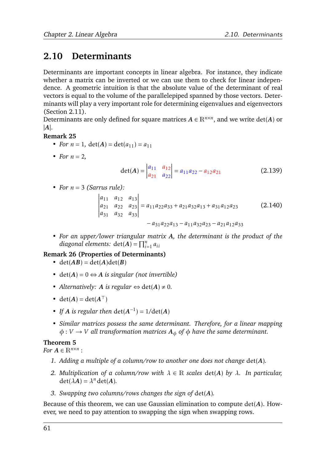# <span id="page-63-0"></span>**2.10 Determinants**

Determinants are important concepts in linear algebra. For instance, they indicate whether a matrix can be inverted or we can use them to check for linear independence. A geometric intuition is that the absolute value of the determinant of real vectors is equal to the volume of the parallelepiped spanned by those vectors. Determinants will play a very important role for determining eigenvalues and eigenvectors (Section [2.11\)](#page-64-0).

Determinants are only defined for square matrices  $A \in \mathbb{R}^{n \times n}$ , and we write  $\det(A)$  or |*A*|.

## **Remark 25**

- *For*  $n = 1$ *,*  $det(A) = det(a_{11}) = a_{11}$
- *For*  $n = 2$ *,*

$$
\det(A) = \begin{vmatrix} a_{11} & a_{12} \\ a_{21} & a_{22} \end{vmatrix} = a_{11}a_{22} - a_{12}a_{21}
$$
 (2.139)

• *For*  $n = 3$  *(Sarrus rule):* 

$$
\begin{vmatrix} a_{11} & a_{12} & a_{13} \ a_{21} & a_{22} & a_{23} \ a_{31} & a_{32} & a_{33} \end{vmatrix} = a_{11}a_{22}a_{33} + a_{21}a_{32}a_{13} + a_{31}a_{12}a_{23}
$$
 (2.140)  
\n
$$
-a_{31}a_{22}a_{13} - a_{11}a_{32}a_{23} - a_{21}a_{12}a_{33}
$$

$$
31.22.13 \t\t 11.32.23 \t\t 21.12.33
$$

*• For an upper/lower triangular matrix A, the determinant is the product of the diagonal elements:*  $det(A) = \prod_{i=1}^{n} a_{ii}$ 

## **Remark 26 (Properties of Determinants)**

- det( $AB$ ) = det( $A$ )det( $B$ )
- $det(A) = 0 \Leftrightarrow A$  *is singular (not invertible)*
- *Alternatively: A is regular*  $\Leftrightarrow$  det(*A*)  $\neq$  0*.*
- det( $A$ ) = det( $A^{\top}$ )
- *If A is regular then*  $\det(A^{-1}) = 1/\det(A)$
- *• Similar matrices possess the same determinant. Therefore, for a linear mapping*  $\phi: V \to V$  *all transformation matrices*  $A_{\phi}$  *of*  $\phi$  *have the same determinant.*

# **Theorem 5**

*For*  $A \in \mathbb{R}^{n \times n}$ :

- *1. Adding a multiple of a column/row to another one does not change* det(*A*)*.*
- *2. Multiplication of a column/row with λ* ∈ R *scales* det(*A*) *by λ. In particular,*  $\det(\lambda A) = \lambda^n \det(A)$ .
- *3. Swapping two columns/rows changes the sign of* det(*A*)*.*

Because of this theorem, we can use Gaussian elimination to compute det(*A*). However, we need to pay attention to swapping the sign when swapping rows.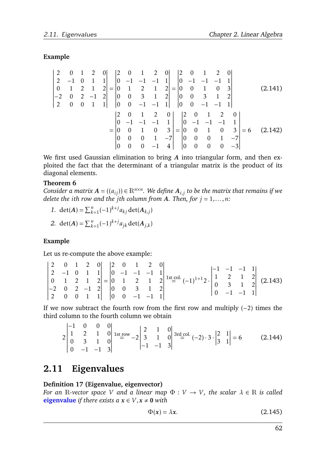# **Example**

$$
\begin{vmatrix}\n2 & 0 & 1 & 2 & 0 \\
2 & -1 & 0 & 1 & 1 \\
0 & 1 & 2 & 1 & 2 \\
-2 & 0 & 2 & -1 & 2 \\
2 & 0 & 0 & 1 & 1\n\end{vmatrix} = \begin{vmatrix}\n2 & 0 & 1 & 2 & 0 \\
0 & -1 & -1 & -1 & 1 \\
0 & 1 & 2 & 1 & 2 \\
0 & 0 & 3 & 1 & 2 \\
0 & 0 & -1 & -1 & 1\n\end{vmatrix} = \begin{vmatrix}\n2 & 0 & 1 & 2 & 0 \\
0 & -1 & -1 & -1 & 1 \\
0 & 0 & 3 & 1 & 2 \\
0 & 0 & -1 & -1 & 1\n\end{vmatrix}
$$
\n
$$
= \begin{vmatrix}\n2 & 0 & 1 & 2 & 0 \\
0 & -1 & -1 & -1 & 1 \\
0 & 0 & 1 & 0 & 3 \\
0 & 0 & 0 & 1 & -7 \\
0 & 0 & 0 & -1 & 4\n\end{vmatrix} = \begin{vmatrix}\n2 & 0 & 1 & 2 & 0 \\
0 & -1 & -1 & -1 & 1 \\
0 & 0 & 1 & 0 & 3 \\
0 & 0 & 0 & 1 & -7 \\
0 & 0 & 0 & 0 & -3\n\end{vmatrix} = 6
$$
\n(2.142)

We first used Gaussian elimination to bring *A* into triangular form, and then exploited the fact that the determinant of a triangular matrix is the product of its diagonal elements.

## **Theorem 6**

 $Consider\ a\ matrix\ A = ((a_{ij})) \in \mathbb{R}^{n \times n}.$  We define  $A_{i,j}$  to be the matrix that remains if we *delete the ith row and the jth column from A. Then, for*  $j = 1, \ldots, n$ :

*1.* det(*A*) =  $\sum_{k=1}^{n}(-1)^{k+j}a_{kj}$  det(*A*<sub>*k*,*j*</sub>)

2. 
$$
\det(A) = \sum_{k=1}^{n} (-1)^{k+j} a_{jk} \det(A_{j,k})
$$

## **Example**

Let us re-compute the above example:

|  |  |  |  |  | $\begin{vmatrix} 2 & 0 & 1 & 2 & 0 \\ 2 & -1 & 0 & 1 & 1 \\ 0 & 1 & 2 & 1 & 2 \\ -2 & 0 & 2 & -1 & 2 \\ 2 & 0 & 0 & 1 & 1 \end{vmatrix} = \begin{vmatrix} 2 & 0 & 1 & 2 & 0 \\ 0 & -1 & -1 & -1 & 1 \\ 0 & 1 & 2 & 1 & 2 \\ 0 & 0 & 3 & 1 & 2 \\ 0 & 0 & -1 & -1 & 1 \end{vmatrix}$ 1st col. $(-1)^{1+1}2 \cdot \begin{vmatrix} -1 & -1 & -1 & 1 \\ 1 & 2 &$ |  |  |  |
|--|--|--|--|--|--------------------------------------------------------------------------------------------------------------------------------------------------------------------------------------------------------------------------------------------------------------------------------------------------------------------------------------------------------------|--|--|--|
|  |  |  |  |  |                                                                                                                                                                                                                                                                                                                                                              |  |  |  |

If we now subtract the fourth row from the first row and multiply  $(-2)$  times the third column to the fourth column we obtain

$$
2\begin{vmatrix} -1 & 0 & 0 & 0 \ 1 & 2 & 1 & 0 \ 0 & 3 & 1 & 0 \ 0 & -1 & -1 & 3 \ \end{vmatrix} \xrightarrow{\text{1st row}} -2\begin{vmatrix} 2 & 1 & 0 \ 3 & 1 & 0 \ -1 & -1 & 3 \end{vmatrix} \xrightarrow{\text{3rd col.}} (-2) \cdot 3 \cdot \begin{vmatrix} 2 & 1 \ 3 & 1 \end{vmatrix} = 6 \tag{2.144}
$$

# <span id="page-64-0"></span>**2.11 Eigenvalues**

## **Definition 17 (Eigenvalue, eigenvector)**

*For an*  $\mathbb{R}$ -vector space  $V$  and a linear map  $\Phi : V \to V$ , the scalar  $\lambda \in \mathbb{R}$  is called **eigenvalue** *if there exists*  $a$  $x \in V, x \ne 0$  *with* 

$$
\Phi(x) = \lambda x. \tag{2.145}
$$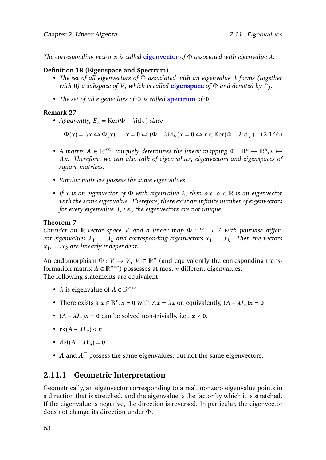*The corresponding vector x is called* **eigenvector** *of* Φ *associated with eigenvalue λ.*

## **Definition 18 (Eigenspace and Spectrum)**

- *• The set of all eigenvectors of* Φ *associated with an eigenvalue λ forms (together with* 0*) a subspace of V*, *which is called* **eigenspace** *of*  $\Phi$  *and denoted by*  $E_\lambda$ *.*
- *• The set of all eigenvalues of* Φ *is called* **spectrum** *of* Φ*.*

## **Remark 27**

• *Apparently,*  $E_{\lambda}$  = Ker( $\Phi$  –  $\lambda$ id<sub>*V*</sub>) *since* 

 $\Phi(x) = \lambda x \Leftrightarrow \Phi(x) - \lambda x = 0 \Leftrightarrow (\Phi - \lambda \mathrm{id}_V)x = 0 \Leftrightarrow x \in \mathrm{Ker}(\Phi - \lambda \mathrm{id}_V)$ . (2.146)

- *A matrix*  $A \in \mathbb{R}^{n \times n}$  *uniquely determines the linear mapping*  $\Phi : \mathbb{R}^n \to \mathbb{R}^n$ ,  $x \mapsto$ *Ax. Therefore, we can also talk of eigenvalues, eigenvectors and eigenspaces of square matrices.*
- *• Similar matrices possess the same eigenvalues*
- *• If x is an eigenvector of* Φ *with eigenvalue λ, then αx, α* ∈ R *is an eigenvector with the same eigenvalue. Therefore, there exist an infinite number of eigenvectors for every eigenvalue λ, i.e., the eigenvectors are not unique.*

## **Theorem 7**

*Consider an* R-vector space *V* and a linear map  $\Phi : V \to V$  with pairwise differ $e$ nt eigenvalues  $\lambda_1, \ldots, \lambda_k$  and corresponding eigenvectors  $\pmb{x}_1, \ldots, \pmb{x}_k$ . Then the vectors *x*1 *,...,x<sup>k</sup> are linearly independent.*

An endomorphism  $\Phi: V \to V$ ,  $V \subset \mathbb{R}^n$  (and equivalently the corresponding transformation matrix  $A \in \mathbb{R}^{n \times n}$ ) possesses at most *n* different eigenvalues. The following statements are equivalent:

- $\lambda$  is eigenvalue of  $A \in \mathbb{R}^{n \times n}$
- There exists a  $x \in \mathbb{R}^n$ ,  $x \neq 0$  with  $Ax = \lambda x$  or, equivalently,  $(A \lambda I_n)x = 0$
- $(A \lambda I_n)x = 0$  can be solved non-trivially, i.e.,  $x \neq 0$ .
- $rk(A \lambda I_n) < n$
- det( $A \lambda I_n$ ) = 0
- *A* and  $A<sup>T</sup>$  possess the same eigenvalues, but not the same eigenvectors.

# **2.11.1 Geometric Interpretation**

Geometrically, an eigenvector corresponding to a real, nonzero eigenvalue points in a direction that is stretched, and the eigenvalue is the factor by which it is stretched. If the eigenvalue is negative, the direction is reversed. In particular, the eigenvector does not change its direction under Φ.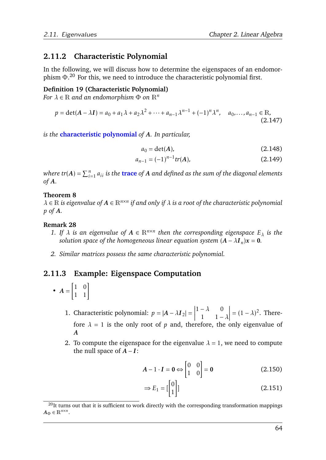# **2.11.2 Characteristic Polynomial**

In the following, we will discuss how to determine the eigenspaces of an endomorphism  $\Phi$ .<sup>[20](#page-66-0)</sup> For this, we need to introduce the characteristic polynomial first.

### **Definition 19 (Characteristic Polynomial)**

*For*  $\lambda \in \mathbb{R}$  *and an endomorphism*  $\Phi$  *on*  $\mathbb{R}^n$ 

$$
p = \det(A - \lambda I) = a_0 + a_1 \lambda + a_2 \lambda^2 + \dots + a_{n-1} \lambda^{n-1} + (-1)^n \lambda^n, \quad a_0, \dots, a_{n-1} \in \mathbb{R},
$$
\n(2.147)

*is the* **characteristic polynomial** *of A. In particular,*

$$
a_0 = \det(A),\tag{2.148}
$$

$$
a_{n-1} = (-1)^{n-1} tr(A), \qquad (2.149)
$$

 $where \; tr(A) = \sum_{i=1}^n a_{ii}$  is the  $\textbf{trace} \; \text{of} \; A$  and defined as the sum of the diagonal elements *of A.*

### **Theorem 8**

*λ* ∈ R *is eigenvalue of A* ∈ R*n*×*<sup>n</sup> if and only if λ is a root of the characteristic polynomial p of A.*

## **Remark 28**

- *1.* If  $\lambda$  is an eigenvalue of  $A \in \mathbb{R}^{n \times n}$  then the corresponding eigenspace  $E_{\lambda}$  is the *solution space of the homogeneous linear equation system*  $(A - \lambda I_n)x = 0$ .
- *2. Similar matrices possess the same characteristic polynomial.*

# **2.11.3 Example: Eigenspace Computation**

- $\bullet$   $A =$  $\begin{bmatrix} 1 & 0 \\ 1 & 1 \end{bmatrix}$ 
	- 1. Characteristic polynomial:  $p = |A \lambda I_2| =$  $1 - \lambda = 0$ 1  $1 - \lambda$  $\begin{array}{c} \begin{array}{c} \begin{array}{c} \end{array}\\ \begin{array}{c} \end{array} \end{array} \end{array}$  $=(1 - \lambda)^2$ . Therefore  $\lambda = 1$  is the only root of  $p$  and, therefore, the only eigenvalue of *A*
	- 2. To compute the eigenspace for the eigenvalue  $\lambda = 1$ , we need to compute the null space of  $A - I$ :

$$
A - 1 \cdot I = 0 \Leftrightarrow \begin{bmatrix} 0 & 0 \\ 1 & 0 \end{bmatrix} = 0
$$
 (2.150)

$$
\Rightarrow E_1 = \begin{bmatrix} 0 \\ 1 \end{bmatrix} \tag{2.151}
$$

<span id="page-66-0"></span> $20$ It turns out that it is sufficient to work directly with the corresponding transformation mappings  $A_{\Phi} \in \mathbb{R}^{n \times n}$ .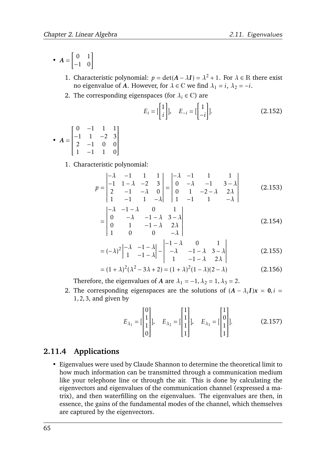- $\bullet$   $A =$  $\begin{bmatrix} 0 & 1 \\ -1 & 0 \end{bmatrix}$ 
	- 1. Characteristic polynomial:  $p = \det(A \lambda I) = \lambda^2 + 1$ . For  $\lambda \in \mathbb{R}$  there exist no eigenvalue of *A*. However, for  $\lambda \in \mathbb{C}$  we find  $\lambda_1 = i$ ,  $\lambda_2 = -i$ .
	- 2. The corresponding eigenspaces (for  $\lambda_i \in \mathbb{C}$ ) are

$$
E_i = \begin{bmatrix} 1 \\ i \end{bmatrix}, \quad E_{-i} = \begin{bmatrix} 1 \\ -i \end{bmatrix}]. \tag{2.152}
$$

•  $A =$  $\begin{bmatrix} 0 & -1 & 1 & 1 \end{bmatrix}$   $-1$  1  $-2$  3  $2 -1 0 0$ 1 −1 1 0 1 

1. Characteristic polynomial:

$$
p = \begin{vmatrix} -\lambda & -1 & 1 & 1 \\ -1 & 1 - \lambda & -2 & 3 \\ 2 & -1 & -\lambda & 0 \\ 1 & -1 & 1 & -\lambda \end{vmatrix} = \begin{vmatrix} -\lambda & -1 & 1 & 1 \\ 0 & -\lambda & -1 & 3 - \lambda \\ 0 & 1 & -2 - \lambda & 2\lambda \\ 1 & -1 & 1 & -\lambda \end{vmatrix}
$$
 (2.153)  
= 
$$
\begin{vmatrix} -\lambda & -1 - \lambda & 0 & 1 \\ 0 & -\lambda & -1 - \lambda & 3 - \lambda \\ 0 & 1 & -1 - \lambda & 2\lambda \end{vmatrix}
$$
 (2.154)

$$
\begin{bmatrix} 0 & 1 & -1 - \lambda & 2\lambda \\ 1 & 0 & 0 & -\lambda \end{bmatrix}
$$
 (2.154)  

$$
\begin{bmatrix} 1 & 1 & 1 & 1 \\ 1 & 0 & 0 & -\lambda \end{bmatrix}
$$

$$
=(-\lambda)^{2}\begin{vmatrix}-\lambda & -1-\lambda \\ 1 & -1-\lambda \end{vmatrix} - \begin{vmatrix}-1-\lambda & 0 & 1 \\ -\lambda & -1-\lambda & 3-\lambda \\ 1 & -1-\lambda & 2\lambda \end{vmatrix}
$$
(2.155)

$$
= (1 + \lambda)^2 (\lambda^2 - 3\lambda + 2) = (1 + \lambda)^2 (1 - \lambda)(2 - \lambda)
$$
 (2.156)

Therefore, the eigenvalues of *A* are  $\lambda_1 = -1$ ,  $\lambda_2 = 1$ ,  $\lambda_3 = 2$ .

2. The corresponding eigenspaces are the solutions of  $(A - \lambda_i I)x = 0, i =$ 1*,*2*,*3*,* and given by

$$
E_{\lambda_1} = \begin{bmatrix} 0 \\ 1 \\ 1 \\ 0 \end{bmatrix}, \quad E_{\lambda_2} = \begin{bmatrix} 1 \\ 1 \\ 1 \\ 1 \end{bmatrix}, \quad E_{\lambda_3} = \begin{bmatrix} 1 \\ 0 \\ 1 \\ 1 \end{bmatrix}.
$$
 (2.157)

# **2.11.4 Applications**

• Eigenvalues were used by Claude Shannon to determine the theoretical limit to how much information can be transmitted through a communication medium like your telephone line or through the air. This is done by calculating the eigenvectors and eigenvalues of the communication channel (expressed a matrix), and then waterfilling on the eigenvalues. The eigenvalues are then, in essence, the gains of the fundamental modes of the channel, which themselves are captured by the eigenvectors.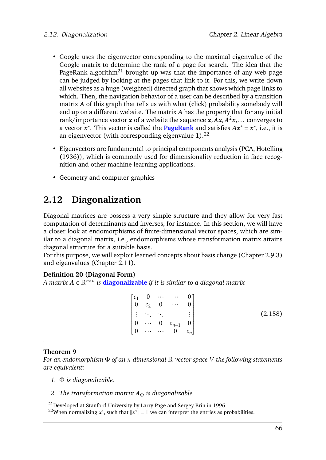- Google uses the eigenvector corresponding to the maximal eigenvalue of the Google matrix to determine the rank of a page for search. The idea that the PageRank algorithm<sup>[21](#page-68-0)</sup> brought up was that the importance of any web page can be judged by looking at the pages that link to it. For this, we write down all websites as a huge (weighted) directed graph that shows which page links to which. Then, the navigation behavior of a user can be described by a transition matrix *A* of this graph that tells us with what (click) probability somebody will end up on a different website. The matrix *A* has the property that for any initial rank/importance vector *x* of a website the sequence *x,Ax,A* <sup>2</sup>*x,...* converges to a vector  $x^*$ . This vector is called the **PageRank** and satisfies  $Ax^* = x^*$ , i.e., it is an eigenvector (with corresponding eigenvalue  $1$ ).<sup>[22](#page-68-1)</sup>
- Eigenvectors are fundamental to principal components analysis (PCA, [Hotelling](#page-75-1) [\(1936\)](#page-75-1)), which is commonly used for dimensionality reduction in face recognition and other machine learning applications.
- Geometry and computer graphics

# **2.12 Diagonalization**

Diagonal matrices are possess a very simple structure and they allow for very fast computation of determinants and inverses, for instance. In this section, we will have a closer look at endomorphisms of finite-dimensional vector spaces, which are similar to a diagonal matrix, i.e., endomorphisms whose transformation matrix attains diagonal structure for a suitable basis.

For this purpose, we will exploit learned concepts about basis change (Chapter [2.9.3\)](#page-60-2) and eigenvalues (Chapter [2.11\)](#page-64-0).

## **Definition 20 (Diagonal Form)**

*A matrix A* ∈ R*n*×*<sup>n</sup> is* **diagonalizable** *if it is similar to a diagonal matrix*

|  | $\begin{bmatrix} c_1 & 0 & \cdots & \cdots & 0 \\ 0 & c_2 & 0 & \cdots & 0 \end{bmatrix}$                                            | $\begin{array}{c} 0 \end{array}$ |         |
|--|--------------------------------------------------------------------------------------------------------------------------------------|----------------------------------|---------|
|  | $\begin{bmatrix} \vdots & \ddots & \ddots & & \vdots \\ 0 & \cdots & 0 & c_{n-1} & 0 \\ 0 & \cdots & \cdots & 0 & c_n \end{bmatrix}$ |                                  | (2.158) |
|  |                                                                                                                                      |                                  |         |
|  |                                                                                                                                      |                                  |         |

## **Theorem 9**

*.*

*For an endomorphism* Φ *of an n-dimensional* R*-vector space V the following statements are equivalent:*

- *1.* Φ *is diagonalizable.*
- *2. The transformation matrix*  $A_{\Phi}$  *is diagonalizable.*

<span id="page-68-0"></span><sup>&</sup>lt;sup>21</sup>Developed at Stanford University by Larry Page and Sergey Brin in 1996

<span id="page-68-1"></span><sup>&</sup>lt;sup>22</sup>When normalizing  $x^*$ , such that  $||x^*|| = 1$  we can interpret the entries as probabilities.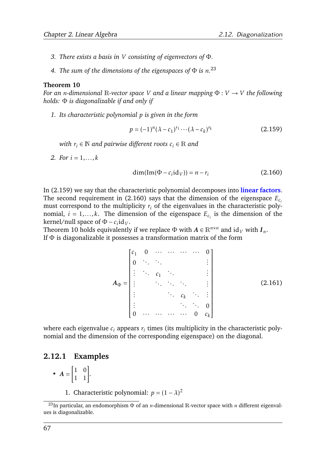- *3. There exists a basis in V consisting of eigenvectors of* Φ*.*
- *4. The sum of the dimensions of the eigenspaces of* Φ *is n.* [23](#page-69-0)

### <span id="page-69-3"></span>**Theorem 10**

*For an n-dimensional* R-vector space *V* and a linear mapping  $\Phi: V \to V$  the following *holds:* Φ *is diagonalizable if and only if*

*1. Its characteristic polynomial p is given in the form*

<span id="page-69-1"></span>
$$
p = (-1)^{n} (\lambda - c_1)^{r_1} \cdots (\lambda - c_k)^{r_k}
$$
 (2.159)

*with*  $r_i \in \mathbb{N}$  *and pairwise different roots*  $c_i \in \mathbb{R}$  *and* 

*2. For i* = 1*,...,k*

<span id="page-69-2"></span>
$$
\dim(\text{Im}(\Phi - c_i \text{id}_V)) = n - r_i \tag{2.160}
$$

In [\(2.159\)](#page-69-1) we say that the characteristic polynomial decomposes into **linear factors**. The second requirement in [\(2.160\)](#page-69-2) says that the dimension of the eigenspace *Ec<sup>i</sup>* must correspond to the multiplicity  $r_i$  of the eigenvalues in the characteristic polynomial,  $i = 1, \ldots, k$ . The dimension of the eigenspace  $E_{c_i}$  is the dimension of the  $\text{kernel/null space of } \Phi - c_i \text{id}_V.$ 

Theorem [10](#page-69-3) holds equivalently if we replace  $\Phi$  with  $A \in \mathbb{R}^{n \times n}$  and  $\mathrm{id}_V$  with  $I_n$ . If  $\Phi$  is diagonalizable it possesses a transformation matrix of the form

> $A_{\Phi}$  = *c*<sup>1</sup> 0 ··· ··· ··· ··· 0 0 *. . . . . . . . . . . . . . . c*<sup>1</sup> *. . . . . . . . . . . . . . . . . . . . .* **.**  $c_k$  . . . . *. . . . . . . . .* 0  $0 \quad \cdots \quad \cdots \quad \cdots \quad \cdots \quad 0 \quad c_k$ 1  $\frac{1}{2}$  ,  $\frac{1}{2}$  ,  $\frac{1}{2}$  ,  $\frac{1}{2}$  ,  $\frac{1}{2}$  ,  $\frac{1}{2}$  ,  $\frac{1}{2}$  ,  $\frac{1}{2}$  ,  $\frac{1}{2}$  ,  $\frac{1}{2}$  ,  $\frac{1}{2}$  ,  $\frac{1}{2}$  ,  $\frac{1}{2}$  ,  $\frac{1}{2}$  ,  $\frac{1}{2}$  ,  $\frac{1}{2}$  ,  $\frac{1}{2}$  ,  $\frac{1}{2}$  ,  $\frac{1$ (2.161)

where each eigenvalue  $c_i$  appears  $r_i$  times (its multiplicity in the characteristic polynomial and the dimension of the corresponding eigenspace) on the diagonal.

## **2.12.1 Examples**

• 
$$
A = \begin{bmatrix} 1 & 0 \\ 1 & 1 \end{bmatrix}.
$$

1. Characteristic polynomial:  $p = (1 - \lambda)^2$ 

<span id="page-69-0"></span><sup>23</sup>In particular, an endomorphism Φ of an *n*-dimensional R-vector space with *n* different eigenvalues is diagonalizable.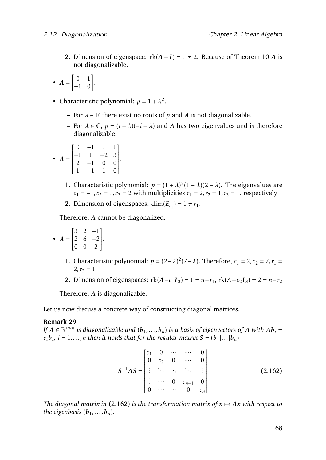2. Dimension of eigenspace:  $rk(A - I) = 1 \neq 2$ . Because of [Theorem 10](#page-69-3) *A* is not diagonalizable.

• 
$$
A = \begin{bmatrix} 0 & 1 \\ -1 & 0 \end{bmatrix}.
$$

- Characteristic polynomial:  $p = 1 + \lambda^2$ .
	- **–** For *λ* ∈ R there exist no roots of *p* and *A* is not diagonalizable.
	- **–** For *λ* ∈ C, *p* = (*i* − *λ*)(−*i* − *λ*) and *A* has two eigenvalues and is therefore diagonalizable.

• 
$$
A = \begin{bmatrix} 0 & -1 & 1 & 1 \\ -1 & 1 & -2 & 3 \\ 2 & -1 & 0 & 0 \\ 1 & -1 & 1 & 0 \end{bmatrix}
$$
.

- 1. Characteristic polynomial:  $p = (1 + \lambda)^2 (1 \lambda)(2 \lambda)$ . The eigenvalues are *c*<sub>1</sub> = −1*, c*<sub>2</sub> = 1*, c*<sub>3</sub> = 2 with multiplicities *r*<sub>1</sub> = 2*, r*<sub>2</sub> = 1*, r*<sub>3</sub> = 1*,* respectively.
- 2. Dimension of eigenspaces:  $\dim(E_{c_1}) = 1 \neq r_1$ .

Therefore, *A* cannot be diagonalized.

• 
$$
A = \begin{bmatrix} 3 & 2 & -1 \\ 2 & 6 & -2 \\ 0 & 0 & 2 \end{bmatrix}
$$
.

- 1. Characteristic polynomial:  $p = (2 \lambda)^2 (7 \lambda)$ . Therefore,  $c_1 = 2$ ,  $c_2 = 7$ ,  $r_1 =$  $2, r_2 = 1$
- 2. Dimension of eigenspaces:  $rk(A c_1 I_3) = 1 = n r_1, rk(A c_2 I_3) = 2 = n r_2$

Therefore, *A* is diagonalizable.

Let us now discuss a concrete way of constructing diagonal matrices.

#### **Remark 29**

*If*  $A \in \mathbb{R}^{n \times n}$  *is diagonalizable and*  $(b_1, \ldots, b_n)$  *is a basis of eigenvectors of*  $A$  *with*  $Ab_i =$  $c_i$ *b***<sub>***i***</sub>,** *i* **= 1,...,n then it holds that for the regular matrix <b>S** = (**b**<sub>1</sub>|...|**b**<sub>*n*</sub>)

<span id="page-70-0"></span>
$$
S^{-1}AS = \begin{bmatrix} c_1 & 0 & \cdots & \cdots & 0 \\ 0 & c_2 & 0 & \cdots & 0 \\ \vdots & \ddots & \ddots & \ddots & \vdots \\ \vdots & \cdots & 0 & c_{n-1} & 0 \\ 0 & \cdots & \cdots & 0 & c_n \end{bmatrix}
$$
 (2.162)

*The diagonal matrix in* [\(2.162\)](#page-70-0) *is the transformation matrix of*  $x \mapsto Ax$  *with respect to the eigenbasis*  $(\boldsymbol{b}_1, \ldots, \boldsymbol{b}_n)$ *.*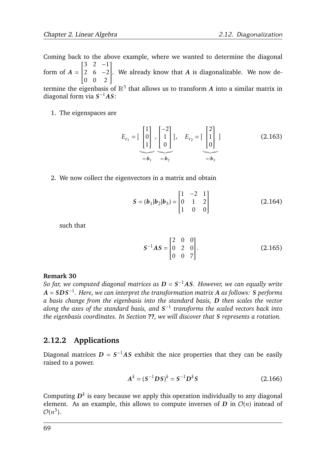Coming back to the above example, where we wanted to determine the diagonal form of  $A = \begin{bmatrix} 2 & 6 & -2 \end{bmatrix}$ . We already know that A is diagonalizable. We now de- $\begin{bmatrix} 3 & 2 & -1 \end{bmatrix}$  $\overline{\mathsf{l}}$  $\begin{vmatrix} 0 & 0 & 2 \end{vmatrix}$  $\overline{\phantom{a}}$ termine the eigenbasis of  $\mathbb{R}^3$  that allows us to transform  $A$  into a similar matrix in diagonal form via *S* <sup>−</sup>1*AS*:

1. The eigenspaces are

$$
E_{c_1} = \begin{bmatrix} 1 \\ 0 \\ 1 \end{bmatrix}, \begin{bmatrix} -2 \\ 1 \\ 0 \end{bmatrix}, E_{c_2} = \begin{bmatrix} 2 \\ 1 \\ 0 \end{bmatrix} \tag{2.163}
$$

$$
=:b_1 \qquad \qquad \cdots \qquad \qquad \qquad \qquad \underbrace{\begin{bmatrix} 2 \\ 1 \\ 0 \end{bmatrix}}_{=:b_2} =:b_3
$$

2. We now collect the eigenvectors in a matrix and obtain

$$
S = (b_1|b_2|b_3) = \begin{bmatrix} 1 & -2 & 1 \\ 0 & 1 & 2 \\ 1 & 0 & 0 \end{bmatrix}
$$
 (2.164)

such that

$$
S^{-1}AS = \begin{bmatrix} 2 & 0 & 0 \\ 0 & 2 & 0 \\ 0 & 0 & 7 \end{bmatrix}.
$$
 (2.165)

### **Remark 30**

*So far, we computed diagonal matrices as D* = *S* <sup>−</sup>1*AS. However, we can equally write A* = *SDS*−<sup>1</sup> *. Here, we can interpret the transformation matrix A as follows: S performs a basis change from the eigenbasis into the standard basis, D then scales the vector along the axes of the standard basis, and S* −1 *transforms the scaled vectors back into the eigenbasis coordinates. In Section* **??***, we will discover that S represents a rotation.*

# **2.12.2 Applications**

Diagonal matrices  $D = S^{-1}AS$  exhibit the nice properties that they can be easily raised to a power.

$$
A^{k} = (S^{-1}DS)^{k} = S^{-1}D^{k}S
$$
 (2.166)

Computing  $D^k$  is easy because we apply this operation individually to any diagonal element. As an example, this allows to compute inverses of *D* in  $O(n)$  instead of  $\mathcal{O}(n^3)$ .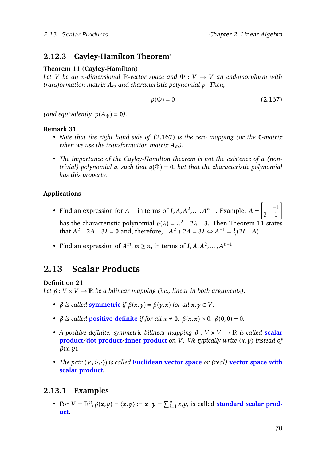# **2.12.3 Cayley-Hamilton Theorem**<sup>∗</sup>

#### <span id="page-72-1"></span>**Theorem 11 (Cayley-Hamilton)**

*Let V be an n-dimensional* R-vector space and  $\Phi : V \rightarrow V$  *an endomorphism with transformation matrix*  $A_Φ$  *and characteristic polynomial p. Then,* 

<span id="page-72-0"></span>
$$
p(\Phi) = 0 \tag{2.167}
$$

*(and equivalently,*  $p(A_{\Phi}) = 0$ *).* 

#### **Remark 31**

- *• Note that the right hand side of* [\(2.167\)](#page-72-0) *is the zero mapping (or the* 0*-matrix when we use the transformation matrix*  $A_{\Phi}$ ).
- *• The importance of the Cayley-Hamilton theorem is not the existence of a (nontrivial) polynomial q, such that q*(Φ) = 0*, but that the characteristic polynomial has this property.*

#### **Applications**

- Find an expression for  $A^{-1}$  in terms of  $I, A, A^2, \ldots, A^{n-1}$ . Example:  $A =$  $\begin{bmatrix} 1 & -1 \\ 2 & 1 \end{bmatrix}$ has the characteristic polynomial  $p(\lambda) = \lambda^2 - 2\lambda + 3$ . Then Theorem [11](#page-72-1) states that  $A^2 - 2A + 3I = 0$  and, therefore,  $-A^2 + 2A = 3I \Leftrightarrow A^{-1} = \frac{1}{3}$  $\frac{1}{3}(2I-A)$
- Find an expression of  $A^m$ ,  $m \ge n$ , in terms of  $I, A, A^2, \ldots, A^{n-1}$

# **2.13 Scalar Products**

#### **Definition 21**

*Let*  $\beta: V \times V \rightarrow \mathbb{R}$  *be a bilinear mapping (i.e., linear in both arguments).* 

- *β is called* **symmetric** *if*  $\beta(x, y) = \beta(y, x)$  *for all*  $x, y \in V$ *.*
- *β is called* **positive definite** *if for all*  $x \neq 0$ *:*  $\beta(x, x) > 0$ *.*  $\beta(0, 0) = 0$ *.*
- *• A positive definite, symmetric bilinear mapping β* : *V* × *V* → R *is called* **scalar product/dot product/inner product** on V. We typically write  $\langle x, y \rangle$  instead of *β*(*x,y*)*.*
- *• The pair* (*V ,*h·*,*·i) *is called* **Euclidean vector space** *or (real)* **vector space with scalar product***.*

# **2.13.1 Examples**

• For  $V = \mathbb{R}^n$ ,  $\beta(x, y) = \langle x, y \rangle := x^{\top}y = \sum_{i=1}^n x_i y_i$  is called **standard scalar product**.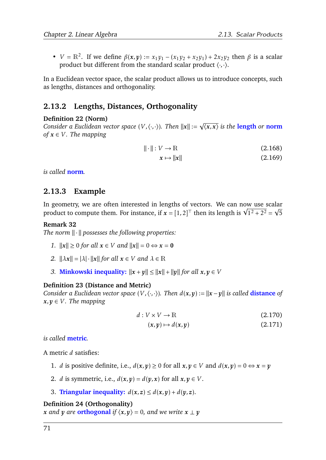•  $V = \mathbb{R}^2$ . If we define  $\beta(x, y) := x_1 y_1 - (x_1 y_2 + x_2 y_1) + 2x_2 y_2$  then  $\beta$  is a scalar product but different from the standard scalar product  $\langle \cdot, \cdot \rangle$ .

In a Euclidean vector space, the scalar product allows us to introduce concepts, such as lengths, distances and orthogonality.

# **2.13.2 Lengths, Distances, Orthogonality**

#### **Definition 22 (Norm)**

*Consider a Euclidean vector space* (*V ,*h·*,*·i)*. Then* <sup>k</sup>*x*<sup>k</sup> := <sup>√</sup> h*x,x*i *is the* **length** *or* **norm** *of*  $x \in V$ *. The mapping* 

$$
\|\cdot\|: V \to \mathbb{R} \tag{2.168}
$$

$$
x \mapsto \|x\| \tag{2.169}
$$

*is called* **norm***.*

### **2.13.3 Example**

In geometry, we are often interested in lengths of vectors. We can now use scalar In geometry, we are often interested in lengths of vectors. We can now use scalar<br>product to compute them. For instance, if  $x = [1,2]^T$  then its length is  $\sqrt{1^2 + 2^2} = \sqrt{5}$ 

#### **Remark 32**

*The norm*  $\|\cdot\|$  possesses the following properties:

- *1.*  $||x|| \ge 0$  *for all*  $x \in V$  *and*  $||x|| = 0 \Leftrightarrow x = 0$
- *2.*  $\|\lambda x\| = |\lambda| \cdot \|x\|$  for all  $x \in V$  and  $\lambda \in \mathbb{R}$
- *3.* **Minkowski inequality:**  $||x + y|| \le ||x|| + ||y||$  *for all*  $x, y \in V$

#### **Definition 23 (Distance and Metric)**

*Consider a Euclidean vector space*  $(V, \langle \cdot, \cdot \rangle)$ *. Then*  $d(x, y) := ||x - y||$  *is called distance of*  $x, y \in V$ *. The mapping* 

$$
d: V \times V \to \mathbb{R} \tag{2.170}
$$

$$
(x, y) \mapsto d(x, y) \tag{2.171}
$$

*is called* **metric***.*

A metric *d* satisfies:

- 1. *d* is positive definite, i.e.,  $d(x, y) \ge 0$  for all  $x, y \in V$  and  $d(x, y) = 0 \Leftrightarrow x = y$
- 2. *d* is symmetric, i.e.,  $d(x, y) = d(y, x)$  for all  $x, y \in V$ .
- 3. **Triangular inequality:**  $d(x, z) \leq d(x, y) + d(y, z)$ .

#### **Definition 24 (Orthogonality)**

*x* and *y* are **orthogonal** if  $\langle x, y \rangle = 0$ , and we write  $x \perp y$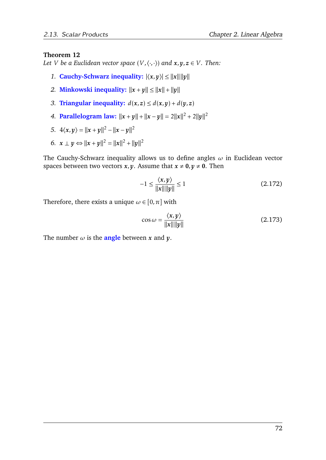#### **Theorem 12**

*Let V be a Euclidean vector space*  $(V, \langle \cdot, \cdot \rangle)$  *and*  $x, y, z \in V$ *. Then:* 

- *1.* **Cauchy-Schwarz inequality:**  $|\langle x, y \rangle| \le ||x|| ||y||$
- *2.* **Minkowski inequality:**  $||x + y|| \le ||x|| + ||y||$
- *3.* **Triangular inequality:**  $d(x, z) \leq d(x, y) + d(y, z)$
- *4.* **Parallelogram law:**  $||x + y|| + ||x y|| = 2||x||^2 + 2||y||^2$

5. 
$$
4\langle x,y\rangle = ||x+y||^2 - ||x-y||^2
$$

*6.*  $x \perp y$  ⇔  $||x + y||^2 = ||x||^2 + ||y||^2$ 

The Cauchy-Schwarz inequality allows us to define angles *ω* in Euclidean vector spaces between two vectors  $x, y$ . Assume that  $x \neq 0, y \neq 0$ . Then

$$
-1 \le \frac{\langle x, y \rangle}{\|x\| \|y\|} \le 1
$$
\n(2.172)

Therefore, there exists a unique  $\omega \in [0, \pi]$  with

$$
\cos \omega = \frac{\langle x, y \rangle}{\|x\| \|y\|}
$$
 (2.173)

The number  $\omega$  is the **angle** between  $x$  and  $y$ .